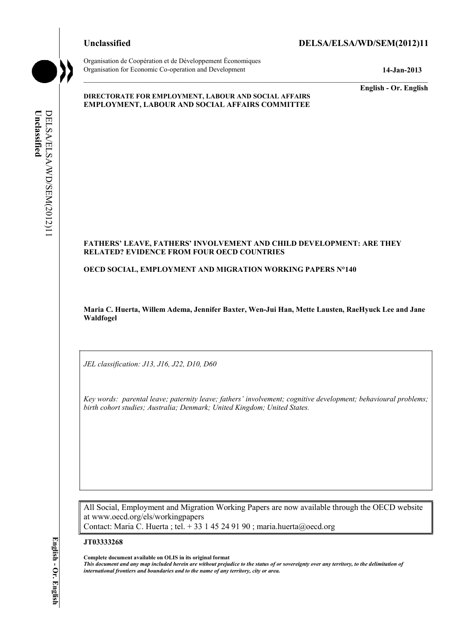

Organisation de Coopération et de Développement Économiques Organisation for Economic Co-operation and Development **14-Jan-2013** 

**English - Or. English** 

#### **DIRECTORATE FOR EMPLOYMENT, LABOUR AND SOCIAL AFFAIRS EMPLOYMENT, LABOUR AND SOCIAL AFFAIRS COMMITTEE**

# Unclassified **Unclassified**  DELSA/ELSA/WD/SEM(2012)11 DELSA/ELSA/WD/SEM(2012)11

#### **FATHERS' LEAVE, FATHERS' INVOLVEMENT AND CHILD DEVELOPMENT: ARE THEY RELATED? EVIDENCE FROM FOUR OECD COUNTRIES**

**OECD SOCIAL, EMPLOYMENT AND MIGRATION WORKING PAPERS N°140** 

**Maria C. Huerta, Willem Adema, Jennifer Baxter, Wen-Jui Han, Mette Lausten, RaeHyuck Lee and Jane Waldfogel** 

*JEL classification: J13, J16, J22, D10, D60* 

*Key words: parental leave; paternity leave; fathers' involvement; cognitive development; behavioural problems; birth cohort studies; Australia; Denmark; United Kingdom; United States.* 

All Social, Employment and Migration Working Papers are now available through the OECD website at www.oecd.org/els/workingpapers Contact: Maria C. Huerta ; tel. + 33 1 45 24 91 90 ; maria.huerta@oecd.org

#### **JT03333268**

**Complete document available on OLIS in its original format**

*This document and any map included herein are without prejudice to the status of or sovereignty over any territory, to the delimitation of international frontiers and boundaries and to the name of any territory, city or area.*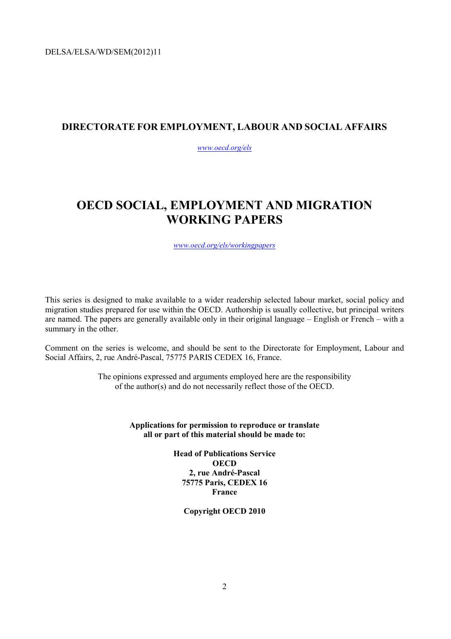# **DIRECTORATE FOR EMPLOYMENT, LABOUR AND SOCIAL AFFAIRS**

*www.oecd.org/els*

# **OECD SOCIAL, EMPLOYMENT AND MIGRATION WORKING PAPERS**

*www.oecd.org/els/workingpapers*

This series is designed to make available to a wider readership selected labour market, social policy and migration studies prepared for use within the OECD. Authorship is usually collective, but principal writers are named. The papers are generally available only in their original language – English or French – with a summary in the other.

Comment on the series is welcome, and should be sent to the Directorate for Employment, Labour and Social Affairs, 2, rue André-Pascal, 75775 PARIS CEDEX 16, France.

> The opinions expressed and arguments employed here are the responsibility of the author(s) and do not necessarily reflect those of the OECD.

> > **Applications for permission to reproduce or translate all or part of this material should be made to:**

> > > **Head of Publications Service OECD 2, rue André-Pascal 75775 Paris, CEDEX 16 France**

> > > > **Copyright OECD 2010**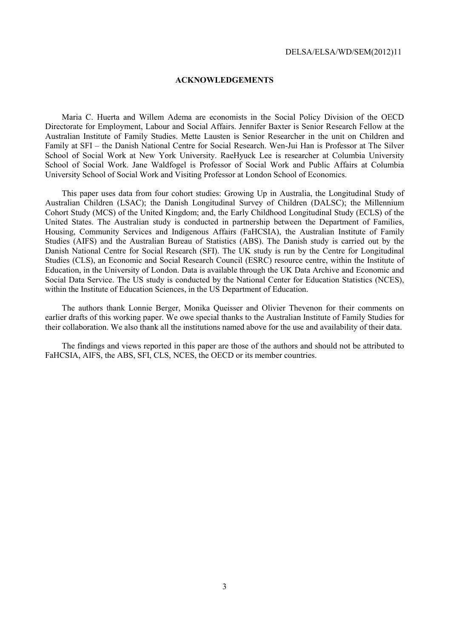#### **ACKNOWLEDGEMENTS**

Maria C. Huerta and Willem Adema are economists in the Social Policy Division of the OECD Directorate for Employment, Labour and Social Affairs. Jennifer Baxter is Senior Research Fellow at the Australian Institute of Family Studies. Mette Lausten is Senior Researcher in the unit on Children and Family at SFI – the Danish National Centre for Social Research. Wen-Jui Han is Professor at The Silver School of Social Work at New York University. RaeHyuck Lee is researcher at Columbia University School of Social Work. Jane Waldfogel is Professor of Social Work and Public Affairs at Columbia University School of Social Work and Visiting Professor at London School of Economics.

This paper uses data from four cohort studies: Growing Up in Australia, the Longitudinal Study of Australian Children (LSAC); the Danish Longitudinal Survey of Children (DALSC); the Millennium Cohort Study (MCS) of the United Kingdom; and, the Early Childhood Longitudinal Study (ECLS) of the United States. The Australian study is conducted in partnership between the Department of Families, Housing, Community Services and Indigenous Affairs (FaHCSIA), the Australian Institute of Family Studies (AIFS) and the Australian Bureau of Statistics (ABS). The Danish study is carried out by the Danish National Centre for Social Research (SFI). The UK study is run by the Centre for Longitudinal Studies (CLS), an Economic and Social Research Council (ESRC) resource centre, within the Institute of Education, in the University of London. Data is available through the UK Data Archive and Economic and Social Data Service. The US study is conducted by the National Center for Education Statistics (NCES), within the Institute of Education Sciences, in the US Department of Education.

The authors thank Lonnie Berger, Monika Queisser and Olivier Thevenon for their comments on earlier drafts of this working paper. We owe special thanks to the Australian Institute of Family Studies for their collaboration. We also thank all the institutions named above for the use and availability of their data.

The findings and views reported in this paper are those of the authors and should not be attributed to FaHCSIA, AIFS, the ABS, SFI, CLS, NCES, the OECD or its member countries.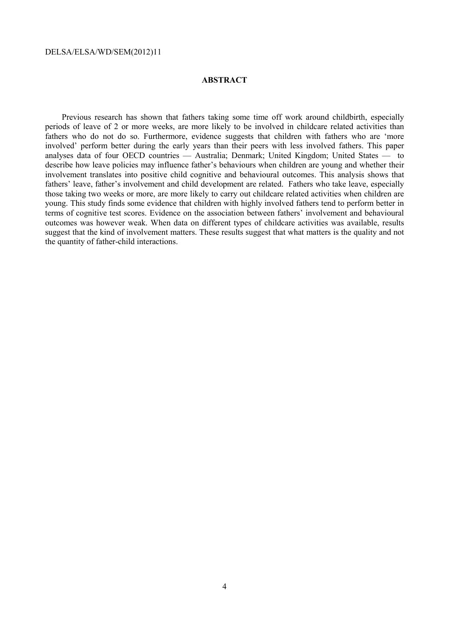#### **ABSTRACT**

Previous research has shown that fathers taking some time off work around childbirth, especially periods of leave of 2 or more weeks, are more likely to be involved in childcare related activities than fathers who do not do so. Furthermore, evidence suggests that children with fathers who are 'more involved' perform better during the early years than their peers with less involved fathers. This paper analyses data of four OECD countries — Australia; Denmark; United Kingdom; United States — to describe how leave policies may influence father's behaviours when children are young and whether their involvement translates into positive child cognitive and behavioural outcomes. This analysis shows that fathers' leave, father's involvement and child development are related. Fathers who take leave, especially those taking two weeks or more, are more likely to carry out childcare related activities when children are young. This study finds some evidence that children with highly involved fathers tend to perform better in terms of cognitive test scores. Evidence on the association between fathers' involvement and behavioural outcomes was however weak. When data on different types of childcare activities was available, results suggest that the kind of involvement matters. These results suggest that what matters is the quality and not the quantity of father-child interactions.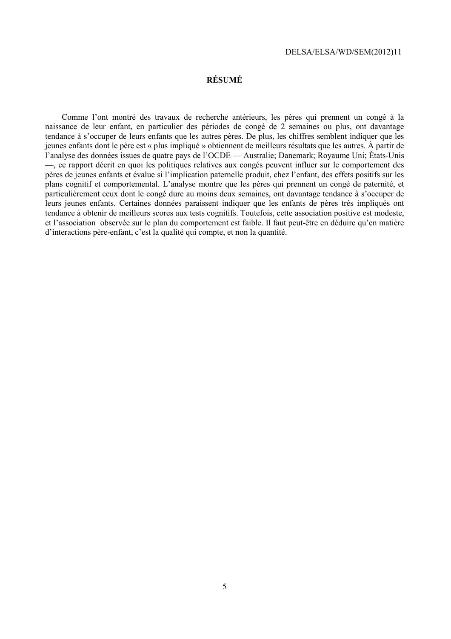#### **RÉSUMÉ**

Comme l'ont montré des travaux de recherche antérieurs, les pères qui prennent un congé à la naissance de leur enfant, en particulier des périodes de congé de 2 semaines ou plus, ont davantage tendance à s'occuper de leurs enfants que les autres pères. De plus, les chiffres semblent indiquer que les jeunes enfants dont le père est « plus impliqué » obtiennent de meilleurs résultats que les autres. À partir de l'analyse des données issues de quatre pays de l'OCDE — Australie; Danemark; Royaume Uni; États-Unis —, ce rapport décrit en quoi les politiques relatives aux congés peuvent influer sur le comportement des pères de jeunes enfants et évalue si l'implication paternelle produit, chez l'enfant, des effets positifs sur les plans cognitif et comportemental. L'analyse montre que les pères qui prennent un congé de paternité, et particulièrement ceux dont le congé dure au moins deux semaines, ont davantage tendance à s'occuper de leurs jeunes enfants. Certaines données paraissent indiquer que les enfants de pères très impliqués ont tendance à obtenir de meilleurs scores aux tests cognitifs. Toutefois, cette association positive est modeste, et l'association observée sur le plan du comportement est faible. Il faut peut-être en déduire qu'en matière d'interactions père-enfant, c'est la qualité qui compte, et non la quantité.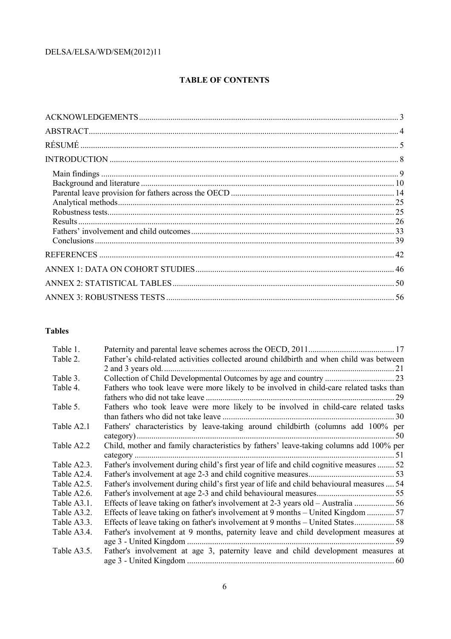# **TABLE OF CONTENTS**

# **Tables**

| Table 1.    |                                                                                           |
|-------------|-------------------------------------------------------------------------------------------|
| Table 2.    | Father's child-related activities collected around childbirth and when child was between  |
|             |                                                                                           |
| Table 3.    |                                                                                           |
| Table 4.    | Fathers who took leave were more likely to be involved in child-care related tasks than   |
|             |                                                                                           |
| Table 5.    | Fathers who took leave were more likely to be involved in child-care related tasks        |
|             |                                                                                           |
| Table A2.1  | Fathers' characteristics by leave-taking around childbirth (columns add 100% per          |
|             |                                                                                           |
| Table A2.2  | Child, mother and family characteristics by fathers' leave-taking columns add 100% per    |
|             |                                                                                           |
| Table A2.3. | Father's involvement during child's first year of life and child cognitive measures  52   |
| Table A2.4. |                                                                                           |
| Table A2.5. | Father's involvement during child's first year of life and child behavioural measures  54 |
| Table A2.6. |                                                                                           |
| Table A3.1. |                                                                                           |
| Table A3.2. | Effects of leave taking on father's involvement at 9 months – United Kingdom 57           |
| Table A3.3. |                                                                                           |
| Table A3.4. | Father's involvement at 9 months, paternity leave and child development measures at       |
|             | -59                                                                                       |
| Table A3.5. | Father's involvement at age 3, paternity leave and child development measures at          |
|             |                                                                                           |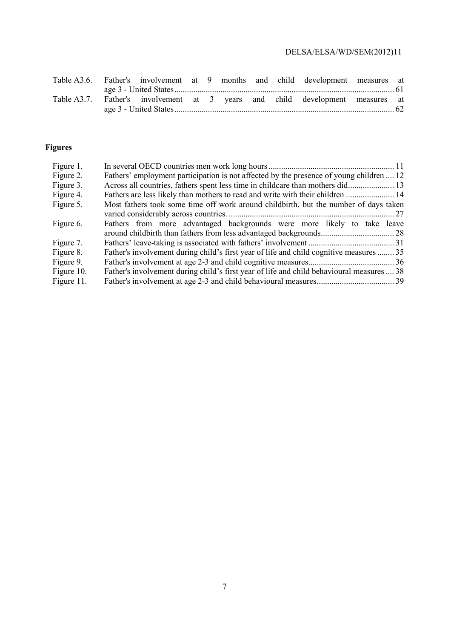|  |  |  |  | Table A3.6. Father's involvement at 9 months and child development measures at |  |
|--|--|--|--|--------------------------------------------------------------------------------|--|
|  |  |  |  |                                                                                |  |
|  |  |  |  | Table A3.7. Father's involvement at 3 years and child development measures at  |  |
|  |  |  |  |                                                                                |  |

# **Figures**

| Figure 1.  |                                                                                           |
|------------|-------------------------------------------------------------------------------------------|
| Figure 2.  | Fathers' employment participation is not affected by the presence of young children  12   |
| Figure 3.  | Across all countries, fathers spent less time in childcare than mothers did 13            |
| Figure 4.  | Fathers are less likely than mothers to read and write with their children  14            |
| Figure 5.  | Most fathers took some time off work around childbirth, but the number of days taken      |
|            |                                                                                           |
| Figure 6.  | Fathers from more advantaged backgrounds were more likely to take leave                   |
|            |                                                                                           |
| Figure 7.  |                                                                                           |
| Figure 8.  | Father's involvement during child's first year of life and child cognitive measures  35   |
| Figure 9.  |                                                                                           |
| Figure 10. | Father's involvement during child's first year of life and child behavioural measures  38 |
| Figure 11. |                                                                                           |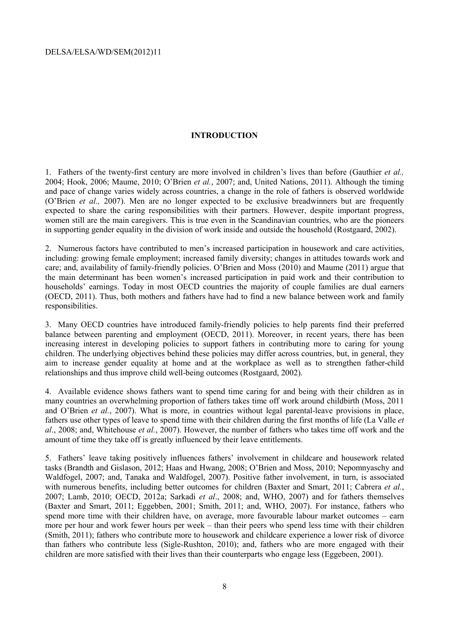#### **INTRODUCTION**

1. Fathers of the twenty-first century are more involved in children's lives than before (Gauthier *et al.,* 2004; Hook, 2006; Maume, 2010; O'Brien *et al.*, 2007; and, United Nations, 2011). Although the timing and pace of change varies widely across countries, a change in the role of fathers is observed worldwide (O'Brien *et al.,* 2007). Men are no longer expected to be exclusive breadwinners but are frequently expected to share the caring responsibilities with their partners. However, despite important progress, women still are the main caregivers. This is true even in the Scandinavian countries, who are the pioneers in supporting gender equality in the division of work inside and outside the household (Rostgaard, 2002).

2. Numerous factors have contributed to men's increased participation in housework and care activities, including: growing female employment; increased family diversity; changes in attitudes towards work and care; and, availability of family-friendly policies. O'Brien and Moss (2010) and Maume (2011) argue that the main determinant has been women's increased participation in paid work and their contribution to households' earnings. Today in most OECD countries the majority of couple families are dual earners (OECD, 2011). Thus, both mothers and fathers have had to find a new balance between work and family responsibilities.

3. Many OECD countries have introduced family-friendly policies to help parents find their preferred balance between parenting and employment (OECD, 2011). Moreover, in recent years, there has been increasing interest in developing policies to support fathers in contributing more to caring for young children. The underlying objectives behind these policies may differ across countries, but, in general, they aim to increase gender equality at home and at the workplace as well as to strengthen father-child relationships and thus improve child well-being outcomes (Rostgaard, 2002).

4. Available evidence shows fathers want to spend time caring for and being with their children as in many countries an overwhelming proportion of fathers takes time off work around childbirth (Moss, 2011 and O'Brien *et al.*, 2007). What is more, in countries without legal parental-leave provisions in place, fathers use other types of leave to spend time with their children during the first months of life (La Valle *et al*., 2008; and, Whitehouse *et al.*, 2007). However, the number of fathers who takes time off work and the amount of time they take off is greatly influenced by their leave entitlements.

5. Fathers' leave taking positively influences fathers' involvement in childcare and housework related tasks (Brandth and Gislason, 2012; Haas and Hwang, 2008; O'Brien and Moss, 2010; Nepomnyaschy and Waldfogel, 2007; and, Tanaka and Waldfogel, 2007). Positive father involvement, in turn, is associated with numerous benefits, including better outcomes for children (Baxter and Smart, 2011; Cabrera *et al.*, 2007; Lamb, 2010; OECD, 2012a; Sarkadi *et al*., 2008; and, WHO, 2007) and for fathers themselves (Baxter and Smart, 2011; Eggebben, 2001; Smith, 2011; and, WHO, 2007). For instance, fathers who spend more time with their children have, on average, more favourable labour market outcomes – earn more per hour and work fewer hours per week – than their peers who spend less time with their children (Smith, 2011); fathers who contribute more to housework and childcare experience a lower risk of divorce than fathers who contribute less (Sigle-Rushton, 2010); and, fathers who are more engaged with their children are more satisfied with their lives than their counterparts who engage less (Eggebeen, 2001).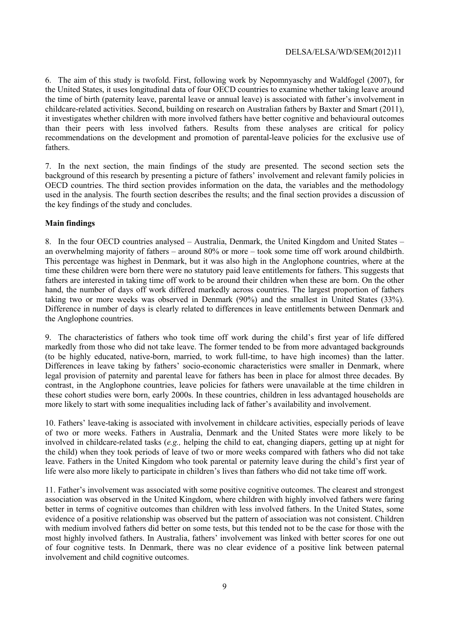6. The aim of this study is twofold. First, following work by Nepomnyaschy and Waldfogel (2007), for the United States, it uses longitudinal data of four OECD countries to examine whether taking leave around the time of birth (paternity leave, parental leave or annual leave) is associated with father's involvement in childcare-related activities. Second, building on research on Australian fathers by Baxter and Smart (2011), it investigates whether children with more involved fathers have better cognitive and behavioural outcomes than their peers with less involved fathers. Results from these analyses are critical for policy recommendations on the development and promotion of parental-leave policies for the exclusive use of fathers.

7. In the next section, the main findings of the study are presented. The second section sets the background of this research by presenting a picture of fathers' involvement and relevant family policies in OECD countries. The third section provides information on the data, the variables and the methodology used in the analysis. The fourth section describes the results; and the final section provides a discussion of the key findings of the study and concludes.

#### **Main findings**

8. In the four OECD countries analysed – Australia, Denmark, the United Kingdom and United States – an overwhelming majority of fathers – around 80% or more – took some time off work around childbirth. This percentage was highest in Denmark, but it was also high in the Anglophone countries, where at the time these children were born there were no statutory paid leave entitlements for fathers. This suggests that fathers are interested in taking time off work to be around their children when these are born. On the other hand, the number of days off work differed markedly across countries. The largest proportion of fathers taking two or more weeks was observed in Denmark (90%) and the smallest in United States (33%). Difference in number of days is clearly related to differences in leave entitlements between Denmark and the Anglophone countries.

9. The characteristics of fathers who took time off work during the child's first year of life differed markedly from those who did not take leave. The former tended to be from more advantaged backgrounds (to be highly educated, native-born, married, to work full-time, to have high incomes) than the latter. Differences in leave taking by fathers' socio-economic characteristics were smaller in Denmark, where legal provision of paternity and parental leave for fathers has been in place for almost three decades. By contrast, in the Anglophone countries, leave policies for fathers were unavailable at the time children in these cohort studies were born, early 2000s. In these countries, children in less advantaged households are more likely to start with some inequalities including lack of father's availability and involvement.

10. Fathers' leave-taking is associated with involvement in childcare activities, especially periods of leave of two or more weeks. Fathers in Australia, Denmark and the United States were more likely to be involved in childcare-related tasks (*e.g.,* helping the child to eat, changing diapers, getting up at night for the child) when they took periods of leave of two or more weeks compared with fathers who did not take leave. Fathers in the United Kingdom who took parental or paternity leave during the child's first year of life were also more likely to participate in children's lives than fathers who did not take time off work.

11. Father's involvement was associated with some positive cognitive outcomes. The clearest and strongest association was observed in the United Kingdom, where children with highly involved fathers were faring better in terms of cognitive outcomes than children with less involved fathers. In the United States, some evidence of a positive relationship was observed but the pattern of association was not consistent. Children with medium involved fathers did better on some tests, but this tended not to be the case for those with the most highly involved fathers. In Australia, fathers' involvement was linked with better scores for one out of four cognitive tests. In Denmark, there was no clear evidence of a positive link between paternal involvement and child cognitive outcomes.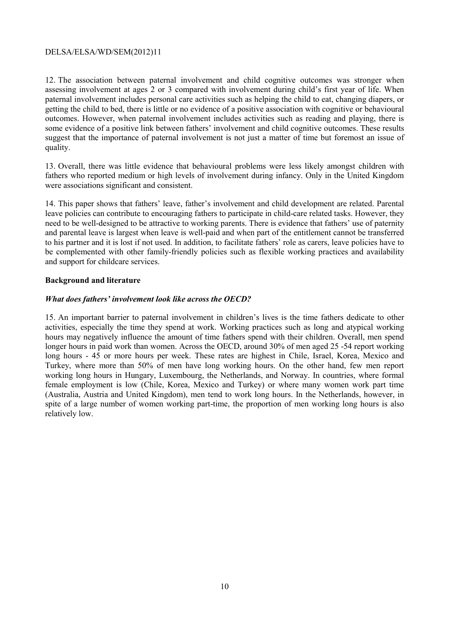12. The association between paternal involvement and child cognitive outcomes was stronger when assessing involvement at ages 2 or 3 compared with involvement during child's first year of life. When paternal involvement includes personal care activities such as helping the child to eat, changing diapers, or getting the child to bed, there is little or no evidence of a positive association with cognitive or behavioural outcomes. However, when paternal involvement includes activities such as reading and playing, there is some evidence of a positive link between fathers' involvement and child cognitive outcomes. These results suggest that the importance of paternal involvement is not just a matter of time but foremost an issue of quality.

13. Overall, there was little evidence that behavioural problems were less likely amongst children with fathers who reported medium or high levels of involvement during infancy. Only in the United Kingdom were associations significant and consistent.

14. This paper shows that fathers' leave, father's involvement and child development are related. Parental leave policies can contribute to encouraging fathers to participate in child-care related tasks. However, they need to be well-designed to be attractive to working parents. There is evidence that fathers' use of paternity and parental leave is largest when leave is well-paid and when part of the entitlement cannot be transferred to his partner and it is lost if not used. In addition, to facilitate fathers' role as carers, leave policies have to be complemented with other family-friendly policies such as flexible working practices and availability and support for childcare services.

#### **Background and literature**

#### *What does fathers' involvement look like across the OECD?*

15. An important barrier to paternal involvement in children's lives is the time fathers dedicate to other activities, especially the time they spend at work. Working practices such as long and atypical working hours may negatively influence the amount of time fathers spend with their children. Overall, men spend longer hours in paid work than women. Across the OECD, around 30% of men aged 25 -54 report working long hours - 45 or more hours per week. These rates are highest in Chile, Israel, Korea, Mexico and Turkey, where more than 50% of men have long working hours. On the other hand, few men report working long hours in Hungary, Luxembourg, the Netherlands, and Norway. In countries, where formal female employment is low (Chile, Korea, Mexico and Turkey) or where many women work part time (Australia, Austria and United Kingdom), men tend to work long hours. In the Netherlands, however, in spite of a large number of women working part-time, the proportion of men working long hours is also relatively low.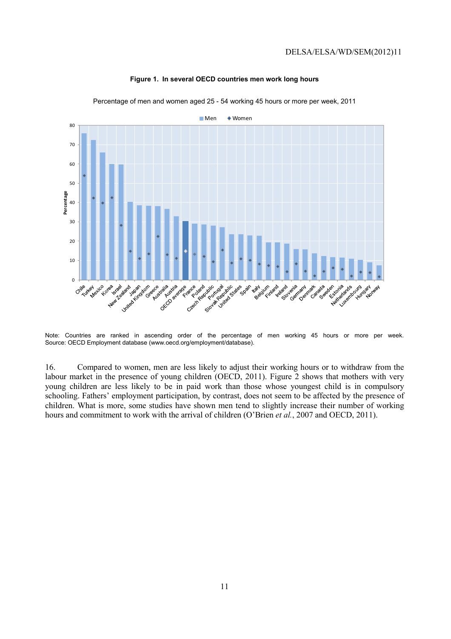

#### **Figure 1. In several OECD countries men work long hours**

Percentage of men and women aged 25 - 54 working 45 hours or more per week, 2011

16. Compared to women, men are less likely to adjust their working hours or to withdraw from the labour market in the presence of young children (OECD, 2011). Figure 2 shows that mothers with very young children are less likely to be in paid work than those whose youngest child is in compulsory schooling. Fathers' employment participation, by contrast, does not seem to be affected by the presence of children. What is more, some studies have shown men tend to slightly increase their number of working hours and commitment to work with the arrival of children (O'Brien *et al.*, 2007 and OECD, 2011).

Note: Countries are ranked in ascending order of the percentage of men working 45 hours or more per week. Source: OECD Employment database (www.oecd.org/employment/database).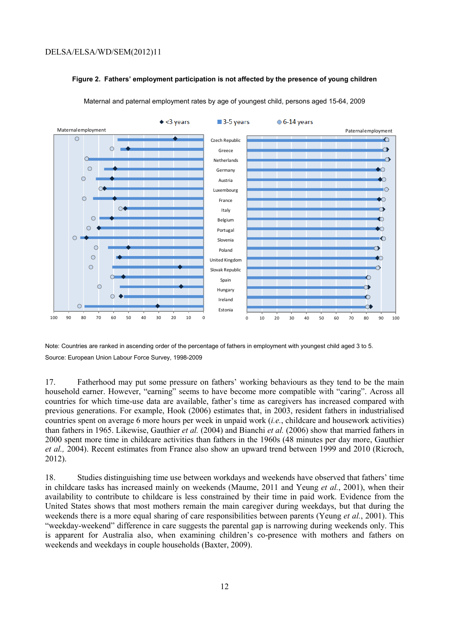#### **Figure 2. Fathers' employment participation is not affected by the presence of young children**



Maternal and paternal employment rates by age of youngest child, persons aged 15-64, 2009

Note: Countries are ranked in ascending order of the percentage of fathers in employment with youngest child aged 3 to 5. Source: European Union Labour Force Survey, 1998-2009

17. Fatherhood may put some pressure on fathers' working behaviours as they tend to be the main household earner. However, "earning" seems to have become more compatible with "caring". Across all countries for which time-use data are available, father's time as caregivers has increased compared with previous generations. For example, Hook (2006) estimates that, in 2003, resident fathers in industrialised countries spent on average 6 more hours per week in unpaid work (*i.e.*, childcare and housework activities) than fathers in 1965. Likewise, Gauthier *et al.* (2004) and Bianchi *et al.* (2006) show that married fathers in 2000 spent more time in childcare activities than fathers in the 1960s (48 minutes per day more, Gauthier *et al.,* 2004). Recent estimates from France also show an upward trend between 1999 and 2010 (Ricroch, 2012).

18. Studies distinguishing time use between workdays and weekends have observed that fathers' time in childcare tasks has increased mainly on weekends (Maume, 2011 and Yeung *et al.*, 2001), when their availability to contribute to childcare is less constrained by their time in paid work. Evidence from the United States shows that most mothers remain the main caregiver during weekdays, but that during the weekends there is a more equal sharing of care responsibilities between parents (Yeung *et al.*, 2001). This "weekday-weekend" difference in care suggests the parental gap is narrowing during weekends only. This is apparent for Australia also, when examining children's co-presence with mothers and fathers on weekends and weekdays in couple households (Baxter, 2009).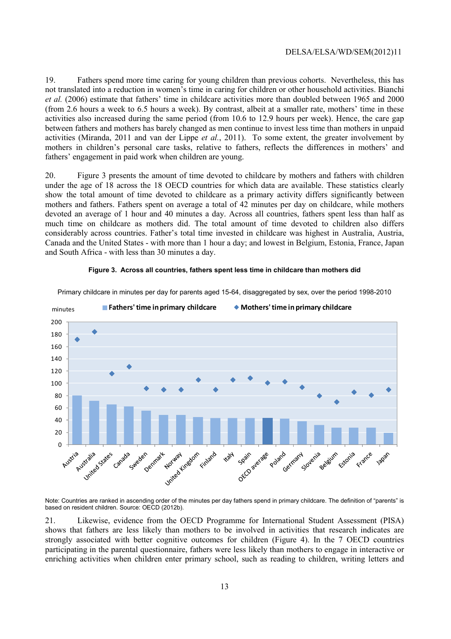19. Fathers spend more time caring for young children than previous cohorts. Nevertheless, this has not translated into a reduction in women's time in caring for children or other household activities. Bianchi *et al.* (2006) estimate that fathers' time in childcare activities more than doubled between 1965 and 2000 (from 2.6 hours a week to 6.5 hours a week). By contrast, albeit at a smaller rate, mothers' time in these activities also increased during the same period (from 10.6 to 12.9 hours per week). Hence, the care gap between fathers and mothers has barely changed as men continue to invest less time than mothers in unpaid activities (Miranda, 2011 and van der Lippe *et al.*, 2011). To some extent, the greater involvement by mothers in children's personal care tasks, relative to fathers, reflects the differences in mothers' and fathers' engagement in paid work when children are young.

20. Figure 3 presents the amount of time devoted to childcare by mothers and fathers with children under the age of 18 across the 18 OECD countries for which data are available. These statistics clearly show the total amount of time devoted to childcare as a primary activity differs significantly between mothers and fathers. Fathers spent on average a total of 42 minutes per day on childcare, while mothers devoted an average of 1 hour and 40 minutes a day. Across all countries, fathers spent less than half as much time on childcare as mothers did. The total amount of time devoted to children also differs considerably across countries. Father's total time invested in childcare was highest in Australia, Austria, Canada and the United States - with more than 1 hour a day; and lowest in Belgium, Estonia, France, Japan and South Africa - with less than 30 minutes a day.



#### **Figure 3. Across all countries, fathers spent less time in childcare than mothers did**

Primary childcare in minutes per day for parents aged 15-64, disaggregated by sex, over the period 1998-2010

Note: Countries are ranked in ascending order of the minutes per day fathers spend in primary childcare. The definition of "parents" is based on resident children. Source: OECD (2012b).

21. Likewise, evidence from the OECD Programme for International Student Assessment (PISA) shows that fathers are less likely than mothers to be involved in activities that research indicates are strongly associated with better cognitive outcomes for children (Figure 4). In the 7 OECD countries participating in the parental questionnaire, fathers were less likely than mothers to engage in interactive or enriching activities when children enter primary school, such as reading to children, writing letters and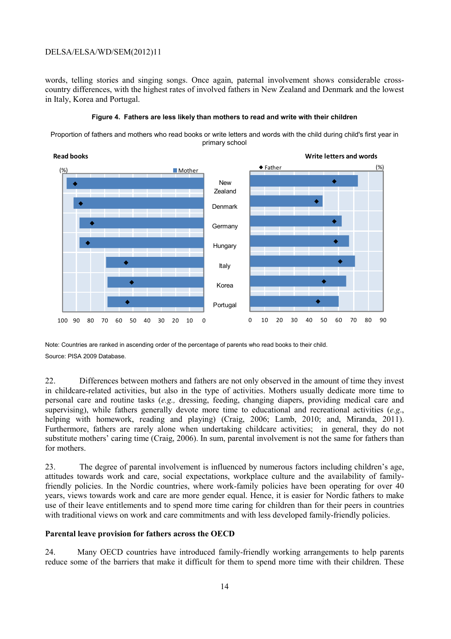words, telling stories and singing songs. Once again, paternal involvement shows considerable crosscountry differences, with the highest rates of involved fathers in New Zealand and Denmark and the lowest in Italy, Korea and Portugal.





Proportion of fathers and mothers who read books or write letters and words with the child during child's first year in primary school

Note: Countries are ranked in ascending order of the percentage of parents who read books to their child. Source: PISA 2009 Database.

22. Differences between mothers and fathers are not only observed in the amount of time they invest in childcare-related activities, but also in the type of activities. Mothers usually dedicate more time to personal care and routine tasks (*e.g.,* dressing, feeding, changing diapers, providing medical care and supervising), while fathers generally devote more time to educational and recreational activities (*e.g*., helping with homework, reading and playing) (Craig, 2006; Lamb, 2010; and, Miranda, 2011). Furthermore, fathers are rarely alone when undertaking childcare activities; in general, they do not substitute mothers' caring time (Craig, 2006). In sum, parental involvement is not the same for fathers than for mothers.

23. The degree of parental involvement is influenced by numerous factors including children's age, attitudes towards work and care, social expectations, workplace culture and the availability of familyfriendly policies. In the Nordic countries, where work-family policies have been operating for over 40 years, views towards work and care are more gender equal. Hence, it is easier for Nordic fathers to make use of their leave entitlements and to spend more time caring for children than for their peers in countries with traditional views on work and care commitments and with less developed family-friendly policies.

#### **Parental leave provision for fathers across the OECD**

24. Many OECD countries have introduced family-friendly working arrangements to help parents reduce some of the barriers that make it difficult for them to spend more time with their children. These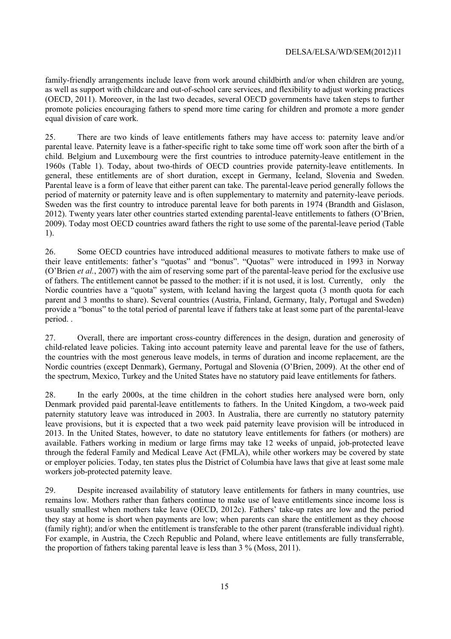family-friendly arrangements include leave from work around childbirth and/or when children are young, as well as support with childcare and out-of-school care services, and flexibility to adjust working practices (OECD, 2011). Moreover, in the last two decades, several OECD governments have taken steps to further promote policies encouraging fathers to spend more time caring for children and promote a more gender equal division of care work.

25. There are two kinds of leave entitlements fathers may have access to: paternity leave and/or parental leave. Paternity leave is a father-specific right to take some time off work soon after the birth of a child. Belgium and Luxembourg were the first countries to introduce paternity-leave entitlement in the 1960s (Table 1). Today, about two-thirds of OECD countries provide paternity-leave entitlements. In general, these entitlements are of short duration, except in Germany, Iceland, Slovenia and Sweden. Parental leave is a form of leave that either parent can take. The parental-leave period generally follows the period of maternity or paternity leave and is often supplementary to maternity and paternity-leave periods. Sweden was the first country to introduce parental leave for both parents in 1974 (Brandth and Gislason, 2012). Twenty years later other countries started extending parental-leave entitlements to fathers (O'Brien, 2009). Today most OECD countries award fathers the right to use some of the parental-leave period (Table 1).

26. Some OECD countries have introduced additional measures to motivate fathers to make use of their leave entitlements: father's "quotas" and "bonus". "Quotas" were introduced in 1993 in Norway (O'Brien *et al.*, 2007) with the aim of reserving some part of the parental-leave period for the exclusive use of fathers. The entitlement cannot be passed to the mother: if it is not used, it is lost. Currently, only the Nordic countries have a "quota" system, with Iceland having the largest quota (3 month quota for each parent and 3 months to share). Several countries (Austria, Finland, Germany, Italy, Portugal and Sweden) provide a "bonus" to the total period of parental leave if fathers take at least some part of the parental-leave period. .

27. Overall, there are important cross-country differences in the design, duration and generosity of child-related leave policies. Taking into account paternity leave and parental leave for the use of fathers, the countries with the most generous leave models, in terms of duration and income replacement, are the Nordic countries (except Denmark), Germany, Portugal and Slovenia (O'Brien, 2009). At the other end of the spectrum, Mexico, Turkey and the United States have no statutory paid leave entitlements for fathers.

28. In the early 2000s, at the time children in the cohort studies here analysed were born, only Denmark provided paid parental-leave entitlements to fathers. In the United Kingdom, a two-week paid paternity statutory leave was introduced in 2003. In Australia, there are currently no statutory paternity leave provisions, but it is expected that a two week paid paternity leave provision will be introduced in 2013. In the United States, however, to date no statutory leave entitlements for fathers (or mothers) are available. Fathers working in medium or large firms may take 12 weeks of unpaid, job-protected leave through the federal Family and Medical Leave Act (FMLA), while other workers may be covered by state or employer policies. Today, ten states plus the District of Columbia have laws that give at least some male workers job-protected paternity leave.

29. Despite increased availability of statutory leave entitlements for fathers in many countries, use remains low. Mothers rather than fathers continue to make use of leave entitlements since income loss is usually smallest when mothers take leave (OECD, 2012c). Fathers' take-up rates are low and the period they stay at home is short when payments are low; when parents can share the entitlement as they choose (family right); and/or when the entitlement is transferable to the other parent (transferable individual right). For example, in Austria, the Czech Republic and Poland, where leave entitlements are fully transferrable, the proportion of fathers taking parental leave is less than 3 % (Moss, 2011).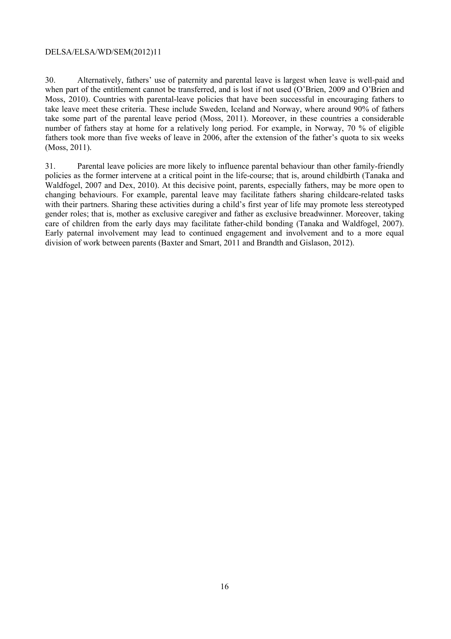30. Alternatively, fathers' use of paternity and parental leave is largest when leave is well-paid and when part of the entitlement cannot be transferred, and is lost if not used (O'Brien, 2009 and O'Brien and Moss, 2010). Countries with parental-leave policies that have been successful in encouraging fathers to take leave meet these criteria. These include Sweden, Iceland and Norway, where around 90% of fathers take some part of the parental leave period (Moss, 2011). Moreover, in these countries a considerable number of fathers stay at home for a relatively long period. For example, in Norway, 70 % of eligible fathers took more than five weeks of leave in 2006, after the extension of the father's quota to six weeks (Moss, 2011).

31. Parental leave policies are more likely to influence parental behaviour than other family-friendly policies as the former intervene at a critical point in the life-course; that is, around childbirth (Tanaka and Waldfogel, 2007 and Dex, 2010). At this decisive point, parents, especially fathers, may be more open to changing behaviours. For example, parental leave may facilitate fathers sharing childcare-related tasks with their partners. Sharing these activities during a child's first year of life may promote less stereotyped gender roles; that is, mother as exclusive caregiver and father as exclusive breadwinner. Moreover, taking care of children from the early days may facilitate father-child bonding (Tanaka and Waldfogel, 2007). Early paternal involvement may lead to continued engagement and involvement and to a more equal division of work between parents (Baxter and Smart, 2011 and Brandth and Gislason, 2012).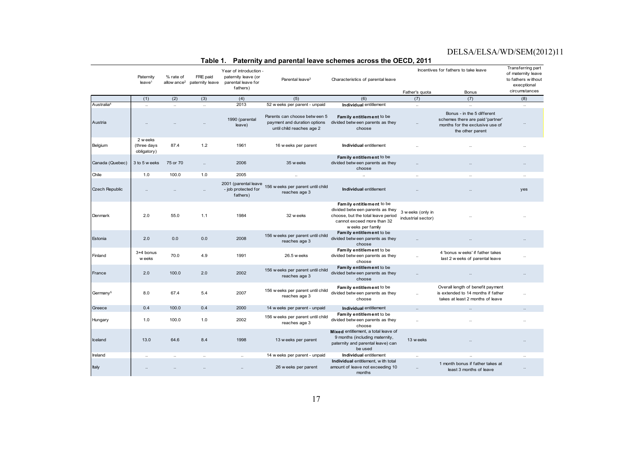|                        | Paternity<br>leave <sup>1</sup>        | % rate of<br>allow ance <sup>2</sup> | FRE paid<br>paternity leave | .<br>Year of introduction -<br>paternity leave (or<br>parental leave for<br>fathers) | <br>Parental leave <sup>3</sup>                                                           | partnar ita'i conferio acroco and the<br>Characteristics of parental leave                                                                            |                                         | Incentives for fathers to take leave                                                                                  | Transferring part<br>of maternity leave<br>to fathers without<br>execptional |
|------------------------|----------------------------------------|--------------------------------------|-----------------------------|--------------------------------------------------------------------------------------|-------------------------------------------------------------------------------------------|-------------------------------------------------------------------------------------------------------------------------------------------------------|-----------------------------------------|-----------------------------------------------------------------------------------------------------------------------|------------------------------------------------------------------------------|
|                        |                                        |                                      |                             |                                                                                      |                                                                                           |                                                                                                                                                       | Father's quota                          | Bonus                                                                                                                 | circumstances                                                                |
|                        | (1)                                    | (2)                                  | (3)                         | (4)                                                                                  | (5)                                                                                       | (6)                                                                                                                                                   | (7)                                     | (7)                                                                                                                   | (8)                                                                          |
| Australia <sup>4</sup> | $\ddotsc$                              | $\ddotsc$                            | $\ddotsc$                   | 2013                                                                                 | 52 w eeks per parent - unpaid                                                             | Individual entitlement                                                                                                                                | $\ddotsc$                               | $\ddotsc$                                                                                                             | $\ddotsc$                                                                    |
| Austria                |                                        |                                      |                             | 1990 (parental<br>leave)                                                             | Parents can choose between 5<br>payment and duration options<br>until child reaches age 2 | Family entitlement to be<br>divided betw een parents as they<br>choose                                                                                | $\ldots$                                | Bonus - in the 5 different<br>schemes there are paid 'partner'<br>months for the exclusive use of<br>the other parent |                                                                              |
| Belgium                | 2 w eeks<br>(three days<br>obligatory) | 87.4                                 | 1.2                         | 1961                                                                                 | 16 weeks per parent                                                                       | Individual entitlement                                                                                                                                |                                         |                                                                                                                       |                                                                              |
| Canada (Quebec)        | 3 to 5 w eeks                          | 75 or 70                             |                             | 2006                                                                                 | 35 w eeks                                                                                 | Family entitlement to be<br>divided betw een parents as they<br>choose                                                                                |                                         |                                                                                                                       |                                                                              |
| Chile                  | 1.0                                    | 100.0                                | 1.0                         | 2005                                                                                 |                                                                                           | $\ldots$                                                                                                                                              |                                         |                                                                                                                       | $\ddotsc$                                                                    |
| Czech Republic         |                                        |                                      |                             | 2001 (parental leave<br>- job protected for<br>fathers)                              | 156 w eeks per parent until child<br>reaches age 3                                        | Individual entitlement                                                                                                                                |                                         |                                                                                                                       | yes                                                                          |
| Denmark                | 2.0                                    | 55.0                                 | 1.1                         | 1984                                                                                 | 32 w eeks                                                                                 | Family entitlement to be<br>divided betw een parents as they<br>choose, but the total leave period<br>cannot exceed more than 32<br>w eeks per family | 3 w eeks (only in<br>industrial sector) |                                                                                                                       |                                                                              |
| Estonia                | 2.0                                    | 0.0                                  | 0.0                         | 2008                                                                                 | 156 w eeks per parent until child<br>reaches age 3                                        | Family entitlement to be<br>divided betw een parents as they<br>choose                                                                                |                                         |                                                                                                                       |                                                                              |
| Finland                | 3+4 bonus<br>w eeks                    | 70.0                                 | 4.9                         | 1991                                                                                 | 26.5 w eeks                                                                               | Family entitlement to be<br>divided betw een parents as they<br>choose                                                                                | $\ddotsc$                               | 4 'bonus w eeks' if father takes<br>last 2 w eeks of parental leave                                                   | $\ddotsc$                                                                    |
| France                 | 2.0                                    | 100.0                                | 2.0                         | 2002                                                                                 | 156 w eeks per parent until child<br>reaches age 3                                        | Family entitlement to be<br>divided betw een parents as they<br>choose                                                                                |                                         |                                                                                                                       |                                                                              |
| Germany <sup>5</sup>   | 8.0                                    | 67.4                                 | 5.4                         | 2007                                                                                 | 156 w eeks per parent until child<br>reaches age 3                                        | Family entitlement to be<br>divided betw een parents as they<br>choose                                                                                | $\ddot{\phantom{a}}$                    | Overall length of benefit payment<br>is extended to 14 months if father<br>takes at least 2 months of leave           |                                                                              |
| Greece                 | 0.4                                    | 100.0                                | 0.4                         | 2000                                                                                 | 14 w eeks per parent - unpaid                                                             | Individual entitlement                                                                                                                                | $\ddot{\phantom{a}}$                    | $\ddot{\phantom{a}}$                                                                                                  |                                                                              |
| Hungary                | 1.0                                    | 100.0                                | 1.0                         | 2002                                                                                 | 156 w eeks per parent until child<br>reaches age 3                                        | Family entitlement to be<br>divided betw een parents as they<br>choose                                                                                |                                         |                                                                                                                       |                                                                              |
| Iceland                | 13.0                                   | 64.6                                 | 8.4                         | 1998                                                                                 | 13 w eeks per parent                                                                      | Mixed entitlement, a total leave of<br>9 months (including maternity,<br>paternity and parental leave) can<br>be used                                 | 13 w eeks                               |                                                                                                                       |                                                                              |
| Ireland                | $\ddots$                               | $\ddotsc$                            | $\ddotsc$                   | $\ddotsc$                                                                            | 14 w eeks per parent - unpaid                                                             | Individual entitlement                                                                                                                                | $\ddotsc$                               |                                                                                                                       | $\ddotsc$                                                                    |
| Italy                  |                                        |                                      |                             |                                                                                      | 26 weeks per parent                                                                       | Individual entitlement, with total<br>amount of leave not exceeding 10<br>months                                                                      | $\ddotsc$                               | 1 month bonus if father takes at<br>least 3 months of leave                                                           | $\ddotsc$                                                                    |

#### **Table 1. Paternity and parental leave schemes across the OECD, 2011**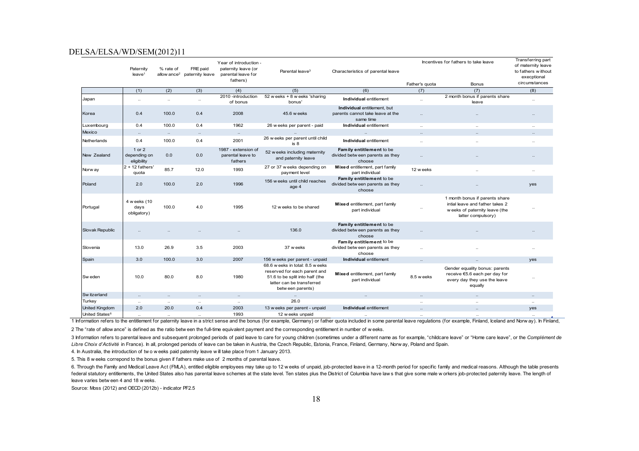|                            | Paternity<br>leave <sup>1</sup>       | % rate of | FRE paid<br>allow ance <sup>2</sup> paternity leave | Year of introduction -<br>paternity leave (or<br>parental leave for<br>fathers) | Parental leave <sup>3</sup>                                                                                                                           | Characteristics of parental leave                                      | Incentives for fathers to take leave<br>Father's quota<br>Bonus |                                                                                                                          | Transferring part<br>of maternity leave<br>to fathers without<br>execptional<br>circumstances |
|----------------------------|---------------------------------------|-----------|-----------------------------------------------------|---------------------------------------------------------------------------------|-------------------------------------------------------------------------------------------------------------------------------------------------------|------------------------------------------------------------------------|-----------------------------------------------------------------|--------------------------------------------------------------------------------------------------------------------------|-----------------------------------------------------------------------------------------------|
|                            | (1)                                   | (2)       | (3)                                                 | (4)                                                                             | (5)                                                                                                                                                   | (6)                                                                    | (7)                                                             | (7)                                                                                                                      | (8)                                                                                           |
| Japan                      | $\ldots$                              | $\ddotsc$ | $\ldots$                                            | 2010 - introduction                                                             | 52 w eeks + 8 w eeks 'sharing                                                                                                                         | Individual entitlement                                                 | $\ldots$                                                        | 2 month bonus if parents share                                                                                           | $\ldots$                                                                                      |
|                            |                                       |           |                                                     | of bonus                                                                        | bonus'                                                                                                                                                | Individual entitlement, but                                            |                                                                 | leave                                                                                                                    |                                                                                               |
| Korea                      | 0.4                                   | 100.0     | 0.4                                                 | 2008                                                                            | 45.6 w eeks                                                                                                                                           | parents cannot take leave at the<br>same time                          | $\ddotsc$                                                       |                                                                                                                          | $\ddot{\phantom{a}}$                                                                          |
| Luxembourg                 | 0.4                                   | 100.0     | 0.4                                                 | 1962                                                                            | 26 w eeks per parent - paid                                                                                                                           | Individual entitlement                                                 | $\ddot{\phantom{a}}$                                            | $\ddot{\phantom{a}}$                                                                                                     | $\ddot{\phantom{a}}$                                                                          |
| Mexico                     | $\ldots$                              | $\ldots$  | $\ddots$                                            | $\ldots$                                                                        |                                                                                                                                                       | $\ldots$                                                               | $\sim$                                                          | $\ddotsc$                                                                                                                | $\ddotsc$                                                                                     |
| Netherlands                | 0.4                                   | 100.0     | 0.4                                                 | 2001                                                                            | 26 w eeks per parent until child<br>is <sub>8</sub>                                                                                                   | Individual entitlement                                                 | $\ldots$                                                        | $\ddotsc$                                                                                                                | $\ldots$                                                                                      |
| New Zealand                | 1 or 2<br>depending on<br>eligibility | 0.0       | 0.0                                                 | 1987 - extension of<br>parental leave to<br>fathers                             | 52 w eeks including maternity<br>and paternity leave                                                                                                  | Family entitlement to be<br>divided betw een parents as they<br>choose |                                                                 |                                                                                                                          |                                                                                               |
| Norw ay                    | $2 + 12$ fathers'<br>quota            | 85.7      | 12.0                                                | 1993                                                                            | 27 or 37 w eeks depending on<br>payment level                                                                                                         | Mixed entitlement, part family<br>part individual                      | 12 w eeks                                                       |                                                                                                                          | $\ldots$                                                                                      |
| Poland                     | 2.0                                   | 100.0     | 2.0                                                 | 1996                                                                            | 156 w eeks until child reaches<br>age 4                                                                                                               | Family entitlement to be<br>divided betw een parents as they<br>choose | $\ddotsc$                                                       |                                                                                                                          | yes                                                                                           |
| Portugal                   | 4 w eeks (10<br>days<br>obligatory)   | 100.0     | 4.0                                                 | 1995                                                                            | 12 w eeks to be shared                                                                                                                                | Mixed entitlement, part family<br>part individual                      | $\ldots$                                                        | 1 month bonus if parents share<br>intial leave and father takes 2<br>weeks of paternity leave (the<br>latter compulsory) |                                                                                               |
| Slovak Republic            |                                       |           |                                                     |                                                                                 | 136.0                                                                                                                                                 | Family entitlement to be<br>divided betw een parents as they<br>choose |                                                                 |                                                                                                                          | $\ddot{\phantom{a}}$                                                                          |
| Slovenia                   | 13.0                                  | 26.9      | 3.5                                                 | 2003                                                                            | 37 w eeks                                                                                                                                             | Family entitlement to be<br>divided betw een parents as they<br>choose | $\ddotsc$                                                       |                                                                                                                          | $\ldots$                                                                                      |
| Spain                      | 3.0                                   | 100.0     | 3.0                                                 | 2007                                                                            | 156 w eeks per parent - unpaid                                                                                                                        | Individual entitlement                                                 | $\ddots$                                                        | $\ldots$                                                                                                                 | yes                                                                                           |
| Sw eden                    | 10.0                                  | 80.0      | 8.0                                                 | 1980                                                                            | 68.6 w eeks in total: 8.5 w eeks<br>reserved for each parent and<br>51.6 to be split into half (the<br>latter can be transferred<br>betw een parents) | Mixed entitlement, part family<br>part individual                      | 8.5 w eeks                                                      | Gender equality bonus: parents<br>receive €5.6 each per day for<br>every day they use the leave<br>equally               | $\cdot$ .                                                                                     |
| Sw itzerland               | $\ldots$                              | $\ddots$  | $\ldots$                                            | $\ldots$                                                                        | $\ldots$                                                                                                                                              | $\ldots$                                                               | $\cdots$                                                        | $\ddots$                                                                                                                 | $\ddots$                                                                                      |
| Turkey                     | $\ldots$                              | $\ddotsc$ | $\ddotsc$                                           | $\ldots$                                                                        | 26.0                                                                                                                                                  |                                                                        | $\ddot{\phantom{a}}$                                            | $\ddots$                                                                                                                 | $\ddots$                                                                                      |
| United Kingdom             | 2.0                                   | 20.0      | 0.4                                                 | 2003                                                                            | 13 w eeks per parent - unpaid                                                                                                                         | Individual entitlement                                                 |                                                                 | $\ddotsc$                                                                                                                | yes                                                                                           |
| United States <sup>6</sup> | $\cdot$ .                             | $\cdots$  | $\cdot$                                             | 1993                                                                            | 12 w eeks unpaid                                                                                                                                      |                                                                        |                                                                 | $\cdot \cdot$                                                                                                            |                                                                                               |

1 Information refers to the entitlement for paternity leave in a strict sense and the bonus (for example, Germany) or father quota included in some parental leave regulations (for example, Finland, Iceland and Norway). In

2 The "rate of allow ance" is defined as the ratio betw een the full-time equivalent payment and the corresponding entitlement in number of w eeks.

3 Information refers to parental leave and subsequent prolonged periods of paid leave to care for young children (sometimes under a different name as for example, "childcare leave" or "Home care leave", or the Complément d *Libre Choix d'Activité* in France). In all, prolonged periods of leave can be taken in Austria, the Czech Republic, Estonia, France, Finland, Germany, Norw ay, Poland and Spain.

4. In Australia, the introduction of tw o w eeks paid paternity leave w ill take place from 1 January 2013.

5. This 8 w eeks correpond to the bonus given if fathers make use of 2 months of parental leave.

6. Through the Family and Medical Leave Act (FMLA), entitled eligible employees may take up to 12 w eeks of unpaid, job-protected leave in a 12-month period for specific family and medical reasons. Although the table prese federal statutory entitlements, the United States also has parental leave schemes at the state level. Ten states plus the District of Columbia have law s that give some male w orkers job-protected paternity leave. The leng leave varies betw een 4 and 18 w eeks.

Source: Moss (2012) and OECD (2012b) - indicator PF2.5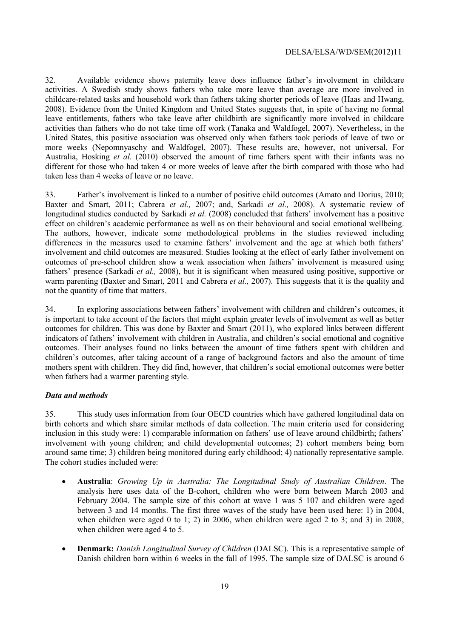32. Available evidence shows paternity leave does influence father's involvement in childcare activities. A Swedish study shows fathers who take more leave than average are more involved in childcare-related tasks and household work than fathers taking shorter periods of leave (Haas and Hwang, 2008). Evidence from the United Kingdom and United States suggests that, in spite of having no formal leave entitlements, fathers who take leave after childbirth are significantly more involved in childcare activities than fathers who do not take time off work (Tanaka and Waldfogel, 2007). Nevertheless, in the United States, this positive association was observed only when fathers took periods of leave of two or more weeks (Nepomnyaschy and Waldfogel, 2007). These results are, however, not universal. For Australia, Hosking *et al.* (2010) observed the amount of time fathers spent with their infants was no different for those who had taken 4 or more weeks of leave after the birth compared with those who had taken less than 4 weeks of leave or no leave.

33. Father's involvement is linked to a number of positive child outcomes (Amato and Dorius, 2010; Baxter and Smart, 2011; Cabrera *et al.,* 2007; and, Sarkadi *et al.,* 2008). A systematic review of longitudinal studies conducted by Sarkadi *et al.* (2008) concluded that fathers' involvement has a positive effect on children's academic performance as well as on their behavioural and social emotional wellbeing. The authors, however, indicate some methodological problems in the studies reviewed including differences in the measures used to examine fathers' involvement and the age at which both fathers' involvement and child outcomes are measured. Studies looking at the effect of early father involvement on outcomes of pre-school children show a weak association when fathers' involvement is measured using fathers' presence (Sarkadi *et al.,* 2008), but it is significant when measured using positive, supportive or warm parenting (Baxter and Smart, 2011 and Cabrera *et al.,* 2007). This suggests that it is the quality and not the quantity of time that matters.

34. In exploring associations between fathers' involvement with children and children's outcomes, it is important to take account of the factors that might explain greater levels of involvement as well as better outcomes for children. This was done by Baxter and Smart (2011), who explored links between different indicators of fathers' involvement with children in Australia, and children's social emotional and cognitive outcomes. Their analyses found no links between the amount of time fathers spent with children and children's outcomes, after taking account of a range of background factors and also the amount of time mothers spent with children. They did find, however, that children's social emotional outcomes were better when fathers had a warmer parenting style.

#### *Data and methods*

35. This study uses information from four OECD countries which have gathered longitudinal data on birth cohorts and which share similar methods of data collection. The main criteria used for considering inclusion in this study were: 1) comparable information on fathers' use of leave around childbirth; fathers' involvement with young children; and child developmental outcomes; 2) cohort members being born around same time; 3) children being monitored during early childhood; 4) nationally representative sample. The cohort studies included were:

- **Australia**: *Growing Up in Australia: The Longitudinal Study of Australian Children*. The analysis here uses data of the B-cohort, children who were born between March 2003 and February 2004. The sample size of this cohort at wave 1 was 5 107 and children were aged between 3 and 14 months. The first three waves of the study have been used here: 1) in 2004, when children were aged 0 to 1: 2) in 2006, when children were aged 2 to 3; and 3) in 2008, when children were aged 4 to 5.
- **Denmark:** *Danish Longitudinal Survey of Children* (DALSC). This is a representative sample of Danish children born within 6 weeks in the fall of 1995. The sample size of DALSC is around 6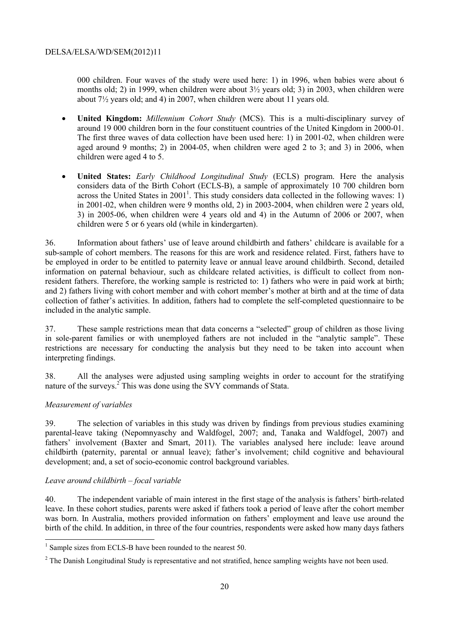000 children. Four waves of the study were used here: 1) in 1996, when babies were about 6 months old; 2) in 1999, when children were about 3½ years old; 3) in 2003, when children were about 7½ years old; and 4) in 2007, when children were about 11 years old.

- **United Kingdom:** *Millennium Cohort Study* (MCS). This is a multi-disciplinary survey of around 19 000 children born in the four constituent countries of the United Kingdom in 2000-01. The first three waves of data collection have been used here: 1) in 2001-02, when children were aged around 9 months; 2) in 2004-05, when children were aged 2 to 3; and 3) in 2006, when children were aged 4 to 5.
- **United States:** *Early Childhood Longitudinal Study* (ECLS) program. Here the analysis considers data of the Birth Cohort (ECLS-B), a sample of approximately 10 700 children born across the United States in  $2001<sup>1</sup>$ . This study considers data collected in the following waves: 1) in 2001-02, when children were 9 months old, 2) in 2003-2004, when children were 2 years old, 3) in 2005-06, when children were 4 years old and 4) in the Autumn of 2006 or 2007, when children were 5 or 6 years old (while in kindergarten).

36. Information about fathers' use of leave around childbirth and fathers' childcare is available for a sub-sample of cohort members. The reasons for this are work and residence related. First, fathers have to be employed in order to be entitled to paternity leave or annual leave around childbirth. Second, detailed information on paternal behaviour, such as childcare related activities, is difficult to collect from nonresident fathers. Therefore, the working sample is restricted to: 1) fathers who were in paid work at birth; and 2) fathers living with cohort member and with cohort member's mother at birth and at the time of data collection of father's activities. In addition, fathers had to complete the self-completed questionnaire to be included in the analytic sample.

37. These sample restrictions mean that data concerns a "selected" group of children as those living in sole-parent families or with unemployed fathers are not included in the "analytic sample". These restrictions are necessary for conducting the analysis but they need to be taken into account when interpreting findings.

38. All the analyses were adjusted using sampling weights in order to account for the stratifying nature of the surveys.<sup>2</sup> This was done using the SVY commands of Stata.

#### *Measurement of variables*

39. The selection of variables in this study was driven by findings from previous studies examining parental-leave taking (Nepomnyaschy and Waldfogel, 2007; and, Tanaka and Waldfogel, 2007) and fathers' involvement (Baxter and Smart, 2011). The variables analysed here include: leave around childbirth (paternity, parental or annual leave); father's involvement; child cognitive and behavioural development; and, a set of socio-economic control background variables.

#### *Leave around childbirth – focal variable*

40. The independent variable of main interest in the first stage of the analysis is fathers' birth-related leave. In these cohort studies, parents were asked if fathers took a period of leave after the cohort member was born. In Australia, mothers provided information on fathers' employment and leave use around the birth of the child. In addition, in three of the four countries, respondents were asked how many days fathers

<sup>&</sup>lt;sup>1</sup> Sample sizes from ECLS-B have been rounded to the nearest 50.

 $2$  The Danish Longitudinal Study is representative and not stratified, hence sampling weights have not been used.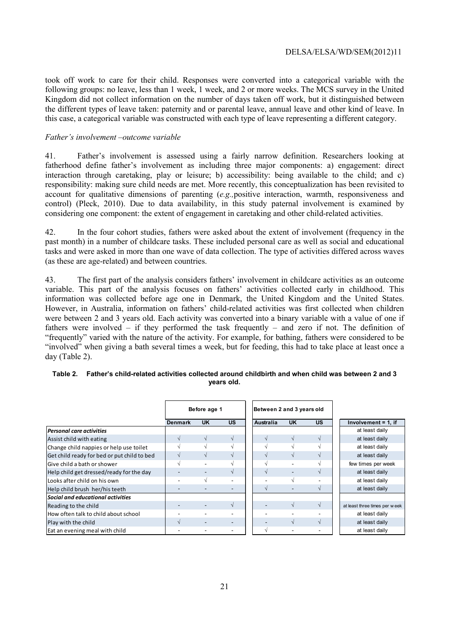took off work to care for their child. Responses were converted into a categorical variable with the following groups: no leave, less than 1 week, 1 week, and 2 or more weeks. The MCS survey in the United Kingdom did not collect information on the number of days taken off work, but it distinguished between the different types of leave taken: paternity and or parental leave, annual leave and other kind of leave. In this case, a categorical variable was constructed with each type of leave representing a different category.

#### *Father's involvement –outcome variable*

41. Father's involvement is assessed using a fairly narrow definition. Researchers looking at fatherhood define father's involvement as including three major components: a) engagement: direct interaction through caretaking, play or leisure; b) accessibility: being available to the child; and c) responsibility: making sure child needs are met. More recently, this conceptualization has been revisited to account for qualitative dimensions of parenting (*e.g.,*positive interaction, warmth, responsiveness and control) (Pleck, 2010). Due to data availability, in this study paternal involvement is examined by considering one component: the extent of engagement in caretaking and other child-related activities.

42. In the four cohort studies, fathers were asked about the extent of involvement (frequency in the past month) in a number of childcare tasks. These included personal care as well as social and educational tasks and were asked in more than one wave of data collection. The type of activities differed across waves (as these are age-related) and between countries.

43. The first part of the analysis considers fathers' involvement in childcare activities as an outcome variable. This part of the analysis focuses on fathers' activities collected early in childhood. This information was collected before age one in Denmark, the United Kingdom and the United States. However, in Australia, information on fathers' child-related activities was first collected when children were between 2 and 3 years old. Each activity was converted into a binary variable with a value of one if fathers were involved – if they performed the task frequently – and zero if not. The definition of "frequently" varied with the nature of the activity. For example, for bathing, fathers were considered to be "involved" when giving a bath several times a week, but for feeding, this had to take place at least once a day (Table 2).

|                                             |                   | Before age 1 |           |
|---------------------------------------------|-------------------|--------------|-----------|
|                                             | <b>Denmark</b>    | <b>UK</b>    | <b>US</b> |
| <b>Personal care activities</b>             |                   |              |           |
| Assist child with eating                    |                   |              |           |
| Change child nappies or help use toilet     |                   |              |           |
| Get child ready for bed or put child to bed |                   |              |           |
| <b>l</b> Give child a bath or shower        | $\mathbf{\hat{}}$ |              |           |
| Help child get dressed/ready for the day    |                   |              |           |
| Looks after child on his own                |                   |              |           |
| Help child brush her/his teeth              |                   |              |           |
| Social and educational activities           |                   |              |           |
| Reading to the child                        |                   |              |           |
| How often talk to child about school        |                   |              |           |
| Play with the child                         |                   |              |           |
| Eat an evening meal with child              |                   |              |           |

#### **Table 2. Father's child-related activities collected around childbirth and when child was between 2 and 3 years old.**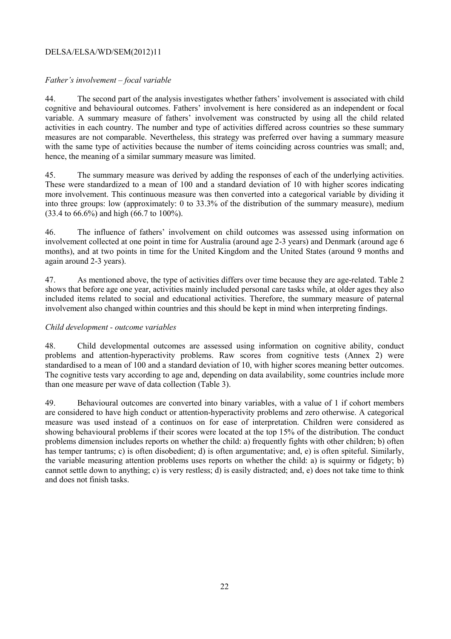#### *Father's involvement – focal variable*

44. The second part of the analysis investigates whether fathers' involvement is associated with child cognitive and behavioural outcomes. Fathers' involvement is here considered as an independent or focal variable. A summary measure of fathers' involvement was constructed by using all the child related activities in each country. The number and type of activities differed across countries so these summary measures are not comparable. Nevertheless, this strategy was preferred over having a summary measure with the same type of activities because the number of items coinciding across countries was small; and, hence, the meaning of a similar summary measure was limited.

45. The summary measure was derived by adding the responses of each of the underlying activities. These were standardized to a mean of 100 and a standard deviation of 10 with higher scores indicating more involvement. This continuous measure was then converted into a categorical variable by dividing it into three groups: low (approximately: 0 to 33.3% of the distribution of the summary measure), medium (33.4 to 66.6%) and high (66.7 to 100%).

46. The influence of fathers' involvement on child outcomes was assessed using information on involvement collected at one point in time for Australia (around age 2-3 years) and Denmark (around age 6 months), and at two points in time for the United Kingdom and the United States (around 9 months and again around 2-3 years).

47. As mentioned above, the type of activities differs over time because they are age-related. Table 2 shows that before age one year, activities mainly included personal care tasks while, at older ages they also included items related to social and educational activities. Therefore, the summary measure of paternal involvement also changed within countries and this should be kept in mind when interpreting findings.

#### *Child development - outcome variables*

48. Child developmental outcomes are assessed using information on cognitive ability, conduct problems and attention-hyperactivity problems. Raw scores from cognitive tests (Annex 2) were standardised to a mean of 100 and a standard deviation of 10, with higher scores meaning better outcomes. The cognitive tests vary according to age and, depending on data availability, some countries include more than one measure per wave of data collection (Table 3).

49. Behavioural outcomes are converted into binary variables, with a value of 1 if cohort members are considered to have high conduct or attention-hyperactivity problems and zero otherwise. A categorical measure was used instead of a continuos on for ease of interpretation. Children were considered as showing behavioural problems if their scores were located at the top 15% of the distribution. The conduct problems dimension includes reports on whether the child: a) frequently fights with other children; b) often has temper tantrums; c) is often disobedient; d) is often argumentative; and, e) is often spiteful. Similarly, the variable measuring attention problems uses reports on whether the child: a) is squirmy or fidgety; b) cannot settle down to anything; c) is very restless; d) is easily distracted; and, e) does not take time to think and does not finish tasks.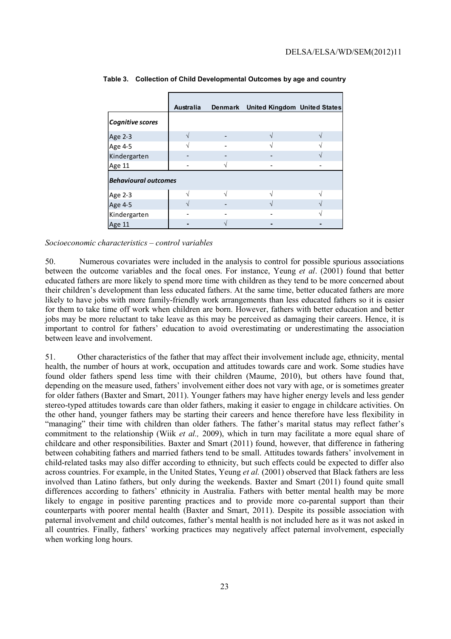|                             | <b>Australia</b> |  | Denmark United Kingdom United States |  |  |  |  |
|-----------------------------|------------------|--|--------------------------------------|--|--|--|--|
| Cognitive scores            |                  |  |                                      |  |  |  |  |
| Age 2-3                     |                  |  |                                      |  |  |  |  |
| Age 4-5                     |                  |  |                                      |  |  |  |  |
| Kindergarten                |                  |  |                                      |  |  |  |  |
| Age 11                      |                  |  |                                      |  |  |  |  |
| <b>Behavioural outcomes</b> |                  |  |                                      |  |  |  |  |
| Age 2-3                     |                  |  |                                      |  |  |  |  |
| Age 4-5                     |                  |  |                                      |  |  |  |  |
| Kindergarten                |                  |  |                                      |  |  |  |  |
| Age 11                      |                  |  |                                      |  |  |  |  |

**Table 3. Collection of Child Developmental Outcomes by age and country** 

*Socioeconomic characteristics – control variables* 

50. Numerous covariates were included in the analysis to control for possible spurious associations between the outcome variables and the focal ones. For instance, Yeung *et al*. (2001) found that better educated fathers are more likely to spend more time with children as they tend to be more concerned about their children's development than less educated fathers. At the same time, better educated fathers are more likely to have jobs with more family-friendly work arrangements than less educated fathers so it is easier for them to take time off work when children are born. However, fathers with better education and better jobs may be more reluctant to take leave as this may be perceived as damaging their careers. Hence, it is important to control for fathers' education to avoid overestimating or underestimating the association between leave and involvement.

51. Other characteristics of the father that may affect their involvement include age, ethnicity, mental health, the number of hours at work, occupation and attitudes towards care and work. Some studies have found older fathers spend less time with their children (Maume, 2010), but others have found that, depending on the measure used, fathers' involvement either does not vary with age, or is sometimes greater for older fathers (Baxter and Smart, 2011). Younger fathers may have higher energy levels and less gender stereo-typed attitudes towards care than older fathers, making it easier to engage in childcare activities. On the other hand, younger fathers may be starting their careers and hence therefore have less flexibility in "managing" their time with children than older fathers. The father's marital status may reflect father's commitment to the relationship (Wiik *et al.,* 2009), which in turn may facilitate a more equal share of childcare and other responsibilities. Baxter and Smart (2011) found, however, that difference in fathering between cohabiting fathers and married fathers tend to be small. Attitudes towards fathers' involvement in child-related tasks may also differ according to ethnicity, but such effects could be expected to differ also across countries. For example, in the United States, Yeung *et al.* (2001) observed that Black fathers are less involved than Latino fathers, but only during the weekends. Baxter and Smart (2011) found quite small differences according to fathers' ethnicity in Australia. Fathers with better mental health may be more likely to engage in positive parenting practices and to provide more co-parental support than their counterparts with poorer mental health (Baxter and Smart, 2011). Despite its possible association with paternal involvement and child outcomes, father's mental health is not included here as it was not asked in all countries. Finally, fathers' working practices may negatively affect paternal involvement, especially when working long hours.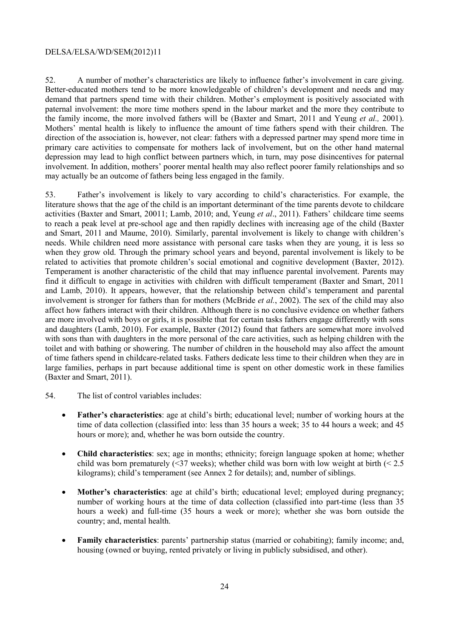52. A number of mother's characteristics are likely to influence father's involvement in care giving. Better-educated mothers tend to be more knowledgeable of children's development and needs and may demand that partners spend time with their children. Mother's employment is positively associated with paternal involvement: the more time mothers spend in the labour market and the more they contribute to the family income, the more involved fathers will be (Baxter and Smart, 2011 and Yeung *et al.,* 2001). Mothers' mental health is likely to influence the amount of time fathers spend with their children. The direction of the association is, however, not clear: fathers with a depressed partner may spend more time in primary care activities to compensate for mothers lack of involvement, but on the other hand maternal depression may lead to high conflict between partners which, in turn, may pose disincentives for paternal involvement. In addition, mothers' poorer mental health may also reflect poorer family relationships and so may actually be an outcome of fathers being less engaged in the family.

53. Father's involvement is likely to vary according to child's characteristics. For example, the literature shows that the age of the child is an important determinant of the time parents devote to childcare activities (Baxter and Smart, 20011; Lamb, 2010; and, Yeung *et al*., 2011). Fathers' childcare time seems to reach a peak level at pre-school age and then rapidly declines with increasing age of the child (Baxter and Smart, 2011 and Maume, 2010). Similarly, parental involvement is likely to change with children's needs. While children need more assistance with personal care tasks when they are young, it is less so when they grow old. Through the primary school years and beyond, parental involvement is likely to be related to activities that promote children's social emotional and cognitive development (Baxter, 2012). Temperament is another characteristic of the child that may influence parental involvement. Parents may find it difficult to engage in activities with children with difficult temperament (Baxter and Smart, 2011 and Lamb, 2010). It appears, however, that the relationship between child's temperament and parental involvement is stronger for fathers than for mothers (McBride *et al.*, 2002). The sex of the child may also affect how fathers interact with their children. Although there is no conclusive evidence on whether fathers are more involved with boys or girls, it is possible that for certain tasks fathers engage differently with sons and daughters (Lamb, 2010). For example, Baxter (2012) found that fathers are somewhat more involved with sons than with daughters in the more personal of the care activities, such as helping children with the toilet and with bathing or showering. The number of children in the household may also affect the amount of time fathers spend in childcare-related tasks. Fathers dedicate less time to their children when they are in large families, perhaps in part because additional time is spent on other domestic work in these families (Baxter and Smart, 2011).

- 54. The list of control variables includes:
	- **Father's characteristics**: age at child's birth; educational level; number of working hours at the time of data collection (classified into: less than 35 hours a week; 35 to 44 hours a week; and 45 hours or more); and, whether he was born outside the country.
	- **Child characteristics**: sex; age in months; ethnicity; foreign language spoken at home; whether child was born prematurely (<37 weeks); whether child was born with low weight at birth (< 2.5 kilograms); child's temperament (see Annex 2 for details); and, number of siblings.
	- **Mother's characteristics**: age at child's birth; educational level; employed during pregnancy; number of working hours at the time of data collection (classified into part-time (less than 35 hours a week) and full-time (35 hours a week or more); whether she was born outside the country; and, mental health.
	- **Family characteristics**: parents' partnership status (married or cohabiting); family income; and, housing (owned or buying, rented privately or living in publicly subsidised, and other).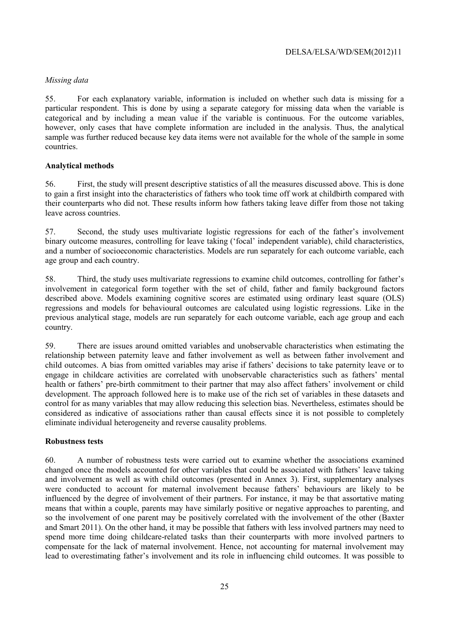#### *Missing data*

55. For each explanatory variable, information is included on whether such data is missing for a particular respondent. This is done by using a separate category for missing data when the variable is categorical and by including a mean value if the variable is continuous. For the outcome variables, however, only cases that have complete information are included in the analysis. Thus, the analytical sample was further reduced because key data items were not available for the whole of the sample in some countries.

#### **Analytical methods**

56. First, the study will present descriptive statistics of all the measures discussed above. This is done to gain a first insight into the characteristics of fathers who took time off work at childbirth compared with their counterparts who did not. These results inform how fathers taking leave differ from those not taking leave across countries.

57. Second, the study uses multivariate logistic regressions for each of the father's involvement binary outcome measures, controlling for leave taking ('focal' independent variable), child characteristics, and a number of socioeconomic characteristics. Models are run separately for each outcome variable, each age group and each country.

58. Third, the study uses multivariate regressions to examine child outcomes, controlling for father's involvement in categorical form together with the set of child, father and family background factors described above. Models examining cognitive scores are estimated using ordinary least square (OLS) regressions and models for behavioural outcomes are calculated using logistic regressions. Like in the previous analytical stage, models are run separately for each outcome variable, each age group and each country.

59. There are issues around omitted variables and unobservable characteristics when estimating the relationship between paternity leave and father involvement as well as between father involvement and child outcomes. A bias from omitted variables may arise if fathers' decisions to take paternity leave or to engage in childcare activities are correlated with unobservable characteristics such as fathers' mental health or fathers' pre-birth commitment to their partner that may also affect fathers' involvement or child development. The approach followed here is to make use of the rich set of variables in these datasets and control for as many variables that may allow reducing this selection bias. Nevertheless, estimates should be considered as indicative of associations rather than causal effects since it is not possible to completely eliminate individual heterogeneity and reverse causality problems.

#### **Robustness tests**

60. A number of robustness tests were carried out to examine whether the associations examined changed once the models accounted for other variables that could be associated with fathers' leave taking and involvement as well as with child outcomes (presented in Annex 3). First, supplementary analyses were conducted to account for maternal involvement because fathers' behaviours are likely to be influenced by the degree of involvement of their partners. For instance, it may be that assortative mating means that within a couple, parents may have similarly positive or negative approaches to parenting, and so the involvement of one parent may be positively correlated with the involvement of the other (Baxter and Smart 2011). On the other hand, it may be possible that fathers with less involved partners may need to spend more time doing childcare-related tasks than their counterparts with more involved partners to compensate for the lack of maternal involvement. Hence, not accounting for maternal involvement may lead to overestimating father's involvement and its role in influencing child outcomes. It was possible to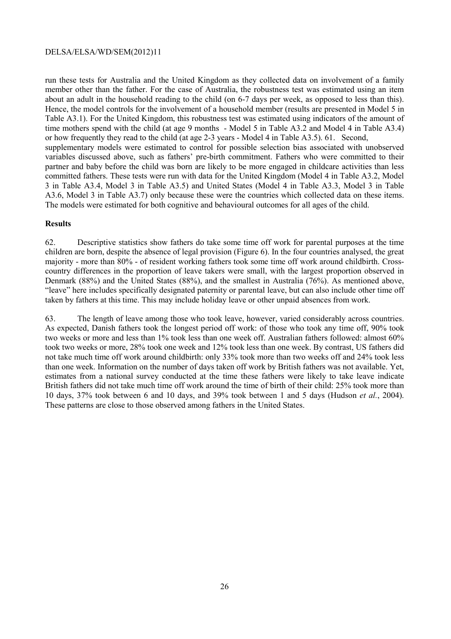run these tests for Australia and the United Kingdom as they collected data on involvement of a family member other than the father. For the case of Australia, the robustness test was estimated using an item about an adult in the household reading to the child (on 6-7 days per week, as opposed to less than this). Hence, the model controls for the involvement of a household member (results are presented in Model 5 in Table A3.1). For the United Kingdom, this robustness test was estimated using indicators of the amount of time mothers spend with the child (at age 9 months - Model 5 in Table A3.2 and Model 4 in Table A3.4) or how frequently they read to the child (at age 2-3 years - Model 4 in Table A3.5). 61. Second, supplementary models were estimated to control for possible selection bias associated with unobserved variables discussed above, such as fathers' pre-birth commitment. Fathers who were committed to their partner and baby before the child was born are likely to be more engaged in childcare activities than less committed fathers. These tests were run with data for the United Kingdom (Model 4 in Table A3.2, Model 3 in Table A3.4, Model 3 in Table A3.5) and United States (Model 4 in Table A3.3, Model 3 in Table A3.6, Model 3 in Table A3.7) only because these were the countries which collected data on these items. The models were estimated for both cognitive and behavioural outcomes for all ages of the child.

#### **Results**

62. Descriptive statistics show fathers do take some time off work for parental purposes at the time children are born, despite the absence of legal provision (Figure 6). In the four countries analysed, the great majority - more than 80% - of resident working fathers took some time off work around childbirth. Crosscountry differences in the proportion of leave takers were small, with the largest proportion observed in Denmark (88%) and the United States (88%), and the smallest in Australia (76%). As mentioned above, "leave" here includes specifically designated paternity or parental leave, but can also include other time off taken by fathers at this time. This may include holiday leave or other unpaid absences from work.

63. The length of leave among those who took leave, however, varied considerably across countries. As expected, Danish fathers took the longest period off work: of those who took any time off, 90% took two weeks or more and less than 1% took less than one week off. Australian fathers followed: almost 60% took two weeks or more, 28% took one week and 12% took less than one week. By contrast, US fathers did not take much time off work around childbirth: only 33% took more than two weeks off and 24% took less than one week. Information on the number of days taken off work by British fathers was not available. Yet, estimates from a national survey conducted at the time these fathers were likely to take leave indicate British fathers did not take much time off work around the time of birth of their child: 25% took more than 10 days, 37% took between 6 and 10 days, and 39% took between 1 and 5 days (Hudson *et al.*, 2004). These patterns are close to those observed among fathers in the United States.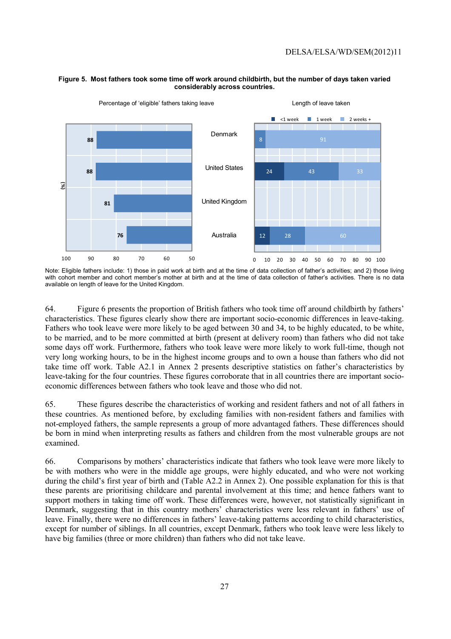

#### **Figure 5. Most fathers took some time off work around childbirth, but the number of days taken varied considerably across countries.**

64. Figure 6 presents the proportion of British fathers who took time off around childbirth by fathers' characteristics. These figures clearly show there are important socio-economic differences in leave-taking. Fathers who took leave were more likely to be aged between 30 and 34, to be highly educated, to be white, to be married, and to be more committed at birth (present at delivery room) than fathers who did not take some days off work. Furthermore, fathers who took leave were more likely to work full-time, though not very long working hours, to be in the highest income groups and to own a house than fathers who did not take time off work. Table A2.1 in Annex 2 presents descriptive statistics on father's characteristics by leave-taking for the four countries. These figures corroborate that in all countries there are important socioeconomic differences between fathers who took leave and those who did not.

65. These figures describe the characteristics of working and resident fathers and not of all fathers in these countries. As mentioned before, by excluding families with non-resident fathers and families with not-employed fathers, the sample represents a group of more advantaged fathers. These differences should be born in mind when interpreting results as fathers and children from the most vulnerable groups are not examined.

66. Comparisons by mothers' characteristics indicate that fathers who took leave were more likely to be with mothers who were in the middle age groups, were highly educated, and who were not working during the child's first year of birth and (Table A2.2 in Annex 2). One possible explanation for this is that these parents are prioritising childcare and parental involvement at this time; and hence fathers want to support mothers in taking time off work. These differences were, however, not statistically significant in Denmark, suggesting that in this country mothers' characteristics were less relevant in fathers' use of leave. Finally, there were no differences in fathers' leave-taking patterns according to child characteristics, except for number of siblings. In all countries, except Denmark, fathers who took leave were less likely to have big families (three or more children) than fathers who did not take leave.

Note: Eligible fathers include: 1) those in paid work at birth and at the time of data collection of father's activities; and 2) those living with cohort member and cohort member's mother at birth and at the time of data collection of father's activities. There is no data available on length of leave for the United Kingdom.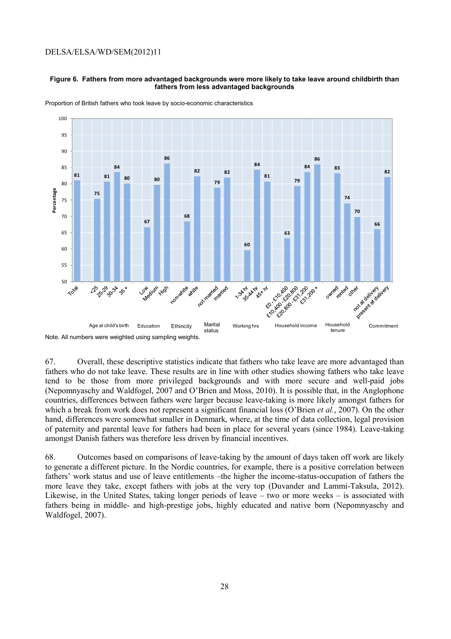#### **Figure 6. Fathers from more advantaged backgrounds were more likely to take leave around childbirth than fathers from less advantaged backgrounds**



Proportion of British fathers who took leave by socio-economic characteristics

67. Overall, these descriptive statistics indicate that fathers who take leave are more advantaged than fathers who do not take leave. These results are in line with other studies showing fathers who take leave tend to be those from more privileged backgrounds and with more secure and well-paid jobs (Nepomnyaschy and Waldfogel, 2007 and O'Brien and Moss, 2010). It is possible that, in the Anglophone countries, differences between fathers were larger because leave-taking is more likely amongst fathers for which a break from work does not represent a significant financial loss (O'Brien *et al.*, 2007). On the other hand, differences were somewhat smaller in Denmark, where, at the time of data collection, legal provision of paternity and parental leave for fathers had been in place for several years (since 1984). Leave-taking amongst Danish fathers was therefore less driven by financial incentives.

68. Outcomes based on comparisons of leave-taking by the amount of days taken off work are likely to generate a different picture. In the Nordic countries, for example, there is a positive correlation between fathers' work status and use of leave entitlements –the higher the income-status-occupation of fathers the more leave they take, except fathers with jobs at the very top (Duvander and Lammi-Taksula, 2012). Likewise, in the United States, taking longer periods of leave – two or more weeks – is associated with fathers being in middle- and high-prestige jobs, highly educated and native born (Nepomnyaschy and Waldfogel, 2007).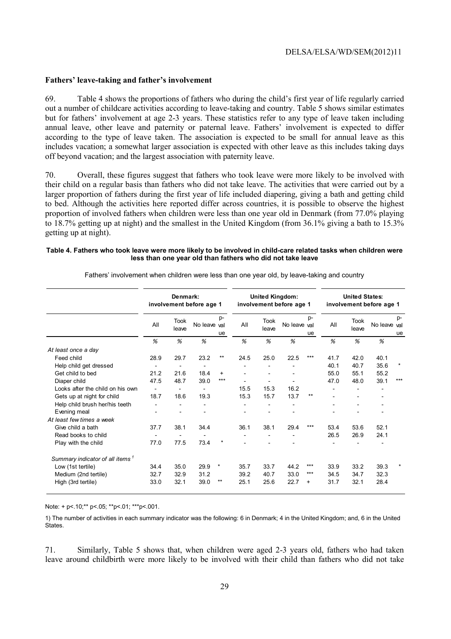#### **Fathers' leave-taking and father's involvement**

69. Table 4 shows the proportions of fathers who during the child's first year of life regularly carried out a number of childcare activities according to leave-taking and country. Table 5 shows similar estimates but for fathers' involvement at age 2-3 years. These statistics refer to any type of leave taken including annual leave, other leave and paternity or paternal leave. Fathers' involvement is expected to differ according to the type of leave taken. The association is expected to be small for annual leave as this includes vacation; a somewhat larger association is expected with other leave as this includes taking days off beyond vacation; and the largest association with paternity leave.

70. Overall, these figures suggest that fathers who took leave were more likely to be involved with their child on a regular basis than fathers who did not take leave. The activities that were carried out by a larger proportion of fathers during the first year of life included diapering, giving a bath and getting child to bed. Although the activities here reported differ across countries, it is possible to observe the highest proportion of involved fathers when children were less than one year old in Denmark (from 77.0% playing to 18.7% getting up at night) and the smallest in the United Kingdom (from 36.1% giving a bath to 15.3% getting up at night).

#### **Table 4. Fathers who took leave were more likely to be involved in child-care related tasks when children were less than one year old than fathers who did not take leave**

|                                             | Denmark:<br>involvement before age 1 |                          |                          |           |      | <b>United Kingdom:</b>       | involvement before age 1 | <b>United States:</b><br>involvement before age 1 |      |                      |              |          |
|---------------------------------------------|--------------------------------------|--------------------------|--------------------------|-----------|------|------------------------------|--------------------------|---------------------------------------------------|------|----------------------|--------------|----------|
|                                             | All                                  | <b>Took</b><br>leave     | No leave val             | p-<br>ue  | All  | <b>Took</b><br>leave         | No leave val             | p-<br>ue                                          | All  | <b>Took</b><br>leave | No leave val | p-<br>ue |
|                                             | %                                    | %                        | %                        |           | %    | %                            | %                        |                                                   | %    | %                    | %            |          |
| At least once a day                         |                                      |                          |                          |           |      |                              |                          |                                                   |      |                      |              |          |
| Feed child                                  | 28.9                                 | 29.7                     | 23.2                     | $***$     | 24.5 | 25.0                         | 22.5                     | ***                                               | 41.7 | 42.0                 | 40.1         |          |
| Help child get dressed                      | $\overline{\phantom{a}}$             | $\overline{\phantom{a}}$ | $\overline{\phantom{a}}$ |           |      |                              |                          |                                                   | 40.1 | 40.7                 | 35.6         | $\star$  |
| Get child to bed                            | 21.2                                 | 21.6                     | 18.4                     | $\ddot{}$ |      | $\qquad \qquad \blacksquare$ | ۰                        |                                                   | 55.0 | 55.1                 | 55.2         |          |
| Diaper child                                | 47.5                                 | 48.7                     | 39.0                     | ***       |      |                              |                          |                                                   | 47.0 | 48.0                 | 39.1         | $***$    |
| Looks after the child on his own            |                                      |                          | $\blacksquare$           |           | 15.5 | 15.3                         | 16.2                     |                                                   |      |                      |              |          |
| Gets up at night for child                  | 18.7                                 | 18.6                     | 19.3                     |           | 15.3 | 15.7                         | 13.7                     | $***$                                             |      |                      |              |          |
| Help child brush her/his teeth              |                                      |                          |                          |           |      |                              |                          |                                                   |      |                      |              |          |
| Evening meal                                |                                      |                          |                          |           |      | $\overline{\phantom{a}}$     |                          |                                                   |      |                      |              |          |
| At least few times a week                   |                                      |                          |                          |           |      |                              |                          |                                                   |      |                      |              |          |
| Give child a bath                           | 37.7                                 | 38.1                     | 34.4                     |           | 36.1 | 38.1                         | 29.4                     | ***                                               | 53.4 | 53.6                 | 52.1         |          |
| Read books to child                         |                                      |                          |                          |           |      |                              |                          |                                                   | 26.5 | 26.9                 | 24.1         |          |
| Play with the child                         | 77.0                                 | 77.5                     | 73.4                     | $\star$   |      |                              |                          |                                                   |      |                      |              |          |
| Summary indicator of all items <sup>1</sup> |                                      |                          |                          |           |      |                              |                          |                                                   |      |                      |              |          |
| Low (1st tertile)                           | 34.4                                 | 35.0                     | 29.9                     | $\star$   | 35.7 | 33.7                         | 44.2                     | ***                                               | 33.9 | 33.2                 | 39.3         | $\star$  |
| Medium (2nd tertile)                        | 32.7                                 | 32.9                     | 31.2                     |           | 39.2 | 40.7                         | 33.0                     | ***                                               | 34.5 | 34.7                 | 32.3         |          |
| High (3rd tertile)                          | 33.0                                 | 32.1                     | 39.0                     | $***$     | 25.1 | 25.6                         | 22.7                     | $\ddot{}$                                         | 31.7 | 32.1                 | 28.4         |          |

Fathers' involvement when children were less than one year old, by leave-taking and country

Note: + p<.10;\*\* p<.05; \*\*p<.01; \*\*\*p<.001.

1) The number of activities in each summary indicator was the following: 6 in Denmark; 4 in the United Kingdom; and, 6 in the United **States** 

71. Similarly, Table 5 shows that, when children were aged 2-3 years old, fathers who had taken leave around childbirth were more likely to be involved with their child than fathers who did not take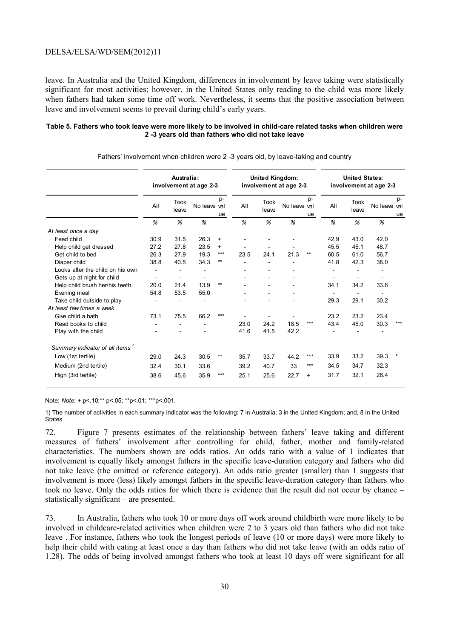leave. In Australia and the United Kingdom, differences in involvement by leave taking were statistically significant for most activities; however, in the United States only reading to the child was more likely when fathers had taken some time off work. Nevertheless, it seems that the positive association between leave and involvement seems to prevail during child's early years.

#### **Table 5. Fathers who took leave were more likely to be involved in child-care related tasks when children were 2 -3 years old than fathers who did not take leave**

|                                             |      | Australia:               | involvement at age 2-3 |           | <b>United Kingdom:</b> | involvement at age 2-3 | <b>United States:</b><br>involvement at age 2-3 |           |                          |               |              |          |
|---------------------------------------------|------|--------------------------|------------------------|-----------|------------------------|------------------------|-------------------------------------------------|-----------|--------------------------|---------------|--------------|----------|
|                                             | All  | <b>Took</b><br>leave     | No leave val           | p-<br>ue  | All                    | <b>Took</b><br>leave   | No leave val                                    | p-<br>ue  | All                      | Took<br>leave | No leave val | p-<br>ue |
|                                             | %    | %                        | %                      |           | %                      | %                      | %                                               |           | %                        | %             | %            |          |
| At least once a day                         |      |                          |                        |           |                        |                        |                                                 |           |                          |               |              |          |
| Feed child                                  | 30.9 | 31.5                     | 26.3                   | $\ddot{}$ |                        |                        |                                                 |           | 42.9                     | 43.0          | 42.0         |          |
| Help child get dressed                      | 27.2 | 27.8                     | 23.5                   | $\ddot{}$ |                        |                        |                                                 |           | 45.5                     | 45.1          | 48.7         |          |
| Get child to bed                            | 26.3 | 27.9                     | 19.3                   | $***$     | 23.5                   | 24.1                   | 21.3                                            | $***$     | 60.5                     | 61.0          | 56.7         |          |
| Diaper child                                | 38.8 | 40.5                     | 34.3                   | $***$     |                        |                        |                                                 |           | 41.8                     | 42.3          | 38.0         |          |
| Looks after the child on his own            |      |                          |                        |           |                        |                        |                                                 |           |                          |               |              |          |
| Gets up at night for child                  | ٠    | $\overline{\phantom{a}}$ |                        |           |                        |                        |                                                 |           | $\overline{\phantom{a}}$ |               |              |          |
| Help child brush her/his teeth              | 20.0 | 21.4                     | 13.9                   | $***$     |                        |                        |                                                 |           | 34.1                     | 34.2          | 33.6         |          |
| Evening meal                                | 54.8 | 53.5                     | 55.0                   |           |                        |                        |                                                 |           |                          |               |              |          |
| Take child outside to play                  |      |                          |                        |           |                        |                        |                                                 |           | 29.3                     | 29.1          | 30.2         |          |
| At least few times a week                   |      |                          |                        |           |                        |                        |                                                 |           |                          |               |              |          |
| Give child a bath                           | 73.1 | 75.5                     | 66.2                   | $***$     |                        |                        |                                                 |           | 23.2                     | 23.2          | 23.4         |          |
| Read books to child                         |      |                          |                        |           | 23.0                   | 24.2                   | 18.5                                            | ***       | 43.4                     | 45.0          | 30.3         | ***      |
| Play with the child                         |      |                          |                        |           | 41.6                   | 41.5                   | 42.2                                            |           |                          |               |              |          |
| Summary indicator of all items <sup>1</sup> |      |                          |                        |           |                        |                        |                                                 |           |                          |               |              |          |
| Low (1st tertile)                           | 29.0 | 24.3                     | 30.5                   | $***$     | 35.7                   | 33.7                   | 44.2                                            | ***       | 33.9                     | 33.2          | 39.3         |          |
| Medium (2nd tertile)                        | 32.4 | 30.1                     | 33.6                   |           | 39.2                   | 40.7                   | 33                                              | ***       | 34.5                     | 34.7          | 32.3         |          |
| High (3rd tertile)                          | 38.6 | 45.6                     | 35.9                   | ***       | 25.1                   | 25.6                   | 22.7                                            | $\ddot{}$ | 31.7                     | 32.1          | 28.4         |          |
|                                             |      |                          |                        |           |                        |                        |                                                 |           |                          |               |              |          |
|                                             |      |                          |                        |           |                        |                        |                                                 |           |                          |               |              |          |

Fathers' involvement when children were 2 -3 years old, by leave-taking and country

Note: *Note*: + p<.10;\*\* p<.05; \*\*p<.01; \*\*\*p<.001.

1) The number of activities in each summary indicator was the following: 7 in Australia; 3 in the United Kingdom; and, 8 in the United **States** 

72. Figure 7 presents estimates of the relationship between fathers' leave taking and different measures of fathers' involvement after controlling for child, father, mother and family-related characteristics. The numbers shown are odds ratios. An odds ratio with a value of 1 indicates that involvement is equally likely amongst fathers in the specific leave-duration category and fathers who did not take leave (the omitted or reference category). An odds ratio greater (smaller) than 1 suggests that involvement is more (less) likely amongst fathers in the specific leave-duration category than fathers who took no leave. Only the odds ratios for which there is evidence that the result did not occur by chance – statistically significant – are presented.

73. In Australia, fathers who took 10 or more days off work around childbirth were more likely to be involved in childcare-related activities when children were 2 to 3 years old than fathers who did not take leave . For instance, fathers who took the longest periods of leave (10 or more days) were more likely to help their child with eating at least once a day than fathers who did not take leave (with an odds ratio of 1.28). The odds of being involved amongst fathers who took at least 10 days off were significant for all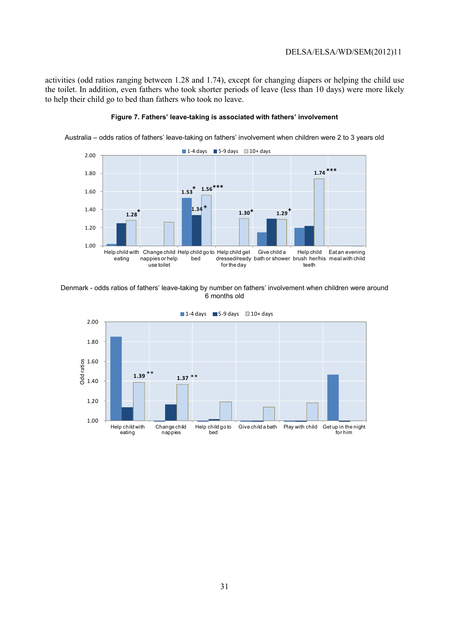activities (odd ratios ranging between 1.28 and 1.74), except for changing diapers or helping the child use the toilet. In addition, even fathers who took shorter periods of leave (less than 10 days) were more likely to help their child go to bed than fathers who took no leave.



#### **Figure 7. Fathers' leave-taking is associated with fathers' involvement**

Australia – odds ratios of fathers' leave-taking on fathers' involvement when children were 2 to 3 years old

Denmark - odds ratios of fathers' leave-taking by number on fathers' involvement when children were around 6 months old

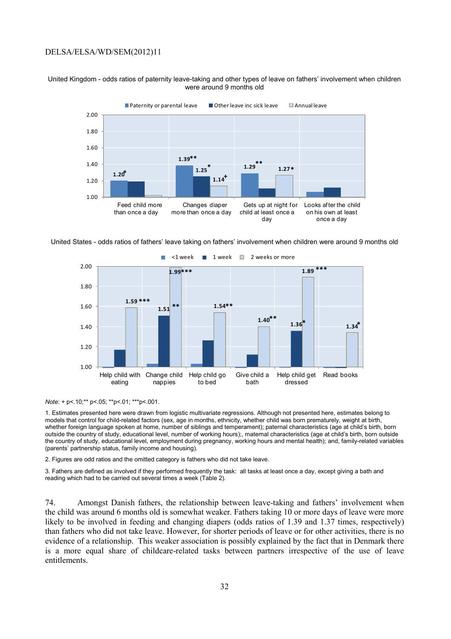#### United Kingdom - odds ratios of paternity leave-taking and other types of leave on fathers' involvement when children were around 9 months old



United States - odds ratios of fathers' leave taking on fathers' involvement when children were around 9 months old



*Note*: + p<.10;\*\* p<.05; \*\*p<.01; \*\*\*p<.001.

1. Estimates presented here were drawn from logistic multivariate regressions. Although not presented here, estimates belong to models that control for child-related factors (sex, age in months, ethnicity, whether child was born prematurely, weight at birth, whether foreign language spoken at home, number of siblings and temperament); paternal characteristics (age at child's birth, born outside the country of study, educational level, number of working hours);, maternal characteristics (age at child's birth, born outside the country of study, educational level, employment during pregnancy, working hours and mental health); and, family-related variables (parents' partnership status, family income and housing).

2. Figures are odd ratios and the omitted category is fathers who did not take leave.

3. Fathers are defined as involved if they performed frequently the task: all tasks at least once a day, except giving a bath and reading which had to be carried out several times a week (Table 2).

74. Amongst Danish fathers, the relationship between leave-taking and fathers' involvement when the child was around 6 months old is somewhat weaker. Fathers taking 10 or more days of leave were more likely to be involved in feeding and changing diapers (odds ratios of 1.39 and 1.37 times, respectively) than fathers who did not take leave. However, for shorter periods of leave or for other activities, there is no evidence of a relationship. This weaker association is possibly explained by the fact that in Denmark there is a more equal share of childcare-related tasks between partners irrespective of the use of leave entitlements.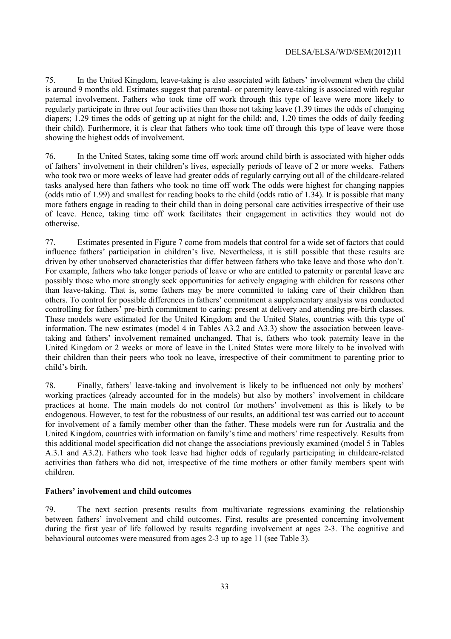75. In the United Kingdom, leave-taking is also associated with fathers' involvement when the child is around 9 months old. Estimates suggest that parental- or paternity leave-taking is associated with regular paternal involvement. Fathers who took time off work through this type of leave were more likely to regularly participate in three out four activities than those not taking leave (1.39 times the odds of changing diapers; 1.29 times the odds of getting up at night for the child; and, 1.20 times the odds of daily feeding their child). Furthermore, it is clear that fathers who took time off through this type of leave were those showing the highest odds of involvement.

76. In the United States, taking some time off work around child birth is associated with higher odds of fathers' involvement in their children's lives, especially periods of leave of 2 or more weeks. Fathers who took two or more weeks of leave had greater odds of regularly carrying out all of the childcare-related tasks analysed here than fathers who took no time off work The odds were highest for changing nappies (odds ratio of 1.99) and smallest for reading books to the child (odds ratio of 1.34). It is possible that many more fathers engage in reading to their child than in doing personal care activities irrespective of their use of leave. Hence, taking time off work facilitates their engagement in activities they would not do otherwise.

77. Estimates presented in Figure 7 come from models that control for a wide set of factors that could influence fathers' participation in children's live. Nevertheless, it is still possible that these results are driven by other unobserved characteristics that differ between fathers who take leave and those who don't. For example, fathers who take longer periods of leave or who are entitled to paternity or parental leave are possibly those who more strongly seek opportunities for actively engaging with children for reasons other than leave-taking. That is, some fathers may be more committed to taking care of their children than others. To control for possible differences in fathers' commitment a supplementary analysis was conducted controlling for fathers' pre-birth commitment to caring: present at delivery and attending pre-birth classes. These models were estimated for the United Kingdom and the United States, countries with this type of information. The new estimates (model 4 in Tables A3.2 and A3.3) show the association between leavetaking and fathers' involvement remained unchanged. That is, fathers who took paternity leave in the United Kingdom or 2 weeks or more of leave in the United States were more likely to be involved with their children than their peers who took no leave, irrespective of their commitment to parenting prior to child's birth.

78. Finally, fathers' leave-taking and involvement is likely to be influenced not only by mothers' working practices (already accounted for in the models) but also by mothers' involvement in childcare practices at home. The main models do not control for mothers' involvement as this is likely to be endogenous. However, to test for the robustness of our results, an additional test was carried out to account for involvement of a family member other than the father. These models were run for Australia and the United Kingdom, countries with information on family's time and mothers' time respectively. Results from this additional model specification did not change the associations previously examined (model 5 in Tables A.3.1 and A3.2). Fathers who took leave had higher odds of regularly participating in childcare-related activities than fathers who did not, irrespective of the time mothers or other family members spent with children.

#### **Fathers' involvement and child outcomes**

79. The next section presents results from multivariate regressions examining the relationship between fathers' involvement and child outcomes. First, results are presented concerning involvement during the first year of life followed by results regarding involvement at ages 2-3. The cognitive and behavioural outcomes were measured from ages 2-3 up to age 11 (see Table 3).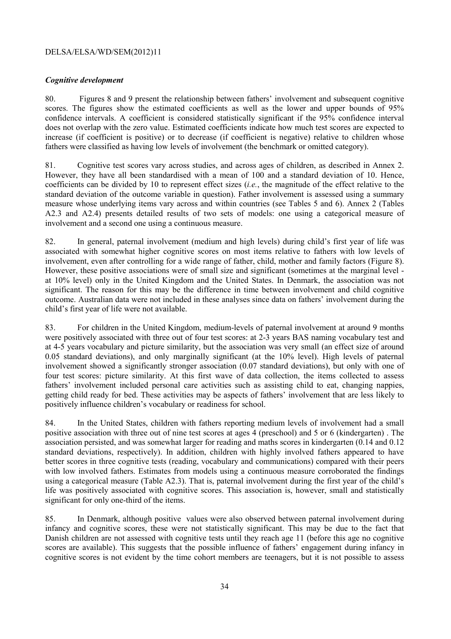### *Cognitive development*

80. Figures 8 and 9 present the relationship between fathers' involvement and subsequent cognitive scores. The figures show the estimated coefficients as well as the lower and upper bounds of 95% confidence intervals. A coefficient is considered statistically significant if the 95% confidence interval does not overlap with the zero value. Estimated coefficients indicate how much test scores are expected to increase (if coefficient is positive) or to decrease (if coefficient is negative) relative to children whose fathers were classified as having low levels of involvement (the benchmark or omitted category).

81. Cognitive test scores vary across studies, and across ages of children, as described in Annex 2. However, they have all been standardised with a mean of 100 and a standard deviation of 10. Hence, coefficients can be divided by 10 to represent effect sizes (*i.e.*, the magnitude of the effect relative to the standard deviation of the outcome variable in question). Father involvement is assessed using a summary measure whose underlying items vary across and within countries (see Tables 5 and 6). Annex 2 (Tables A2.3 and A2.4) presents detailed results of two sets of models: one using a categorical measure of involvement and a second one using a continuous measure.

82. In general, paternal involvement (medium and high levels) during child's first year of life was associated with somewhat higher cognitive scores on most items relative to fathers with low levels of involvement, even after controlling for a wide range of father, child, mother and family factors (Figure 8). However, these positive associations were of small size and significant (sometimes at the marginal level at 10% level) only in the United Kingdom and the United States. In Denmark, the association was not significant. The reason for this may be the difference in time between involvement and child cognitive outcome. Australian data were not included in these analyses since data on fathers' involvement during the child's first year of life were not available.

83. For children in the United Kingdom, medium-levels of paternal involvement at around 9 months were positively associated with three out of four test scores: at 2-3 years BAS naming vocabulary test and at 4-5 years vocabulary and picture similarity, but the association was very small (an effect size of around 0.05 standard deviations), and only marginally significant (at the 10% level). High levels of paternal involvement showed a significantly stronger association (0.07 standard deviations), but only with one of four test scores: picture similarity. At this first wave of data collection, the items collected to assess fathers' involvement included personal care activities such as assisting child to eat, changing nappies, getting child ready for bed. These activities may be aspects of fathers' involvement that are less likely to positively influence children's vocabulary or readiness for school.

84. In the United States, children with fathers reporting medium levels of involvement had a small positive association with three out of nine test scores at ages 4 (preschool) and 5 or 6 (kindergarten) . The association persisted, and was somewhat larger for reading and maths scores in kindergarten (0.14 and 0.12 standard deviations, respectively). In addition, children with highly involved fathers appeared to have better scores in three cognitive tests (reading, vocabulary and communications) compared with their peers with low involved fathers. Estimates from models using a continuous measure corroborated the findings using a categorical measure (Table A2.3). That is, paternal involvement during the first year of the child's life was positively associated with cognitive scores. This association is, however, small and statistically significant for only one-third of the items.

85. In Denmark, although positive values were also observed between paternal involvement during infancy and cognitive scores, these were not statistically significant. This may be due to the fact that Danish children are not assessed with cognitive tests until they reach age 11 (before this age no cognitive scores are available). This suggests that the possible influence of fathers' engagement during infancy in cognitive scores is not evident by the time cohort members are teenagers, but it is not possible to assess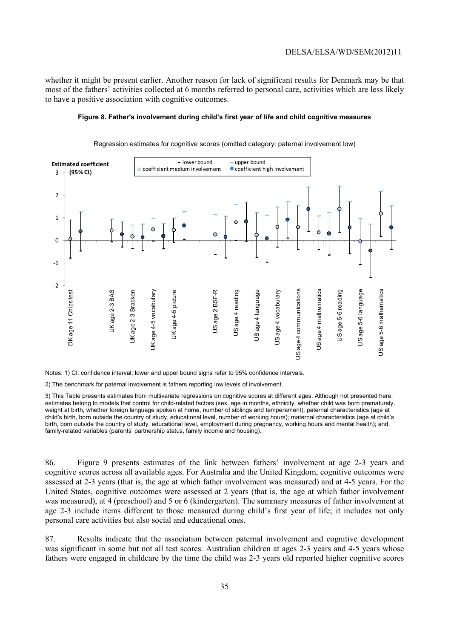whether it might be present earlier. Another reason for lack of significant results for Denmark may be that most of the fathers' activities collected at 6 months referred to personal care, activities which are less likely to have a positive association with cognitive outcomes.

#### **Figure 8. Father's involvement during child's first year of life and child cognitive measures**



Regression estimates for cognitive scores (omitted category: paternal involvement low)

Notes: 1) CI: confidence interval; lower and upper bound signs refer to 95% confidence intervals.

2) The benchmark for paternal involvement is fathers reporting low levels of involvement.

3) This Table presents estimates from multivariate regressions on cognitive scores at different ages. Although not presented here, estimates belong to models that control for child-related factors (sex, age in months, ethnicity, whether child was born prematurely, weight at birth, whether foreign language spoken at home, number of siblings and temperament); paternal characteristics (age at child's birth, born outside the country of study, educational level, number of working hours); maternal characteristics (age at child's birth, born outside the country of study, educational level, employment during pregnancy, working hours and mental health); and, family-related variables (parents' partnership status, family income and housing).

86. Figure 9 presents estimates of the link between fathers' involvement at age 2-3 years and cognitive scores across all available ages. For Australia and the United Kingdom, cognitive outcomes were assessed at 2-3 years (that is, the age at which father involvement was measured) and at 4-5 years. For the United States, cognitive outcomes were assessed at 2 years (that is, the age at which father involvement was measured), at 4 (preschool) and 5 or 6 (kindergarten). The summary measures of father involvement at age 2-3 include items different to those measured during child's first year of life; it includes not only personal care activities but also social and educational ones.

87. Results indicate that the association between paternal involvement and cognitive development was significant in some but not all test scores. Australian children at ages 2-3 years and 4-5 years whose fathers were engaged in childcare by the time the child was 2-3 years old reported higher cognitive scores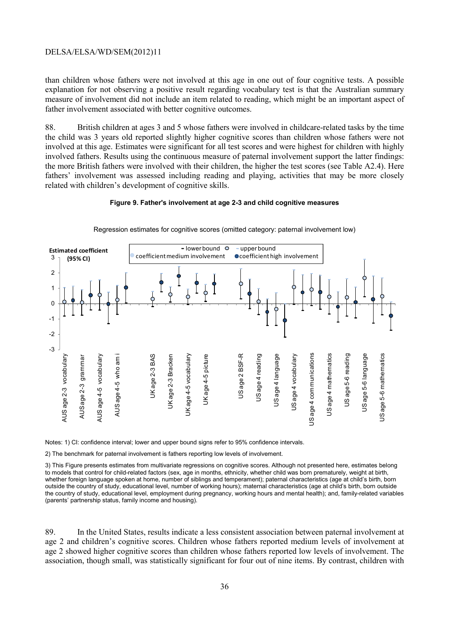than children whose fathers were not involved at this age in one out of four cognitive tests. A possible explanation for not observing a positive result regarding vocabulary test is that the Australian summary measure of involvement did not include an item related to reading, which might be an important aspect of father involvement associated with better cognitive outcomes.

88. British children at ages 3 and 5 whose fathers were involved in childcare-related tasks by the time the child was 3 years old reported slightly higher cognitive scores than children whose fathers were not involved at this age. Estimates were significant for all test scores and were highest for children with highly involved fathers. Results using the continuous measure of paternal involvement support the latter findings: the more British fathers were involved with their children, the higher the test scores (see Table A2.4). Here fathers' involvement was assessed including reading and playing, activities that may be more closely related with children's development of cognitive skills.

#### **Figure 9. Father's involvement at age 2-3 and child cognitive measures**



Regression estimates for cognitive scores (omitted category: paternal involvement low)

Notes: 1) CI: confidence interval; lower and upper bound signs refer to 95% confidence intervals.

2) The benchmark for paternal involvement is fathers reporting low levels of involvement.

3) This Figure presents estimates from multivariate regressions on cognitive scores. Although not presented here, estimates belong to models that control for child-related factors (sex, age in months, ethnicity, whether child was born prematurely, weight at birth, whether foreign language spoken at home, number of siblings and temperament); paternal characteristics (age at child's birth, born outside the country of study, educational level, number of working hours); maternal characteristics (age at child's birth, born outside the country of study, educational level, employment during pregnancy, working hours and mental health); and, family-related variables (parents' partnership status, family income and housing).

89. In the United States, results indicate a less consistent association between paternal involvement at age 2 and children's cognitive scores. Children whose fathers reported medium levels of involvement at age 2 showed higher cognitive scores than children whose fathers reported low levels of involvement. The association, though small, was statistically significant for four out of nine items. By contrast, children with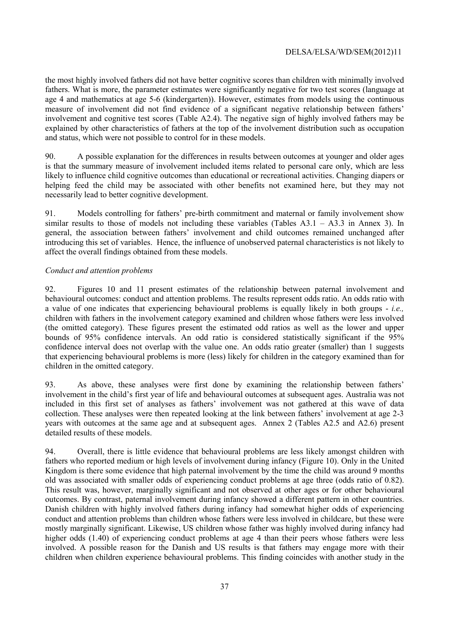the most highly involved fathers did not have better cognitive scores than children with minimally involved fathers. What is more, the parameter estimates were significantly negative for two test scores (language at age 4 and mathematics at age 5-6 (kindergarten)). However, estimates from models using the continuous measure of involvement did not find evidence of a significant negative relationship between fathers' involvement and cognitive test scores (Table A2.4). The negative sign of highly involved fathers may be explained by other characteristics of fathers at the top of the involvement distribution such as occupation and status, which were not possible to control for in these models.

90. A possible explanation for the differences in results between outcomes at younger and older ages is that the summary measure of involvement included items related to personal care only, which are less likely to influence child cognitive outcomes than educational or recreational activities. Changing diapers or helping feed the child may be associated with other benefits not examined here, but they may not necessarily lead to better cognitive development.

91. Models controlling for fathers' pre-birth commitment and maternal or family involvement show similar results to those of models not including these variables (Tables A3.1 – A3.3 in Annex 3). In general, the association between fathers' involvement and child outcomes remained unchanged after introducing this set of variables. Hence, the influence of unobserved paternal characteristics is not likely to affect the overall findings obtained from these models.

#### *Conduct and attention problems*

92. Figures 10 and 11 present estimates of the relationship between paternal involvement and behavioural outcomes: conduct and attention problems. The results represent odds ratio. An odds ratio with a value of one indicates that experiencing behavioural problems is equally likely in both groups - *i.e.,* children with fathers in the involvement category examined and children whose fathers were less involved (the omitted category). These figures present the estimated odd ratios as well as the lower and upper bounds of 95% confidence intervals. An odd ratio is considered statistically significant if the 95% confidence interval does not overlap with the value one. An odds ratio greater (smaller) than 1 suggests that experiencing behavioural problems is more (less) likely for children in the category examined than for children in the omitted category.

93. As above, these analyses were first done by examining the relationship between fathers' involvement in the child's first year of life and behavioural outcomes at subsequent ages. Australia was not included in this first set of analyses as fathers' involvement was not gathered at this wave of data collection. These analyses were then repeated looking at the link between fathers' involvement at age 2-3 years with outcomes at the same age and at subsequent ages. Annex 2 (Tables A2.5 and A2.6) present detailed results of these models.

94. Overall, there is little evidence that behavioural problems are less likely amongst children with fathers who reported medium or high levels of involvement during infancy (Figure 10). Only in the United Kingdom is there some evidence that high paternal involvement by the time the child was around 9 months old was associated with smaller odds of experiencing conduct problems at age three (odds ratio of 0.82). This result was, however, marginally significant and not observed at other ages or for other behavioural outcomes. By contrast, paternal involvement during infancy showed a different pattern in other countries. Danish children with highly involved fathers during infancy had somewhat higher odds of experiencing conduct and attention problems than children whose fathers were less involved in childcare, but these were mostly marginally significant. Likewise, US children whose father was highly involved during infancy had higher odds (1.40) of experiencing conduct problems at age 4 than their peers whose fathers were less involved. A possible reason for the Danish and US results is that fathers may engage more with their children when children experience behavioural problems. This finding coincides with another study in the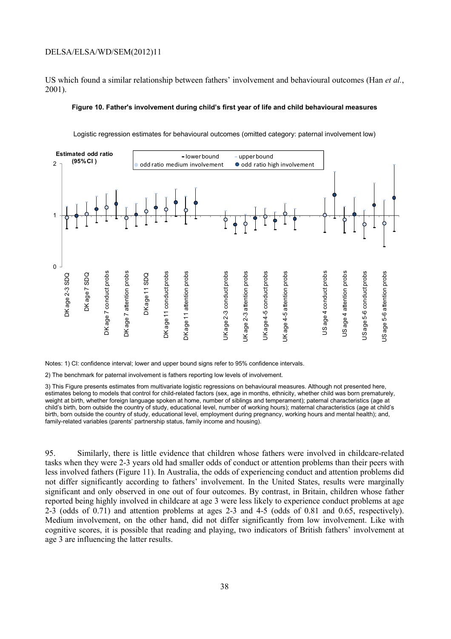US which found a similar relationship between fathers' involvement and behavioural outcomes (Han *et al.*, 2001).

#### **Figure 10. Father's involvement during child's first year of life and child behavioural measures**



Logistic regression estimates for behavioural outcomes (omitted category: paternal involvement low)

Notes: 1) CI: confidence interval; lower and upper bound signs refer to 95% confidence intervals.

2) The benchmark for paternal involvement is fathers reporting low levels of involvement.

3) This Figure presents estimates from multivariate logistic regressions on behavioural measures. Although not presented here, estimates belong to models that control for child-related factors (sex, age in months, ethnicity, whether child was born prematurely, weight at birth, whether foreign language spoken at home, number of siblings and temperament); paternal characteristics (age at child's birth, born outside the country of study, educational level, number of working hours); maternal characteristics (age at child's birth, born outside the country of study, educational level, employment during pregnancy, working hours and mental health); and, family-related variables (parents' partnership status, family income and housing).

95. Similarly, there is little evidence that children whose fathers were involved in childcare-related tasks when they were 2-3 years old had smaller odds of conduct or attention problems than their peers with less involved fathers (Figure 11). In Australia, the odds of experiencing conduct and attention problems did not differ significantly according to fathers' involvement. In the United States, results were marginally significant and only observed in one out of four outcomes. By contrast, in Britain, children whose father reported being highly involved in childcare at age 3 were less likely to experience conduct problems at age 2-3 (odds of 0.71) and attention problems at ages 2-3 and 4-5 (odds of 0.81 and 0.65, respectively). Medium involvement, on the other hand, did not differ significantly from low involvement. Like with cognitive scores, it is possible that reading and playing, two indicators of British fathers' involvement at age 3 are influencing the latter results.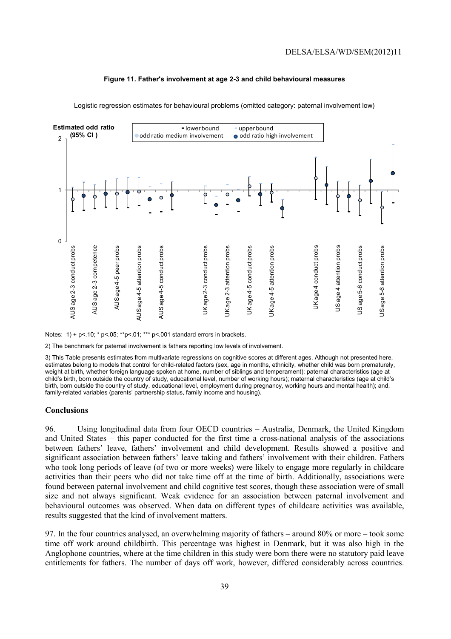

#### **Figure 11. Father's involvement at age 2-3 and child behavioural measures**

Notes: 1) + p<.10; \* p<.05; \*\*p<.01; \*\*\* p<.001 standard errors in brackets.

2) The benchmark for paternal involvement is fathers reporting low levels of involvement.

3) This Table presents estimates from multivariate regressions on cognitive scores at different ages. Although not presented here, estimates belong to models that control for child-related factors (sex, age in months, ethnicity, whether child was born prematurely, weight at birth, whether foreign language spoken at home, number of siblings and temperament); paternal characteristics (age at child's birth, born outside the country of study, educational level, number of working hours); maternal characteristics (age at child's birth, born outside the country of study, educational level, employment during pregnancy, working hours and mental health); and, family-related variables (parents' partnership status, family income and housing).

#### **Conclusions**

96. Using longitudinal data from four OECD countries – Australia, Denmark, the United Kingdom and United States – this paper conducted for the first time a cross-national analysis of the associations between fathers' leave, fathers' involvement and child development. Results showed a positive and significant association between fathers' leave taking and fathers' involvement with their children. Fathers who took long periods of leave (of two or more weeks) were likely to engage more regularly in childcare activities than their peers who did not take time off at the time of birth. Additionally, associations were found between paternal involvement and child cognitive test scores, though these association were of small size and not always significant. Weak evidence for an association between paternal involvement and behavioural outcomes was observed. When data on different types of childcare activities was available, results suggested that the kind of involvement matters.

97. In the four countries analysed, an overwhelming majority of fathers – around 80% or more – took some time off work around childbirth. This percentage was highest in Denmark, but it was also high in the Anglophone countries, where at the time children in this study were born there were no statutory paid leave entitlements for fathers. The number of days off work, however, differed considerably across countries.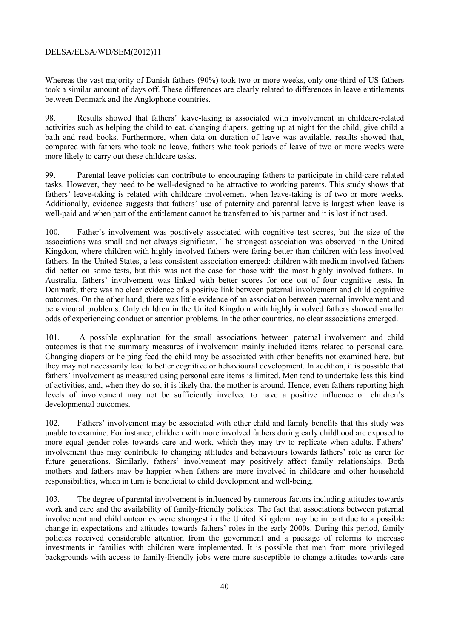Whereas the vast majority of Danish fathers (90%) took two or more weeks, only one-third of US fathers took a similar amount of days off. These differences are clearly related to differences in leave entitlements between Denmark and the Anglophone countries.

98. Results showed that fathers' leave-taking is associated with involvement in childcare-related activities such as helping the child to eat, changing diapers, getting up at night for the child, give child a bath and read books. Furthermore, when data on duration of leave was available, results showed that, compared with fathers who took no leave, fathers who took periods of leave of two or more weeks were more likely to carry out these childcare tasks.

99. Parental leave policies can contribute to encouraging fathers to participate in child-care related tasks. However, they need to be well-designed to be attractive to working parents. This study shows that fathers' leave-taking is related with childcare involvement when leave-taking is of two or more weeks. Additionally, evidence suggests that fathers' use of paternity and parental leave is largest when leave is well-paid and when part of the entitlement cannot be transferred to his partner and it is lost if not used.

100. Father's involvement was positively associated with cognitive test scores, but the size of the associations was small and not always significant. The strongest association was observed in the United Kingdom, where children with highly involved fathers were faring better than children with less involved fathers. In the United States, a less consistent association emerged: children with medium involved fathers did better on some tests, but this was not the case for those with the most highly involved fathers. In Australia, fathers' involvement was linked with better scores for one out of four cognitive tests. In Denmark, there was no clear evidence of a positive link between paternal involvement and child cognitive outcomes. On the other hand, there was little evidence of an association between paternal involvement and behavioural problems. Only children in the United Kingdom with highly involved fathers showed smaller odds of experiencing conduct or attention problems. In the other countries, no clear associations emerged.

101. A possible explanation for the small associations between paternal involvement and child outcomes is that the summary measures of involvement mainly included items related to personal care. Changing diapers or helping feed the child may be associated with other benefits not examined here, but they may not necessarily lead to better cognitive or behavioural development. In addition, it is possible that fathers' involvement as measured using personal care items is limited. Men tend to undertake less this kind of activities, and, when they do so, it is likely that the mother is around. Hence, even fathers reporting high levels of involvement may not be sufficiently involved to have a positive influence on children's developmental outcomes.

102. Fathers' involvement may be associated with other child and family benefits that this study was unable to examine. For instance, children with more involved fathers during early childhood are exposed to more equal gender roles towards care and work, which they may try to replicate when adults. Fathers' involvement thus may contribute to changing attitudes and behaviours towards fathers' role as carer for future generations. Similarly, fathers' involvement may positively affect family relationships. Both mothers and fathers may be happier when fathers are more involved in childcare and other household responsibilities, which in turn is beneficial to child development and well-being.

103. The degree of parental involvement is influenced by numerous factors including attitudes towards work and care and the availability of family-friendly policies. The fact that associations between paternal involvement and child outcomes were strongest in the United Kingdom may be in part due to a possible change in expectations and attitudes towards fathers' roles in the early 2000s. During this period, family policies received considerable attention from the government and a package of reforms to increase investments in families with children were implemented. It is possible that men from more privileged backgrounds with access to family-friendly jobs were more susceptible to change attitudes towards care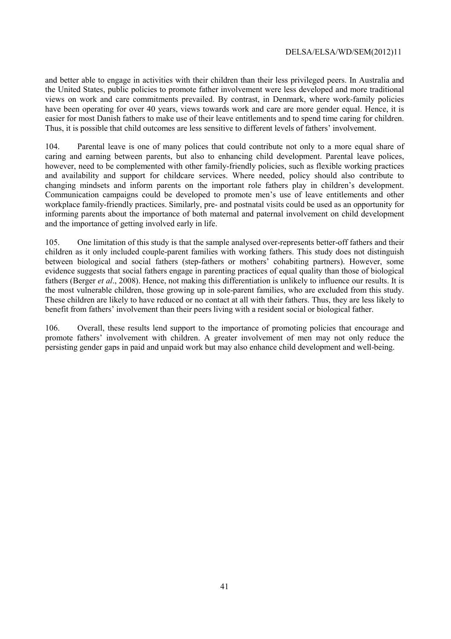and better able to engage in activities with their children than their less privileged peers. In Australia and the United States, public policies to promote father involvement were less developed and more traditional views on work and care commitments prevailed. By contrast, in Denmark, where work-family policies have been operating for over 40 years, views towards work and care are more gender equal. Hence, it is easier for most Danish fathers to make use of their leave entitlements and to spend time caring for children. Thus, it is possible that child outcomes are less sensitive to different levels of fathers' involvement.

104. Parental leave is one of many polices that could contribute not only to a more equal share of caring and earning between parents, but also to enhancing child development. Parental leave polices, however, need to be complemented with other family-friendly policies, such as flexible working practices and availability and support for childcare services. Where needed, policy should also contribute to changing mindsets and inform parents on the important role fathers play in children's development. Communication campaigns could be developed to promote men's use of leave entitlements and other workplace family-friendly practices. Similarly, pre- and postnatal visits could be used as an opportunity for informing parents about the importance of both maternal and paternal involvement on child development and the importance of getting involved early in life.

105. One limitation of this study is that the sample analysed over-represents better-off fathers and their children as it only included couple-parent families with working fathers. This study does not distinguish between biological and social fathers (step-fathers or mothers' cohabiting partners). However, some evidence suggests that social fathers engage in parenting practices of equal quality than those of biological fathers (Berger *et al*., 2008). Hence, not making this differentiation is unlikely to influence our results. It is the most vulnerable children, those growing up in sole-parent families, who are excluded from this study. These children are likely to have reduced or no contact at all with their fathers. Thus, they are less likely to benefit from fathers' involvement than their peers living with a resident social or biological father.

106. Overall, these results lend support to the importance of promoting policies that encourage and promote fathers' involvement with children. A greater involvement of men may not only reduce the persisting gender gaps in paid and unpaid work but may also enhance child development and well-being.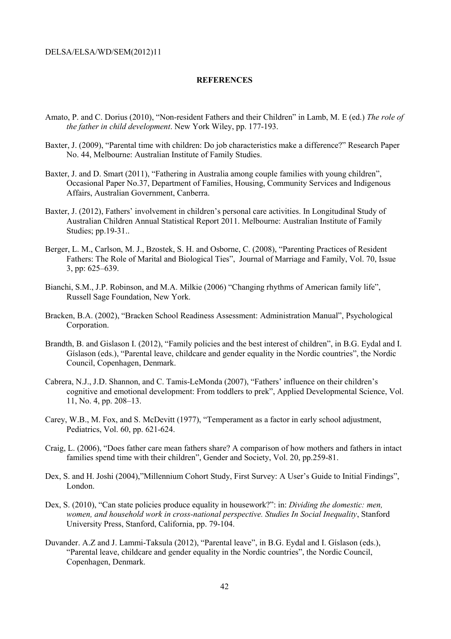#### **REFERENCES**

- Amato, P. and C. Dorius (2010), "Non-resident Fathers and their Children" in Lamb, M. E (ed.) *The role of the father in child development*. New York Wiley, pp. 177-193.
- Baxter, J. (2009), "Parental time with children: Do job characteristics make a difference?" Research Paper No. 44, Melbourne: Australian Institute of Family Studies.
- Baxter, J. and D. Smart (2011), "Fathering in Australia among couple families with young children", Occasional Paper No.37, Department of Families, Housing, Community Services and Indigenous Affairs, Australian Government, Canberra.
- Baxter, J. (2012), Fathers' involvement in children's personal care activities. In Longitudinal Study of Australian Children Annual Statistical Report 2011. Melbourne: Australian Institute of Family Studies; pp.19-31..
- Berger, L. M., Carlson, M. J., Bzostek, S. H. and Osborne, C. (2008), "Parenting Practices of Resident Fathers: The Role of Marital and Biological Ties", Journal of Marriage and Family, Vol. 70, Issue 3, pp: 625–639.
- Bianchi, S.M., J.P. Robinson, and M.A. Milkie (2006) "Changing rhythms of American family life", Russell Sage Foundation, New York.
- Bracken, B.A. (2002), "Bracken School Readiness Assessment: Administration Manual", Psychological Corporation.
- Brandth, B. and Gislason I. (2012), "Family policies and the best interest of children", in B.G. Eydal and I. Gíslason (eds.), "Parental leave, childcare and gender equality in the Nordic countries", the Nordic Council, Copenhagen, Denmark.
- Cabrera, N.J., J.D. Shannon, and C. Tamis-LeMonda (2007), "Fathers' influence on their children's cognitive and emotional development: From toddlers to prek", Applied Developmental Science, Vol. 11, No. 4, pp. 208–13.
- Carey, W.B., M. Fox, and S. McDevitt (1977), "Temperament as a factor in early school adjustment, Pediatrics, Vol. 60, pp. 621-624.
- Craig, L. (2006), "Does father care mean fathers share? A comparison of how mothers and fathers in intact families spend time with their children", Gender and Society, Vol. 20, pp.259-81.
- Dex, S. and H. Joshi (2004),"Millennium Cohort Study, First Survey: A User's Guide to Initial Findings", London.
- Dex, S. (2010), "Can state policies produce equality in housework?": in: *Dividing the domestic: men, women, and household work in cross-national perspective. Studies In Social Inequality*, Stanford University Press, Stanford, California, pp. 79-104.
- Duvander. A.Z and J. Lammi-Taksula (2012), "Parental leave", in B.G. Eydal and I. Gíslason (eds.), "Parental leave, childcare and gender equality in the Nordic countries", the Nordic Council, Copenhagen, Denmark.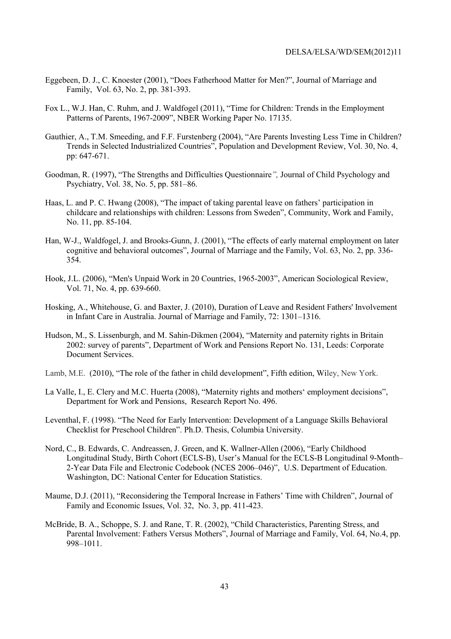- Eggebeen, D. J., C. Knoester (2001), "Does Fatherhood Matter for Men?", Journal of Marriage and Family, Vol. 63, No. 2, pp. 381-393.
- Fox L., W.J. Han, C. Ruhm, and J. Waldfogel (2011), "Time for Children: Trends in the Employment Patterns of Parents, 1967-2009", NBER Working Paper No. 17135.
- Gauthier, A., T.M. Smeeding, and F.F. Furstenberg (2004), "Are Parents Investing Less Time in Children? Trends in Selected Industrialized Countries", Population and Development Review, Vol. 30, No. 4, pp: 647-671.
- Goodman, R. (1997), "The Strengths and Difficulties Questionnaire*",* Journal of Child Psychology and Psychiatry, Vol. 38, No. 5, pp. 581–86.
- Haas, L. and P. C. Hwang (2008), "The impact of taking parental leave on fathers' participation in childcare and relationships with children: Lessons from Sweden", Community, Work and Family, No. 11, pp. 85-104.
- Han, W-J., Waldfogel, J. and Brooks-Gunn, J. (2001), "The effects of early maternal employment on later cognitive and behavioral outcomes", Journal of Marriage and the Family, Vol. 63, No. 2, pp. 336- 354.
- Hook, J.L. (2006), "Men's Unpaid Work in 20 Countries, 1965-2003", American Sociological Review, Vol. 71, No. 4, pp. 639-660.
- Hosking, A., Whitehouse, G. and Baxter, J. (2010), Duration of Leave and Resident Fathers' Involvement in Infant Care in Australia. Journal of Marriage and Family, 72: 1301–1316.
- Hudson, M., S. Lissenburgh, and M. Sahin-Dikmen (2004), "Maternity and paternity rights in Britain 2002: survey of parents", Department of Work and Pensions Report No. 131, Leeds: Corporate Document Services.
- Lamb, M.E. (2010), "The role of the father in child development", Fifth edition, Wiley, New York.
- La Valle, I., E. Clery and M.C. Huerta (2008), "Maternity rights and mothers' employment decisions", Department for Work and Pensions, Research Report No. 496.
- Leventhal, F. (1998). "The Need for Early Intervention: Development of a Language Skills Behavioral Checklist for Preschool Children". Ph.D. Thesis, Columbia University.
- Nord, C., B. Edwards, C. Andreassen, J. Green, and K. Wallner-Allen (2006), "Early Childhood Longitudinal Study, Birth Cohort (ECLS-B), User's Manual for the ECLS-B Longitudinal 9-Month– 2-Year Data File and Electronic Codebook (NCES 2006–046)", U.S. Department of Education. Washington, DC: National Center for Education Statistics.
- Maume, D.J. (2011), "Reconsidering the Temporal Increase in Fathers' Time with Children", Journal of Family and Economic Issues, Vol. 32, No. 3, pp. 411-423.
- McBride, B. A., Schoppe, S. J. and Rane, T. R. (2002), "Child Characteristics, Parenting Stress, and Parental Involvement: Fathers Versus Mothers", Journal of Marriage and Family, Vol. 64, No.4, pp. 998–1011.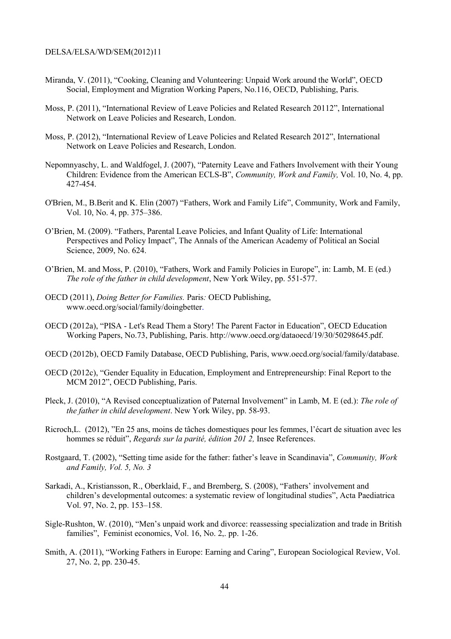- Miranda, V. (2011), "Cooking, Cleaning and Volunteering: Unpaid Work around the World", OECD Social, Employment and Migration Working Papers, No.116, OECD, Publishing, Paris.
- Moss, P. (2011), "International Review of Leave Policies and Related Research 20112", International Network on Leave Policies and Research, London.
- Moss, P. (2012), "International Review of Leave Policies and Related Research 2012", International Network on Leave Policies and Research, London.
- Nepomnyaschy, L. and Waldfogel, J. (2007), "Paternity Leave and Fathers Involvement with their Young Children: Evidence from the American ECLS-B", *Community, Work and Family,* Vol. 10, No. 4, pp. 427-454.
- O'Brien, M., B.Berit and K. Elin (2007) "Fathers, Work and Family Life", Community, Work and Family, Vol. 10, No. 4, pp. 375–386.
- O'Brien, M. (2009). "Fathers, Parental Leave Policies, and Infant Quality of Life: International Perspectives and Policy Impact", The Annals of the American Academy of Political an Social Science, 2009, No. 624.
- O'Brien, M. and Moss, P. (2010), "Fathers, Work and Family Policies in Europe", in: Lamb, M. E (ed.) *The role of the father in child development*, New York Wiley, pp. 551-577.
- OECD (2011), *Doing Better for Families.* Paris*:* OECD Publishing, www.oecd.org/social/family/doingbetter.
- OECD (2012a), "PISA Let's Read Them a Story! The Parent Factor in Education", OECD Education Working Papers, No.73, Publishing, Paris. http://www.oecd.org/dataoecd/19/30/50298645.pdf.
- OECD (2012b), OECD Family Database, OECD Publishing, Paris, www.oecd.org/social/family/database.
- OECD (2012c), "Gender Equality in Education, Employment and Entrepreneurship: Final Report to the MCM 2012", OECD Publishing, Paris.
- Pleck, J. (2010), "A Revised conceptualization of Paternal Involvement" in Lamb, M. E (ed.): *The role of the father in child development*. New York Wiley, pp. 58-93.
- Ricroch,L. (2012), "En 25 ans, moins de tâches domestiques pour les femmes, l'écart de situation avec les hommes se réduit", *Regards sur la parité, édition 201 2,* Insee References.
- Rostgaard, T. (2002), "Setting time aside for the father: father's leave in Scandinavia", *Community, Work and Family, Vol. 5, No. 3*
- Sarkadi, A., Kristiansson, R., Oberklaid, F., and Bremberg, S. (2008), "Fathers' involvement and children's developmental outcomes: a systematic review of longitudinal studies", Acta Paediatrica Vol. 97, No. 2, pp. 153–158.
- Sigle-Rushton, W. (2010), "Men's unpaid work and divorce: reassessing specialization and trade in British families", Feminist economics, Vol. 16, No. 2,. pp. 1-26.
- Smith, A. (2011), "Working Fathers in Europe: Earning and Caring", European Sociological Review, Vol. 27, No. 2, pp. 230-45.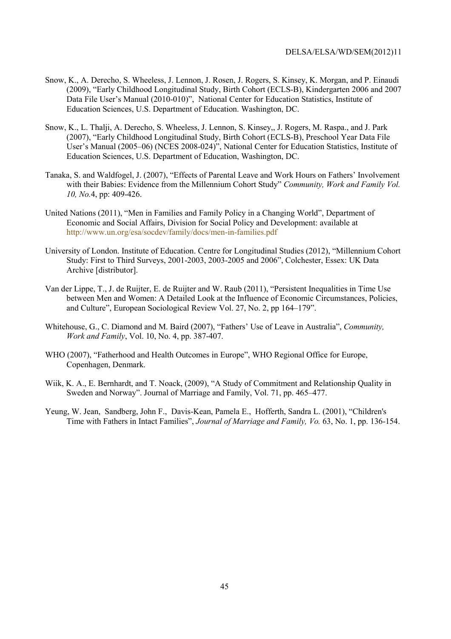- Snow, K., A. Derecho, S. Wheeless, J. Lennon, J. Rosen, J. Rogers, S. Kinsey, K. Morgan, and P. Einaudi (2009), "Early Childhood Longitudinal Study, Birth Cohort (ECLS-B), Kindergarten 2006 and 2007 Data File User's Manual (2010-010)", National Center for Education Statistics, Institute of Education Sciences, U.S. Department of Education. Washington, DC.
- Snow, K., L. Thalji, A. Derecho, S. Wheeless, J. Lennon, S. Kinsey,, J. Rogers, M. Raspa., and J. Park (2007), "Early Childhood Longitudinal Study, Birth Cohort (ECLS-B), Preschool Year Data File User's Manual (2005–06) (NCES 2008-024)", National Center for Education Statistics, Institute of Education Sciences, U.S. Department of Education, Washington, DC.
- Tanaka, S. and Waldfogel, J. (2007), "Effects of Parental Leave and Work Hours on Fathers' Involvement with their Babies: Evidence from the Millennium Cohort Study" *Community, Work and Family Vol. 10, No.*4, pp: 409-426.
- United Nations (2011), "Men in Families and Family Policy in a Changing World", Department of Economic and Social Affairs, Division for Social Policy and Development: available at http://www.un.org/esa/socdev/family/docs/men-in-families.pdf
- University of London. Institute of Education. Centre for Longitudinal Studies (2012), "Millennium Cohort Study: First to Third Surveys, 2001-2003, 2003-2005 and 2006", Colchester, Essex: UK Data Archive [distributor].
- Van der Lippe, T., J. de Ruijter, E. de Ruijter and W. Raub (2011), "Persistent Inequalities in Time Use between Men and Women: A Detailed Look at the Influence of Economic Circumstances, Policies, and Culture", European Sociological Review Vol. 27, No. 2, pp 164–179".
- Whitehouse, G., C. Diamond and M. Baird (2007), "Fathers' Use of Leave in Australia", *Community, Work and Family*, Vol. 10, No. 4, pp. 387-407.
- WHO (2007), "Fatherhood and Health Outcomes in Europe", WHO Regional Office for Europe, Copenhagen, Denmark.
- Wiik, K. A., E. Bernhardt, and T. Noack, (2009), "A Study of Commitment and Relationship Quality in Sweden and Norway". Journal of Marriage and Family, Vol. 71, pp. 465–477.
- Yeung, W. Jean, Sandberg, John F., Davis-Kean, Pamela E., Hofferth, Sandra L. (2001), "Children's Time with Fathers in Intact Families", *Journal of Marriage and Family, Vo.* 63, No. 1, pp. 136-154.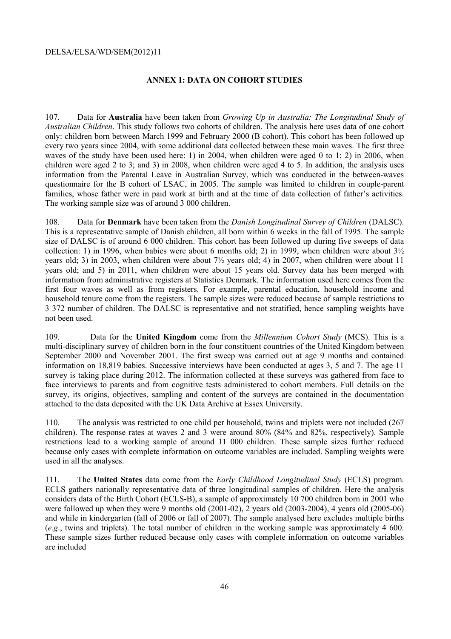#### **ANNEX 1: DATA ON COHORT STUDIES**

107. Data for **Australia** have been taken from *Growing Up in Australia: The Longitudinal Study of Australian Children*. This study follows two cohorts of children. The analysis here uses data of one cohort only: children born between March 1999 and February 2000 (B cohort). This cohort has been followed up every two years since 2004, with some additional data collected between these main waves. The first three waves of the study have been used here: 1) in 2004, when children were aged 0 to 1; 2) in 2006, when children were aged 2 to 3; and 3) in 2008, when children were aged 4 to 5. In addition, the analysis uses information from the Parental Leave in Australian Survey, which was conducted in the between-waves questionnaire for the B cohort of LSAC, in 2005. The sample was limited to children in couple-parent families, whose father were in paid work at birth and at the time of data collection of father's activities. The working sample size was of around 3 000 children.

108. Data for **Denmark** have been taken from the *Danish Longitudinal Survey of Children* (DALSC). This is a representative sample of Danish children, all born within 6 weeks in the fall of 1995. The sample size of DALSC is of around 6 000 children. This cohort has been followed up during five sweeps of data collection: 1) in 1996, when babies were about 6 months old; 2) in 1999, when children were about  $3\frac{1}{2}$ years old; 3) in 2003, when children were about 7½ years old; 4) in 2007, when children were about 11 years old; and 5) in 2011, when children were about 15 years old. Survey data has been merged with information from administrative registers at Statistics Denmark. The information used here comes from the first four waves as well as from registers. For example, parental education, household income and household tenure come from the registers. The sample sizes were reduced because of sample restrictions to 3 372 number of children. The DALSC is representative and not stratified, hence sampling weights have not been used.

109. Data for the **United Kingdom** come from the *Millennium Cohort Study* (MCS). This is a multi-disciplinary survey of children born in the four constituent countries of the United Kingdom between September 2000 and November 2001. The first sweep was carried out at age 9 months and contained information on 18,819 babies. Successive interviews have been conducted at ages 3, 5 and 7. The age 11 survey is taking place during 2012. The information collected at these surveys was gathered from face to face interviews to parents and from cognitive tests administered to cohort members. Full details on the survey, its origins, objectives, sampling and content of the surveys are contained in the documentation attached to the data deposited with the UK Data Archive at Essex University.

110. The analysis was restricted to one child per household, twins and triplets were not included (267 children). The response rates at waves 2 and 3 were around 80% (84% and 82%, respectively). Sample restrictions lead to a working sample of around 11 000 children. These sample sizes further reduced because only cases with complete information on outcome variables are included. Sampling weights were used in all the analyses.

111. The **United States** data come from the *Early Childhood Longitudinal Study* (ECLS) program. ECLS gathers nationally representative data of three longitudinal samples of children. Here the analysis considers data of the Birth Cohort (ECLS-B), a sample of approximately 10 700 children born in 2001 who were followed up when they were 9 months old (2001-02), 2 years old (2003-2004), 4 years old (2005-06) and while in kindergarten (fall of 2006 or fall of 2007). The sample analysed here excludes multiple births (*e.g*., twins and triplets). The total number of children in the working sample was approximately 4 600. These sample sizes further reduced because only cases with complete information on outcome variables are included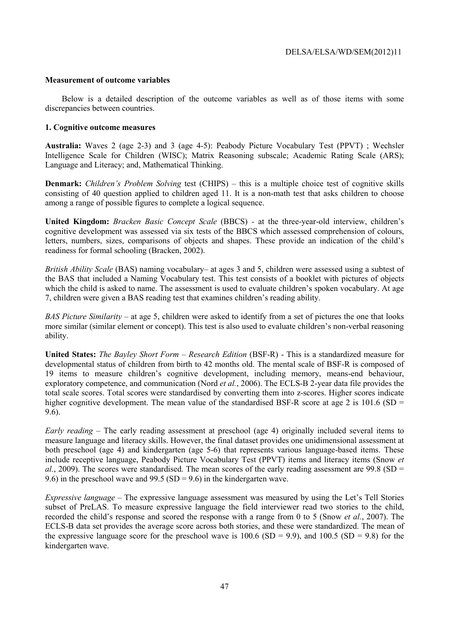#### **Measurement of outcome variables**

Below is a detailed description of the outcome variables as well as of those items with some discrepancies between countries.

#### **1. Cognitive outcome measures**

**Australia:** Waves 2 (age 2-3) and 3 (age 4-5): Peabody Picture Vocabulary Test (PPVT) ; Wechsler Intelligence Scale for Children (WISC); Matrix Reasoning subscale; Academic Rating Scale (ARS); Language and Literacy; and, Mathematical Thinking.

**Denmark:** *Children's Problem Solving* test (CHIPS) – this is a multiple choice test of cognitive skills consisting of 40 question applied to children aged 11. It is a non-math test that asks children to choose among a range of possible figures to complete a logical sequence.

**United Kingdom:** *Bracken Basic Concept Scale* (BBCS) *-* at the three-year-old interview, children's cognitive development was assessed via six tests of the BBCS which assessed comprehension of colours, letters, numbers, sizes, comparisons of objects and shapes. These provide an indication of the child's readiness for formal schooling (Bracken, 2002).

*British Ability Scale* (BAS) naming vocabulary– at ages 3 and 5, children were assessed using a subtest of the BAS that included a Naming Vocabulary test. This test consists of a booklet with pictures of objects which the child is asked to name. The assessment is used to evaluate children's spoken vocabulary. At age 7, children were given a BAS reading test that examines children's reading ability.

*BAS Picture Similarity* – at age 5, children were asked to identify from a set of pictures the one that looks more similar (similar element or concept). This test is also used to evaluate children's non-verbal reasoning ability.

**United States:** *The Bayley Short Form – Research Edition* (BSF-R) - This is a standardized measure for developmental status of children from birth to 42 months old. The mental scale of BSF-R is composed of 19 items to measure children's cognitive development, including memory, means-end behaviour, exploratory competence, and communication (Nord *et al.*, 2006). The ECLS-B 2-year data file provides the total scale scores. Total scores were standardised by converting them into z-scores. Higher scores indicate higher cognitive development. The mean value of the standardised BSF-R score at age 2 is 101.6 (SD = 9.6).

*Early reading* – The early reading assessment at preschool (age 4) originally included several items to measure language and literacy skills. However, the final dataset provides one unidimensional assessment at both preschool (age 4) and kindergarten (age 5-6) that represents various language-based items. These include receptive language, Peabody Picture Vocabulary Test (PPVT) items and literacy items (Snow *et al.*, 2009). The scores were standardised. The mean scores of the early reading assessment are 99.8 (SD = 9.6) in the preschool wave and 99.5 (SD = 9.6) in the kindergarten wave.

*Expressive language –* The expressive language assessment was measured by using the Let's Tell Stories subset of PreLAS. To measure expressive language the field interviewer read two stories to the child, recorded the child's response and scored the response with a range from 0 to 5 (Snow *et al.*, 2007). The ECLS-B data set provides the average score across both stories, and these were standardized. The mean of the expressive language score for the preschool wave is  $100.6$  (SD = 9.9), and  $100.5$  (SD = 9.8) for the kindergarten wave.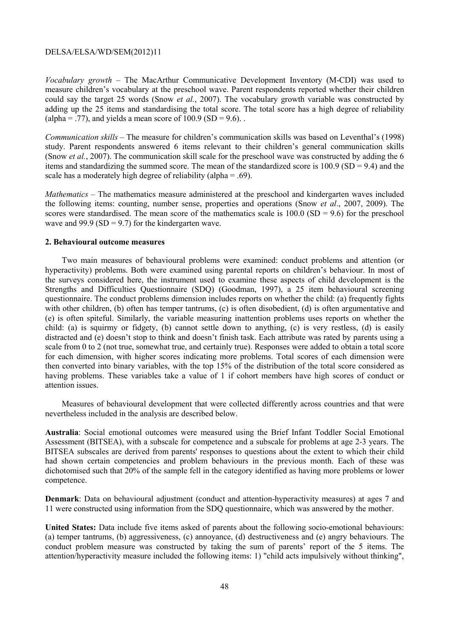*Vocabulary growth –* The MacArthur Communicative Development Inventory (M-CDI) was used to measure children's vocabulary at the preschool wave. Parent respondents reported whether their children could say the target 25 words (Snow *et al.*, 2007). The vocabulary growth variable was constructed by adding up the 25 items and standardising the total score. The total score has a high degree of reliability (alpha = .77), and yields a mean score of  $100.9$  (SD = 9.6).

*Communication skills –* The measure for children's communication skills was based on Leventhal's (1998) study. Parent respondents answered 6 items relevant to their children's general communication skills (Snow *et al.*, 2007). The communication skill scale for the preschool wave was constructed by adding the 6 items and standardizing the summed score. The mean of the standardized score is  $100.9$  (SD = 9.4) and the scale has a moderately high degree of reliability (alpha = .69).

*Mathematics –* The mathematics measure administered at the preschool and kindergarten waves included the following items: counting, number sense, properties and operations (Snow *et al*., 2007, 2009). The scores were standardised. The mean score of the mathematics scale is  $100.0$  (SD = 9.6) for the preschool wave and  $99.9$  (SD = 9.7) for the kindergarten wave.

#### **2. Behavioural outcome measures**

Two main measures of behavioural problems were examined: conduct problems and attention (or hyperactivity) problems. Both were examined using parental reports on children's behaviour. In most of the surveys considered here, the instrument used to examine these aspects of child development is the Strengths and Difficulties Questionnaire (SDQ) (Goodman, 1997), a 25 item behavioural screening questionnaire. The conduct problems dimension includes reports on whether the child: (a) frequently fights with other children, (b) often has temper tantrums, (c) is often disobedient, (d) is often argumentative and (e) is often spiteful. Similarly, the variable measuring inattention problems uses reports on whether the child: (a) is squirmy or fidgety, (b) cannot settle down to anything, (c) is very restless, (d) is easily distracted and (e) doesn't stop to think and doesn't finish task. Each attribute was rated by parents using a scale from 0 to 2 (not true, somewhat true, and certainly true). Responses were added to obtain a total score for each dimension, with higher scores indicating more problems. Total scores of each dimension were then converted into binary variables, with the top 15% of the distribution of the total score considered as having problems. These variables take a value of 1 if cohort members have high scores of conduct or attention issues.

Measures of behavioural development that were collected differently across countries and that were nevertheless included in the analysis are described below.

**Australia**: Social emotional outcomes were measured using the Brief Infant Toddler Social Emotional Assessment (BITSEA), with a subscale for competence and a subscale for problems at age 2-3 years. The BITSEA subscales are derived from parents' responses to questions about the extent to which their child had shown certain competencies and problem behaviours in the previous month. Each of these was dichotomised such that 20% of the sample fell in the category identified as having more problems or lower competence.

**Denmark**: Data on behavioural adjustment (conduct and attention-hyperactivity measures) at ages 7 and 11 were constructed using information from the SDQ questionnaire, which was answered by the mother.

**United States:** Data include five items asked of parents about the following socio-emotional behaviours: (a) temper tantrums, (b) aggressiveness, (c) annoyance, (d) destructiveness and (e) angry behaviours. The conduct problem measure was constructed by taking the sum of parents' report of the 5 items. The attention/hyperactivity measure included the following items: 1) "child acts impulsively without thinking",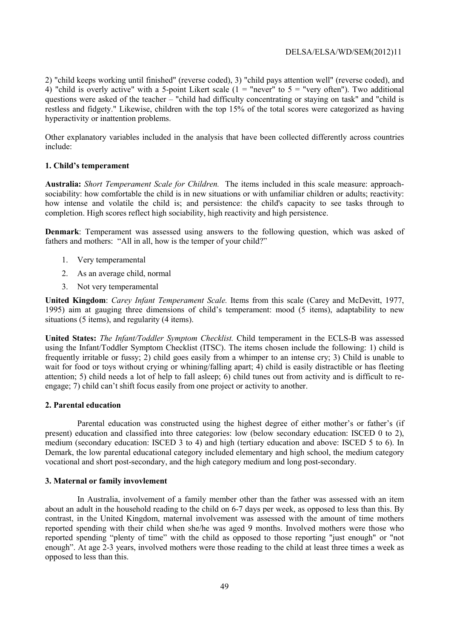2) "child keeps working until finished" (reverse coded), 3) "child pays attention well" (reverse coded), and 4) "child is overly active" with a 5-point Likert scale  $(1 =$  "never" to  $5 =$  "very often"). Two additional questions were asked of the teacher – "child had difficulty concentrating or staying on task" and "child is restless and fidgety." Likewise, children with the top 15% of the total scores were categorized as having hyperactivity or inattention problems.

Other explanatory variables included in the analysis that have been collected differently across countries include:

#### **1. Child's temperament**

**Australia:** *Short Temperament Scale for Children.* The items included in this scale measure: approachsociability: how comfortable the child is in new situations or with unfamiliar children or adults; reactivity: how intense and volatile the child is; and persistence: the child's capacity to see tasks through to completion. High scores reflect high sociability, high reactivity and high persistence.

**Denmark**: Temperament was assessed using answers to the following question, which was asked of fathers and mothers: "All in all, how is the temper of your child?"

- 1. Very temperamental
- 2. As an average child, normal
- 3. Not very temperamental

**United Kingdom**: *Carey Infant Temperament Scale.* Items from this scale (Carey and McDevitt, 1977, 1995) aim at gauging three dimensions of child's temperament: mood (5 items), adaptability to new situations (5 items), and regularity (4 items).

**United States:** *The Infant/Toddler Symptom Checklist.* Child temperament in the ECLS-B was assessed using the Infant/Toddler Symptom Checklist (ITSC). The items chosen include the following: 1) child is frequently irritable or fussy; 2) child goes easily from a whimper to an intense cry; 3) Child is unable to wait for food or toys without crying or whining/falling apart; 4) child is easily distractible or has fleeting attention; 5) child needs a lot of help to fall asleep; 6) child tunes out from activity and is difficult to reengage; 7) child can't shift focus easily from one project or activity to another.

#### **2. Parental education**

 Parental education was constructed using the highest degree of either mother's or father's (if present) education and classified into three categories: low (below secondary education: ISCED 0 to 2), medium (secondary education: ISCED 3 to 4) and high (tertiary education and above: ISCED 5 to 6). In Demark, the low parental educational category included elementary and high school, the medium category vocational and short post-secondary, and the high category medium and long post-secondary.

#### **3. Maternal or family invovlement**

In Australia, involvement of a family member other than the father was assessed with an item about an adult in the household reading to the child on 6-7 days per week, as opposed to less than this. By contrast, in the United Kingdom, maternal involvement was assessed with the amount of time mothers reported spending with their child when she/he was aged 9 months. Involved mothers were those who reported spending "plenty of time" with the child as opposed to those reporting "just enough" or "not enough". At age 2-3 years, involved mothers were those reading to the child at least three times a week as opposed to less than this.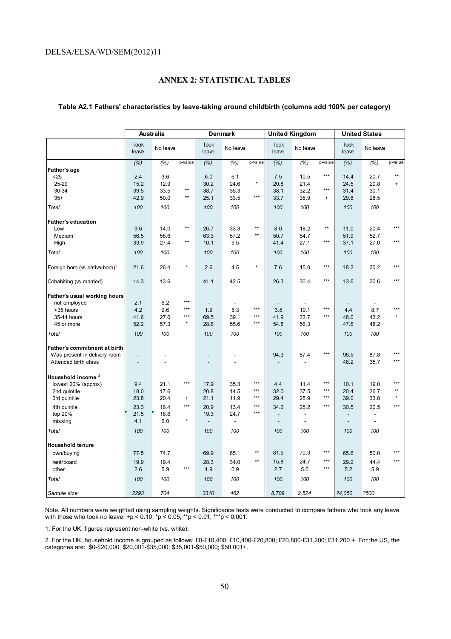# **ANNEX 2: STATISTICAL TABLES**

#### Took Took No leave Took<br>
leave No leave leave Took No leave Took<br>
leave No leave leave Took No leave Took<br>
leave No leave leave Took<br>leave No leave *(%) (%)* p-value *(%) (%)* p-value *(%) (%)* p-value *(%) (%)* p-value **Father's age** <25 2.4 3.6 6.0 6.1 7.5 10.5 \*\*\* 14.4 20.7 \*\* 25-29 15.2 12.9 30.2 24.6 \* 20.8 21.4 24.5 20.8 + 30-34 39.5 33.5 \*\* 38.7 35.3 38.1 32.2 \*\*\* 31.4 30.1 35+ 42.9 50.0 \*\* 25.1 33.5 \*\*\* 33.7 35.9 + 29.8 28.5 *Total 100 100 100 100 100 100 100 100* **Father's education** Low 9.6 14.0 \*\* 26.7 33.3 \*\* 8.0 18.2 \*\* 11.0 20.4 \*\*\* Medium 56.5 58.6 63.3 57.2 \*\* 50.7 54.7 51.9 52.7 High 33.9 27.4 \*\* 10.1 9.5 41.4 27.1 \*\*\* 37.1 27.0 \*\*\* *Total 100 100 100 100 100 100 100 100* Foreign born (vs native-born)<sup>1</sup> 21.6 26.4 \* 2.6 4.5 \* 7.6 15.0 \*\*\* 18.2 30.2 \*\*\* Cohabiting (vs married) 14.3 13.6 41.1 42.5 26.3 30.4 \*\*\* 13.6 20.6 \*\*\* **Father's usual working hours** not employed 2.1 6.2 \*\*\* - - - - - - <35 hours 4.2 9.6 \*\*\* 1.9 5.3 \*\*\* 3.5 10.1 \*\*\* 4.4 8.7 \*\*\* 35-44 hours 41.6 27.0 \*\*\* 69.5 39.1 \*\*\* 41.9 33.7 \*\*\* 48.0 43.2 \* 45 or more 52.2 57.3 \* 28.6 55.6 \*\*\* 54.5 56.3 47.6 48.2 *Total 100 100 100 100 100 100 100 100* **Father's commitment at birth** Was present in delivery room and the set of the set of the set of the set of the set of the set of the set of the set of the set of the set of the set of the set of the set of the set of the set of the set of the set of th Attended birth class **Household income** <sup>2</sup>  $\frac{1000 \text{ rad}}{200}$  (approx) 9.4 21.1 \*\*\* 17.9 35.3 \*\*\* 4.4 11.4 \*\*\* 10.1 19.0 \*\*\*<br>200 190 190 17.6 200 14.5 \*\*\* 22.0 37.5 \*\*\* 201 26.7 \*\* 2nd quintile 18.0 17.6 20.8 14.5 \*\*\* | 32.0 37.5 \*\*\* | 20.4 26.7 \*\* 3rd quintile 23.8 20.4 + 21.1 11.9 \*\*\* 29.4 25.9 \*\*\* 39.0 33.8 \* 4th quintle | 23.3 16.4 \*\*\* | 20.9 13.4 \*\*\* | 34.2 25.2 \*\*\* | 30.5 20.5 \*\*\* top 20% 21.5 18.6 19.3 24.7 \*\*\* | - - - | - - missing 4.1 6.0 \* - - - - - - *Total 100 100 100 100 100 100 100 100* **Household tenure** own/buying 77.5 74.7 69.9 65.1 \*\* 81.5 70.3 \*\*\* 65.6 50.0 \*\*\* rent/board 19.9 19.4 28.3 34.0 \*\* 15.8 24.7 \*\*\* 29.2 44.4 \*\*\* other 2.6 5.9 \*\*\* 1.9 0.9 2.7 5.0 \*\*\* 5.2 5.9 *Total 100 100 100 100 100 100 100 100 Sample size 2293 704 3310 462 8,709 2,524 ?4,050 ?500* **Australia Denmark United Kingdom United States**

#### **Table A2.1 Fathers' characteristics by leave-taking around childbirth (columns add 100% per category)**

Note. All numbers were weighted using sampling weights. Significance tests were conducted to compare fathers who took any leave with those who took no leave. +p < 0.10,  $*$ p < 0.05,  $*$  $*$ p < 0.01,  $*$  $*$  $*$ p < 0.001.

1. For the UK, figures represent non-white (vs. white).

2. For the UK, household income is grouped as follows: £0-£10,400; £10,400-£20,800; £20,800-£31,200; £31,200 +. For the US, the categories are: \$0-\$20,000; \$20,001-\$35,000; \$35,001-\$50,000; \$50,001+.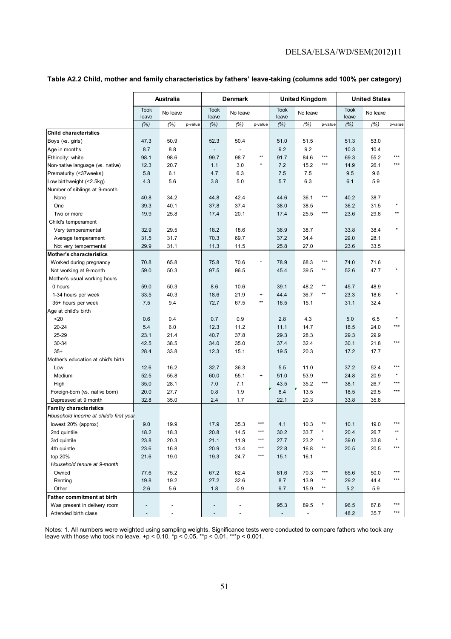| Table A2.2 Child, mother and family characteristics by fathers' leave-taking (columns add 100% per category) |  |  |  |  |  |
|--------------------------------------------------------------------------------------------------------------|--|--|--|--|--|
|--------------------------------------------------------------------------------------------------------------|--|--|--|--|--|

|                                        |                      | Australia       |                          | Denmark        |                   |                      | <b>United Kingdom</b> |                   |                      | <b>United States</b> |                   |
|----------------------------------------|----------------------|-----------------|--------------------------|----------------|-------------------|----------------------|-----------------------|-------------------|----------------------|----------------------|-------------------|
|                                        | <b>Took</b><br>leave | No leave        | <b>Took</b><br>leave     | No leave       |                   | <b>Took</b><br>leave | No leave              |                   | <b>Took</b><br>leave | No leave             |                   |
|                                        | (% )                 | (% )<br>p-value | (% )                     | (% )           | p-value           | (% )                 | (% )                  | p-value           | (% )                 | (%)                  | p-value           |
| <b>Child characteristics</b>           |                      |                 |                          |                |                   |                      |                       |                   |                      |                      |                   |
| Boys (vs. girls)                       | 47.3                 | 50.9            | 52.3                     | 50.4           |                   | 51.0                 | 51.5                  |                   | 51.3                 | 53.0                 |                   |
| Age in months                          | 8.7                  | 8.8             | $\overline{\phantom{a}}$ | $\overline{a}$ |                   | 9.2                  | 9.2                   |                   | 10.3                 | 10.4                 |                   |
| Ethincity: white                       | 98.1                 | 98.6            | 99.7                     | 98.7           | $^{\star\star}$   | 91.7                 | 84.6                  | ***               | 69.3                 | 55.2                 | ***               |
| Non-native language (vs. native)       | 12.3                 | 20.7            | 1.1                      | 3.0            | $\star$           | 7.2                  | 15.2                  | ***               | 14.9                 | 26.1                 | ***               |
| Prematurity (<37weeks)                 | 5.8                  | 6.1             | 4.7                      | 6.3            |                   | 7.5                  | 7.5                   |                   | 9.5                  | 9.6                  |                   |
| Low birthweight (<2.5kg)               | 4.3                  | 5.6             | 3.8                      | 5.0            |                   | 5.7                  | 6.3                   |                   | 6.1                  | 5.9                  |                   |
| Number of siblings at 9-month          |                      |                 |                          |                |                   |                      |                       |                   |                      |                      |                   |
| None                                   | 40.8                 | 34.2            | 44.8                     | 42.4           |                   | 44.6                 | 36.1                  | $\star\star\star$ | 40.2                 | 38.7                 |                   |
| One                                    | 39.3                 | 40.1            | 37.8                     | 37.4           |                   | 38.0                 | 38.5                  |                   | 36.2                 | 31.5                 |                   |
| Two or more                            | 19.9                 | 25.8            | 17.4                     | 20.1           |                   | 17.4                 | 25.5                  | $\star\star\star$ | 23.6                 | 29.8                 | **                |
| Child's temperament                    |                      |                 |                          |                |                   |                      |                       |                   |                      |                      |                   |
| Very temperamental                     | 32.9                 | 29.5            | 18.2                     | 18.6           |                   | 36.9                 | 38.7                  |                   | 33.8                 | 38.4                 |                   |
| Average temperament                    | 31.5                 | 31.7            | 70.3                     | 69.7           |                   | 37.2                 | 34.4                  |                   | 29.0                 | 28.1                 |                   |
| Not very tempermental                  | 29.9                 | 31.1            | 11.3                     | 11.5           |                   | 25.8                 | 27.0                  |                   | 23.6                 | 33.5                 |                   |
| <b>Mother's characteristics</b>        |                      |                 |                          |                |                   |                      |                       |                   |                      |                      |                   |
| Worked during pregnancy                | 70.8                 | 65.8            | 75.8                     | 70.6           | $\star$           | 78.9                 | 68.3                  | $***$             | 74.0                 | 71.6                 |                   |
| Not working at 9-month                 | 59.0                 | 50.3            | 97.5                     | 96.5           |                   | 45.4                 | 39.5                  | **                | 52.6                 | 47.7                 |                   |
| Mother's usual working hours           |                      |                 |                          |                |                   |                      |                       |                   |                      |                      |                   |
| 0 hours                                | 59.0                 | 50.3            | 8.6                      | 10.6           |                   | 39.1                 | 48.2                  | **                | 45.7                 | 48.9                 |                   |
| 1-34 hours per week                    | 33.5                 | 40.3            | 18.6                     | 21.9           | $\ddot{}$         | 44.4                 | 36.7                  | $**$              | 23.3                 | 18.6                 | $\star$           |
| 35+ hours per week                     | 7.5                  | 9.4             | 72.7                     | 67.5           | $**$              | 16.5                 | 15.1                  |                   | 31.1                 | 32.4                 |                   |
| Age at child's birth                   |                      |                 |                          |                |                   |                      |                       |                   |                      |                      |                   |
| 20                                     | 0.6                  | 0.4             | 0.7                      | 0.9            |                   | 2.8                  | 4.3                   |                   | 5.0                  | 6.5                  |                   |
| $20 - 24$                              | 5.4                  | 6.0             | 12.3                     | 11.2           |                   | 11.1                 | 14.7                  |                   | 18.5                 | 24.0                 | $***$             |
| 25-29                                  | 23.1                 | 21.4            | 40.7                     | 37.8           |                   | 29.3                 | 28.3                  |                   | 29.3                 | 29.9                 |                   |
| 30-34                                  | 42.5                 | 38.5            | 34.0                     | 35.0           |                   | 37.4                 | 32.4                  |                   | 30.1                 | 21.8                 | ***               |
| $35+$                                  | 28.4                 | 33.8            | 12.3                     | 15.1           |                   | 19.5                 | 20.3                  |                   | 17.2                 | 17.7                 |                   |
| Mother's education at chid's birth     |                      |                 |                          |                |                   |                      |                       |                   |                      |                      |                   |
| Low                                    | 12.6                 | 16.2            | 32.7                     | 36.3           |                   | 5.5                  | 11.0                  |                   | 37.2                 | 52.4                 | ***               |
| Medium                                 | 52.5                 | 55.8            | 60.0                     | 55.1           | $+$               | 51.0                 | 53.9                  |                   | 24.8                 | 20.9                 | $\star$           |
| High                                   | 35.0                 | 28.1            | 7.0                      | 7.1            |                   | 43.5                 | 35.2                  | ***               | 38.1                 | 26.7                 | ***               |
| Foreign-born (vs. native born)         | 20.0                 | 27.7            | 0.8                      | 1.9            |                   | 8.4                  | 13.5                  |                   | 18.5                 | 29.5                 | ***               |
| Depressed at 9 month                   | 32.8                 | 35.0            | 2.4                      | 1.7            |                   | 22.1                 | 20.3                  |                   | 33.8                 | 35.8                 |                   |
| <b>Family characteristics</b>          |                      |                 |                          |                |                   |                      |                       |                   |                      |                      |                   |
| Household income at child's first year |                      |                 |                          |                |                   |                      |                       |                   |                      |                      |                   |
| lowest 20% (approx)                    | 9.0                  | 19.9            | 17.9                     | 35.3           | ***               | 4.1                  | 10.3                  | **                | 10.1                 | 19.0                 | $***$             |
| 2nd quintile                           | 18.2                 | 18.3            | 20.8                     | 14.5           | ***               | 30.2                 | 33.7                  |                   | 20.4                 | 26.7                 |                   |
| 3rd quintile                           | 23.8                 | 20.3            | 21.1                     | 11.9           | $\star\star\star$ | 27.7                 | 23.2                  | $\star$           | 39.0                 | 33.8                 |                   |
| 4th quintle                            | 23.6                 | 16.8            | 20.9                     | 13.4           | $\star\star\star$ | 22.8                 | 16.8                  | $^{\star\star}$   | 20.5                 | 20.5                 | $\star\star\star$ |
| top 20%                                | 21.6                 | 19.0            | 19.3                     | 24.7           | $***$             | 15.1                 | 16.1                  |                   |                      |                      |                   |
| Household tenure at 9-month            |                      |                 |                          |                |                   |                      |                       |                   |                      |                      |                   |
| Owned                                  | 77.6                 | 75.2            | 67.2                     | 62.4           |                   | 81.6                 | 70.3                  | ***               | 65.6                 | 50.0                 | ***               |
| Renting                                | 19.8                 | 19.2            | 27.2                     | 32.6           |                   | 8.7                  | 13.9                  | **                | 29.2                 | 44.4                 | ***               |
| Other                                  | 2.6                  | 5.6             | 1.8                      | 0.9            |                   | 9.7                  | 15.9                  | $\star\star$      | 5.2                  | 5.9                  |                   |
| Father commitment at birth             |                      |                 |                          |                |                   |                      |                       |                   |                      |                      |                   |
| Was present in delivery room           |                      |                 |                          |                |                   | 95.3                 | 89.5                  |                   | 96.5                 | 87.8                 | $***$             |
| Attended birth class                   |                      | ÷,              |                          |                |                   |                      | ٠                     |                   | 48.2                 | 35.7                 | $***$             |

Notes: 1. All numbers were weighted using sampling weights. Significance tests were conducted to compare fathers who took any leave with those who took no leave.  $+p < 0.10$ ,  $^*p < 0.05$ ,  $^{**p} < 0.01$ ,  $^{***p} < 0.001$ .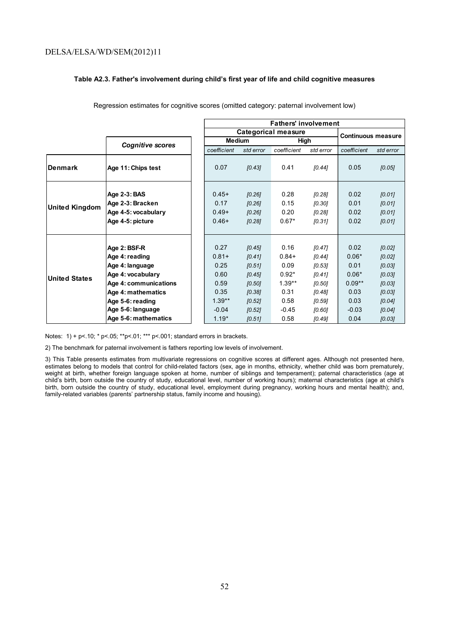#### **Table A2.3. Father's involvement during child's first year of life and child cognitive measures**

|                |                                  |                 |                  | <b>Fathers' involvement</b> |                  |                           |                  |
|----------------|----------------------------------|-----------------|------------------|-----------------------------|------------------|---------------------------|------------------|
|                |                                  |                 |                  | <b>Categorical measure</b>  |                  | <b>Continuous measure</b> |                  |
|                | <b>Cognitive scores</b>          |                 | <b>Medium</b>    | High                        |                  |                           |                  |
|                |                                  | coefficient     | std error        | coefficient                 | std error        | coefficient               | std error        |
| lDenmark       | Age 11: Chips test               | 0.07            | [0.43]           | 0.41                        | [0.44]           | 0.05                      | [0.05]           |
|                | Age 2-3: BAS<br>Age 2-3: Bracken | $0.45+$<br>0.17 | [0.26]<br>[0.26] | 0.28<br>0.15                | [0.28]<br>[0.30] | 0.02<br>0.01              | [0.01]<br>[0.01] |
| United Kingdom | Age 4-5: vocabulary              | $0.49+$         | [0.26]           | 0.20                        | [0.28]           | 0.02                      | [0.01]           |
|                | Age 4-5: picture                 | $0.46+$         | [0.28]           | $0.67*$                     | [0.31]           | 0.02                      | [0.01]           |
|                |                                  |                 |                  |                             |                  |                           |                  |
|                |                                  |                 |                  |                             |                  |                           |                  |
|                | Age 2: BSF-R                     | 0.27            | [0.45]           | 0.16                        | [0.47]           | 0.02                      | [0.02]           |
|                | Age 4: reading                   | $0.81 +$        | [0.41]           | $0.84 +$                    | [0.44]           | $0.06*$                   | [0.02]           |
|                | Age 4: language                  | 0.25            | [0.51]           | 0.09                        | [0.53]           | 0.01                      | [0.03]           |
| United States  | Age 4: vocabulary                | 0.60            | [0.45]           | $0.92*$                     | [0.41]           | $0.06*$                   | [0.03]           |
|                | Age 4: communications            | 0.59            | [0.50]           | $1.39**$                    | [0.50]           | $0.09**$                  | [0.03]           |
|                | Age 4: mathematics               | 0.35            | [0.38]           | 0.31                        | [0.48]           | 0.03                      | [0.03]           |
|                | Age 5-6: reading                 | $1.39**$        | [0.52]           | 0.58                        | [0.59]           | 0.03                      | [0.04]           |
|                | Age 5-6: language                | $-0.04$         | [0.52]           | $-0.45$                     | [0.60]           | $-0.03$                   | [0.04]           |
|                | Age 5-6: mathematics             | $1.19*$         | [0.51]           | 0.58                        | [0.49]           | 0.04                      | [0.03]           |

Regression estimates for cognitive scores (omitted category: paternal involvement low)

Notes: 1) + p<.10; \* p<.05; \*\*p<.01; \*\*\* p<.001; standard errors in brackets.

2) The benchmark for paternal involvement is fathers reporting low levels of involvement.

3) This Table presents estimates from multivariate regressions on cognitive scores at different ages. Although not presented here, estimates belong to models that control for child-related factors (sex, age in months, ethnicity, whether child was born prematurely, weight at birth, whether foreign language spoken at home, number of siblings and temperament); paternal characteristics (age at child's birth, born outside the country of study, educational level, number of working hours); maternal characteristics (age at child's birth, born outside the country of study, educational level, employment during pregnancy, working hours and mental health); and, family-related variables (parents' partnership status, family income and housing).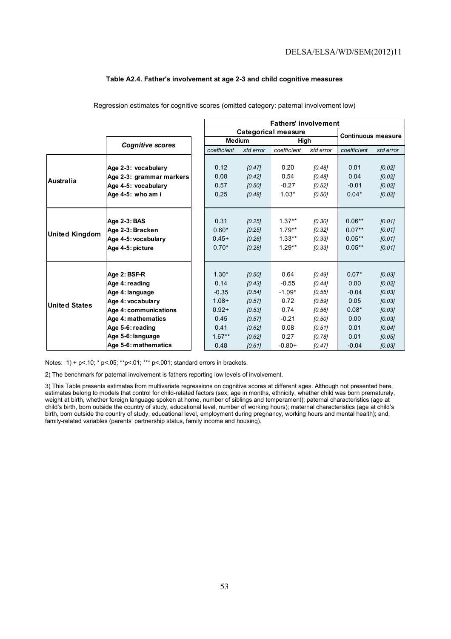#### **Table A2.4. Father's involvement at age 2-3 and child cognitive measures**

|                       |                          |               |           | <b>Fathers' involvement</b> |           |                           |           |
|-----------------------|--------------------------|---------------|-----------|-----------------------------|-----------|---------------------------|-----------|
|                       |                          |               |           | <b>Categorical measure</b>  |           | <b>Continuous measure</b> |           |
|                       | <b>Cognitive scores</b>  | <b>Medium</b> |           | High                        |           |                           |           |
|                       |                          | coefficient   | std error | coefficient                 | std error | coefficient               | std error |
|                       |                          |               |           |                             |           |                           |           |
|                       | Age 2-3: vocabulary      | 0.12          | [0.47]    | 0.20                        | [0.48]    | 0.01                      | [0.02]    |
| Australia             | Age 2-3: grammar markers | 0.08          | [0.42]    | 0.54                        | [0.48]    | 0.04                      | [0.02]    |
|                       | Age 4-5: vocabulary      | 0.57          | [0.50]    | $-0.27$                     | [0.52]    | $-0.01$                   | [0.02]    |
|                       | Age 4-5: who am i        | 0.25          | [0.48]    | $1.03*$                     | [0.50]    | $0.04*$                   | [0.02]    |
|                       |                          |               |           |                             |           |                           |           |
|                       |                          |               |           |                             |           |                           |           |
|                       | Age 2-3: BAS             | 0.31          | [0.25]    | $1.37**$                    | [0.30]    | $0.06***$                 | [0.01]    |
| <b>United Kingdom</b> | Age 2-3: Bracken         | $0.60*$       | [0.25]    | $1.79**$                    | [0.32]    | $0.07***$                 | [0.01]    |
|                       | Age 4-5: vocabulary      | $0.45+$       | [0.26]    | $1.33***$                   | [0.33]    | $0.05***$                 | [0.01]    |
|                       | Age 4-5: picture         | $0.70*$       | [0.28]    | $1.29**$                    | [0.33]    | $0.05**$                  | [0.01]    |
|                       |                          |               |           |                             |           |                           |           |
|                       |                          |               |           |                             |           |                           |           |
|                       | Age 2: BSF-R             | $1.30*$       | [0.50]    | 0.64                        | [0.49]    | $0.07*$                   | [0.03]    |
|                       | Age 4: reading           | 0.14          | [0.43]    | $-0.55$                     | [0.44]    | 0.00                      | [0.02]    |
|                       | Age 4: language          | $-0.35$       | [0.54]    | $-1.09*$                    | [0.55]    | $-0.04$                   | [0.03]    |
| <b>United States</b>  | Age 4: vocabulary        | $1.08 +$      | [0.57]    | 0.72                        | [0.59]    | 0.05                      | [0.03]    |
|                       | Age 4: communications    | $0.92 +$      | [0.53]    | 0.74                        | [0.56]    | $0.08*$                   | [0.03]    |
|                       | Age 4: mathematics       | 0.45          | [0.57]    | $-0.21$                     | [0.50]    | 0.00                      | [0.03]    |
|                       | Age 5-6: reading         | 0.41          | [0.62]    | 0.08                        | [0.51]    | 0.01                      | [0.04]    |
|                       | Age 5-6: language        | $1.67***$     | [0.62]    | 0.27                        | [0.78]    | 0.01                      | [0.05]    |
|                       | Age 5-6: mathematics     | 0.48          | [0.61]    | $-0.80+$                    | [0.47]    | $-0.04$                   | [0.03]    |

Regression estimates for cognitive scores (omitted category: paternal involvement low)

Notes: 1) + p<.10; \* p<.05; \*\*p<.01; \*\*\* p<.001; standard errors in brackets.

2) The benchmark for paternal involvement is fathers reporting low levels of involvement.

3) This Table presents estimates from multivariate regressions on cognitive scores at different ages. Although not presented here, estimates belong to models that control for child-related factors (sex, age in months, ethnicity, whether child was born prematurely, weight at birth, whether foreign language spoken at home, number of siblings and temperament); paternal characteristics (age at child's birth, born outside the country of study, educational level, number of working hours); maternal characteristics (age at child's birth, born outside the country of study, educational level, employment during pregnancy, working hours and mental health); and, family-related variables (parents' partnership status, family income and housing).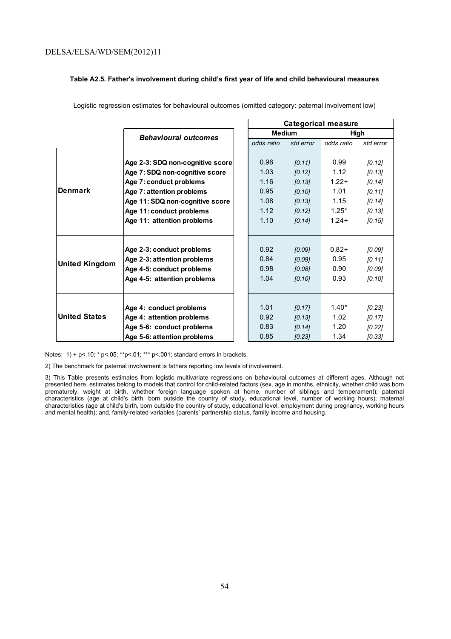#### **Table A2.5. Father's involvement during child's first year of life and child behavioural measures**

|                       |                                  |               |           | <b>Categorical measure</b> |           |
|-----------------------|----------------------------------|---------------|-----------|----------------------------|-----------|
|                       | <b>Behavioural outcomes</b>      | <b>Medium</b> |           | High                       |           |
|                       |                                  | odds ratio    | std error | odds ratio                 | std error |
|                       |                                  |               |           |                            |           |
|                       | Age 2-3: SDQ non-cognitive score | 0.96          | [0.11]    | 0.99                       | [0.12]    |
|                       | Age 7: SDQ non-cognitive score   | 1.03          | [0.12]    | 1.12                       | [0.13]    |
|                       | Age 7: conduct problems          | 1.16          | [0.13]    | $1.22 +$                   | $[0.14]$  |
| <b>IDenmark</b>       | Age 7: attention problems        | 0.95          | [0.10]    | 1.01                       | [0.11]    |
|                       | Age 11: SDQ non-cognitive score  | 1.08          | [0.13]    | 1.15                       | [0.14]    |
|                       | Age 11: conduct problems         | 1.12          | [0.12]    | $1.25*$                    | [0.13]    |
|                       | Age 11: attention problems       | 1.10          | [0.14]    | $1.24+$                    | [0.15]    |
|                       |                                  |               |           |                            |           |
|                       |                                  |               |           |                            |           |
|                       | Age 2-3: conduct problems        | 0.92          | [0.09]    | $0.82+$                    | [0.09]    |
| <b>United Kingdom</b> | Age 2-3: attention problems      | 0.84          | [0.09]    | 0.95                       | 10.111    |
|                       | Age 4-5: conduct problems        | 0.98          | [0.08]    | 0.90                       | [0.09]    |
|                       | Age 4-5: attention problems      | 1.04          | [0.10]    | 0.93                       | [0.10]    |
|                       |                                  |               |           |                            |           |
|                       |                                  |               |           |                            |           |
|                       | Age 4: conduct problems          | 1.01          | [0.17]    | $1.40*$                    | [0.23]    |
| <b>United States</b>  | Age 4: attention problems        | 0.92          | [0.13]    | 1.02                       | [0.17]    |
|                       | Age 5-6: conduct problems        | 0.83          | [0.14]    | 1.20                       | $[0.22]$  |
|                       | Age 5-6: attention problems      | 0.85          | $[0.23]$  | 1.34                       | [0.33]    |

Logistic regression estimates for behavioural outcomes (omitted category: paternal involvement low)

Notes: 1) + p<.10; \* p<.05; \*\*p<.01; \*\*\* p<.001; standard errors in brackets.

2) The benchmark for paternal involvement is fathers reporting low levels of involvement.

3) This Table presents estimates from logistic multivariate regressions on behavioural outcomes at different ages. Although not presented here, estimates belong to models that control for child-related factors (sex, age in months, ethnicity, whether child was born prematurely, weight at birth, whether foreign language spoken at home, number of siblings and temperament); paternal characteristics (age at child's birth, born outside the country of study, educational level, number of working hours); maternal characteristics (age at child's birth, born outside the country of study, educational level, employment during pregnancy, working hours and mental health); and, family-related variables (parents' partnership status, family income and housing.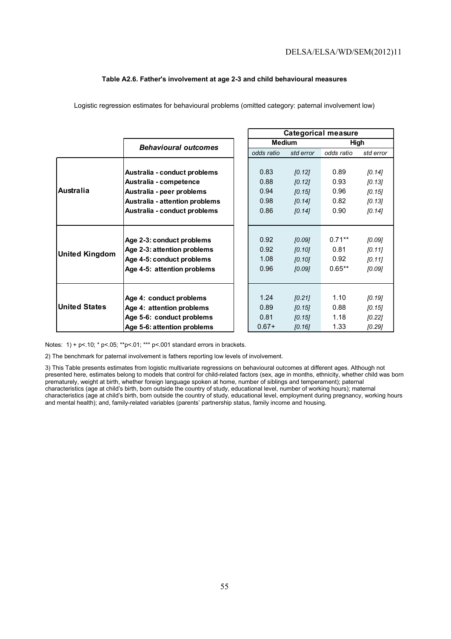#### **Table A2.6. Father's involvement at age 2-3 and child behavioural measures**

|                       |                                |               |           | <b>Categorical measure</b> |           |
|-----------------------|--------------------------------|---------------|-----------|----------------------------|-----------|
|                       | <b>Behavioural outcomes</b>    | <b>Medium</b> |           | High                       |           |
|                       |                                | odds ratio    | std error | odds ratio                 | std error |
|                       |                                |               |           |                            |           |
|                       | Australia - conduct problems   | 0.83          | [0.12]    | 0.89                       | [0.14]    |
|                       | Australia - competence         | 0.88          | [0.12]    | 0.93                       | [0.13]    |
| <b>Australia</b>      | Australia - peer problems      | 0.94          | [0.15]    | 0.96                       | [0.15]    |
|                       | Australia - attention problems | 0.98          | [0.14]    | 0.82                       | [0.13]    |
|                       | Australia - conduct problems   | 0.86          | [0.14]    | 0.90                       | [0.14]    |
|                       |                                |               |           |                            |           |
|                       |                                |               |           |                            |           |
|                       | Age 2-3: conduct problems      | 0.92          | [0.09]    | $0.71**$                   | [0.09]    |
| <b>United Kingdom</b> | Age 2-3: attention problems    | 0.92          | [0.10]    | 0.81                       | [0.11]    |
|                       | Age 4-5: conduct problems      | 1.08          | [0.10]    | 0.92                       | [0.11]    |
|                       | Age 4-5: attention problems    | 0.96          | [0.09]    | $0.65**$                   | [0.09]    |
|                       |                                |               |           |                            |           |
|                       |                                |               |           |                            |           |
|                       | Age 4: conduct problems        | 1.24          | [0.21]    | 1.10                       | [0.19]    |
| <b>United States</b>  | Age 4: attention problems      | 0.89          | [0.15]    | 0.88                       | [0.15]    |
|                       | Age 5-6: conduct problems      | 0.81          | [0.15]    | 1.18                       | [0.22]    |
|                       | Age 5-6: attention problems    | $0.67+$       | [0.16]    | 1.33                       | [0.29]    |

Logistic regression estimates for behavioural problems (omitted category: paternal involvement low)

Notes: 1) + p<.10; \* p<.05; \*\*p<.01; \*\*\* p<.001 standard errors in brackets.

2) The benchmark for paternal involvement is fathers reporting low levels of involvement.

3) This Table presents estimates from logistic multivariate regressions on behavioural outcomes at different ages. Although not presented here, estimates belong to models that control for child-related factors (sex, age in months, ethnicity, whether child was born prematurely, weight at birth, whether foreign language spoken at home, number of siblings and temperament); paternal characteristics (age at child's birth, born outside the country of study, educational level, number of working hours); maternal characteristics (age at child's birth, born outside the country of study, educational level, employment during pregnancy, working hours and mental health); and, family-related variables (parents' partnership status, family income and housing.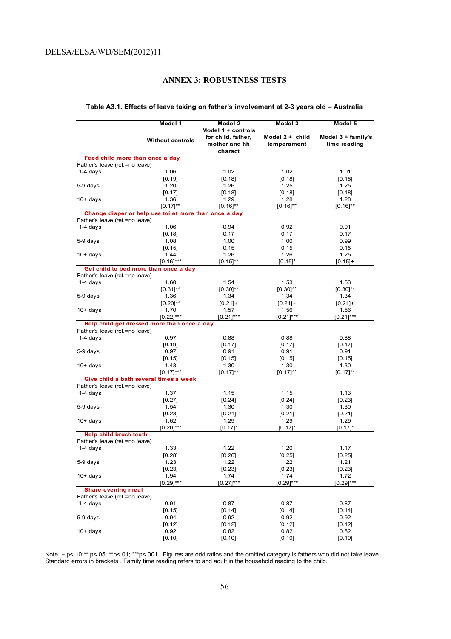## **ANNEX 3: ROBUSTNESS TESTS**

#### **Table A3.1. Effects of leave taking on father's involvement at 2-3 years old – Australia**

|                                                                   | Model 1                 | Model 2            | Model 3         | Model 5            |
|-------------------------------------------------------------------|-------------------------|--------------------|-----------------|--------------------|
|                                                                   |                         | Model 1 + controls |                 |                    |
|                                                                   |                         | for child, father, | Model 2 + child | Model 3 + family's |
|                                                                   | <b>Without controls</b> | mother and hh      | temperament     | time reading       |
|                                                                   |                         | charact            |                 |                    |
|                                                                   |                         |                    |                 |                    |
| Feed child more than once a day<br>Father's leave (ref.=no leave) |                         |                    |                 |                    |
|                                                                   |                         |                    |                 |                    |
| $1-4$ days                                                        | 1.06                    | 1.02               | 1.02            | 1.01               |
|                                                                   | [0.19]                  | [0.18]             | [0.18]          | [0.18]             |
| 5-9 days                                                          | 1.20                    | 1.26               | 1.25            | 1.25               |
|                                                                   | [0.17]                  | [0.18]             | [0.18]          | [0.18]             |
| $10+$ days                                                        | 1.36                    | 1.29               | 1.28            | 1.28               |
|                                                                   | $[0.17]^{**}$           | $[0.16]^{**}$      | $[0.16]^{**}$   | $[0.16]^{**}$      |
| Change diaper or help use toilet more than once a day             |                         |                    |                 |                    |
| Father's leave (ref.=no leave)                                    |                         |                    |                 |                    |
| $1-4$ days                                                        | 1.06                    | 0.94               | 0.92            | 0.91               |
|                                                                   | [0.18]                  | 0.17               | 0.17            | 0.17               |
| 5-9 days                                                          | 1.08                    | 1.00               | 1.00            | 0.99               |
|                                                                   | [0.15]                  | 0.15               | 0.15            | 0.15               |
| $10+$ days                                                        | 1.44                    | 1.26               | 1.26            | 1.25               |
|                                                                   | $[0.16]$ ***            | $[0.15]^{**}$      | $[0.15]^{*}$    | $[0.15]+$          |
| Get child to bed more than once a day                             |                         |                    |                 |                    |
| Father's leave (ref.=no leave)                                    |                         |                    |                 |                    |
| $1-4$ days                                                        | 1.60                    | 1.54               | 1.53            | 1.53               |
|                                                                   | $[0.31]$ **             | $[0.30]^{**}$      | $[0.30]^{**}$   | $[0.30]^{**}$      |
| 5-9 days                                                          | 1.36                    | 1.34               | 1.34            | 1.34               |
|                                                                   | $[0.20]$ **             | $[0.21]+$          | $[0.21]+$       | $[0.21]+$          |
| $10+$ days                                                        | 1.70                    | 1.57               | 1.56            | 1.56               |
|                                                                   | $[0.22]$ ***            | $[0.21]$ ***       | $[0.21]$ ***    | $[0.21]$ ***       |
| Help child get dressed more than once a day                       |                         |                    |                 |                    |
| Father's leave (ref.=no leave)                                    |                         |                    |                 |                    |
| $1-4$ days                                                        | 0.97                    | 0.88               | 0.88            | 0.88               |
|                                                                   | [0.19]                  | [0.17]             | [0.17]          | [0.17]             |
| 5-9 days                                                          | 0.97                    | 0.91               | 0.91            | 0.91               |
|                                                                   | [0.15]                  | [0.15]             | [0.15]          | [0.15]             |
| $10+$ days                                                        | 1.43                    | 1.30               | 1.30            | 1.30               |
|                                                                   | [0.17]***               | $[0.17]$ **        | $[0.17]^{**}$   | $[0.17]^{**}$      |
| Give child a bath several times a week                            |                         |                    |                 |                    |
| Father's leave (ref.=no leave)                                    |                         |                    |                 |                    |
| 1-4 days                                                          | 1.37                    | 1.15               | 1.15            | 1.13               |
|                                                                   | $[0.27]$                | $[0.24]$           | $[0.24]$        | $[0.23]$           |
| 5-9 days                                                          | 1.54                    | 1.30               | 1.30            | 1.30               |
|                                                                   | [0.23]                  | [0.21]             | [0.21]          | $[0.21]$           |
| $10+$ days                                                        | 1.62                    | 1.29               | 1.29            | 1.29               |
|                                                                   | $[0.20]^{***}$          | $[0.17]$ *         | $[0.17]$ *      | $[0.17]$ *         |
| Help child brush teeth                                            |                         |                    |                 |                    |
| Father's leave (ref.=no leave)                                    |                         |                    |                 |                    |
| $1-4$ days                                                        | 1.33                    | 1.22               | 1.20            | 1.17               |
|                                                                   | [0.28]                  | [0.26]             | [0.25]          | $[0.25]$           |
| 5-9 days                                                          | 1.23                    | 1.22               | 1.22            | 1.21               |
|                                                                   | $[0.23]$                | $[0.23]$           | [0.23]          | [0.23]             |
| $10+$ days                                                        | 1.94                    | 1.74               | 1.74            | 1.72               |
|                                                                   | $[0.29]$ ***            | $[0.27]$ ***       | $[0.29]$ ***    | $[0.29]^{***}$     |
| <b>Share evening meal</b>                                         |                         |                    |                 |                    |
|                                                                   |                         |                    |                 |                    |
| Father's leave (ref.=no leave)                                    |                         |                    | 0.87            |                    |
| 1-4 days                                                          | 0.91                    | 0.87               |                 | 0.87               |
|                                                                   | [0.15]                  | $[0.14]$           | [0.14]          | [0.14]             |
| 5-9 days                                                          | 0.94                    | 0.92               | 0.92            | 0.92               |
|                                                                   | [0.12]                  | [0.12]             | [0.12]          | [0.12]             |
| $10+$ days                                                        | 0.92                    | 0.82               | 0.82            | 0.82               |
|                                                                   | [0.10]                  | [0.10]             | [0.10]          | [0.10]             |

Note. + p<.10;\*\* p<.05; \*\*p<.01; \*\*\*p<.001. Figures are odd ratios and the omitted category is fathers who did not take leave. Standard errors in brackets . Family time reading refers to and adult in the household reading to the child.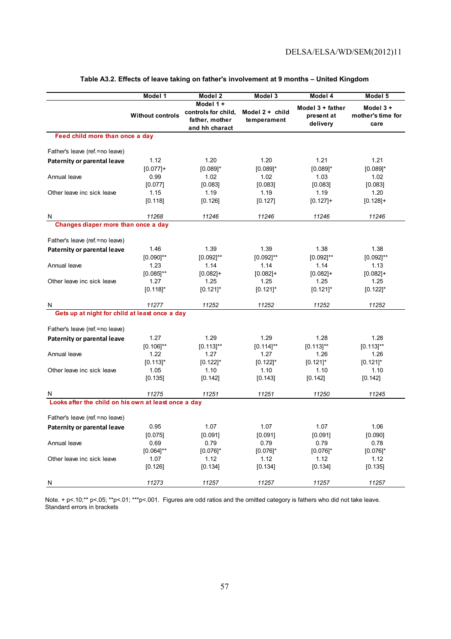|                                                      | Model 1                        | Model 2                                                              | Model 3                          | Model 4                                    | Model 5                               |
|------------------------------------------------------|--------------------------------|----------------------------------------------------------------------|----------------------------------|--------------------------------------------|---------------------------------------|
|                                                      | <b>Without controls</b>        | Model 1 +<br>controls for child,<br>father, mother<br>and hh charact | Model $2 +$ child<br>temperament | Model 3 + father<br>present at<br>delivery | Model 3+<br>mother's time for<br>care |
| Feed child more than once a day                      |                                |                                                                      |                                  |                                            |                                       |
| Father's leave (ref. = no leave)                     |                                |                                                                      |                                  |                                            |                                       |
| Paternity or parental leave                          | 1.12<br>$[0.077]+$             | 1.20<br>$[0.089]$ *                                                  | 1.20<br>$[0.089]$ *              | 1.21<br>$[0.089]$ *                        | 1.21<br>$[0.089]$ *                   |
| Annual leave                                         | 0.99<br>[0.077]                | 1.02<br>[0.083]                                                      | 1.02<br>[0.083]                  | 1.03<br>[0.083]                            | 1.02<br>[0.083]                       |
| Other leave inc sick leave                           | 1.15<br>[0.118]                | 1.19<br>[0.126]                                                      | 1.19<br>[0.127]                  | 1.19<br>$[0.127]+$                         | 1.20<br>$[0.128]+$                    |
| N                                                    | 11268                          | 11246                                                                | 11246                            | 11246                                      | 11246                                 |
| Changes diaper more than once a day                  |                                |                                                                      |                                  |                                            |                                       |
| Father's leave (ref. = no leave)                     |                                |                                                                      |                                  |                                            |                                       |
| Paternity or parental leave                          | 1.46<br>$[0.090]$ **           | 1.39<br>$[0.092]^{**}$                                               | 1.39<br>$[0.092]^{**}$           | 1.38<br>$[0.092]^{**}$                     | 1.38<br>$[0.092]^{**}$                |
| Annual leave                                         | 1.23<br>$[0.085]$ **           | 1.14<br>$[0.082]+$                                                   | 1.14<br>$[0.082]+$               | 1.14<br>$[0.082]+$                         | 1.13<br>$[0.082]+$                    |
| Other leave inc sick leave                           | 1.27<br>$[0.118]$ <sup>*</sup> | 1.25<br>$[0.121]$ *                                                  | 1.25<br>$[0.121]$ *              | 1.25<br>$[0.121]$ *                        | 1.25<br>$[0.122]$ *                   |
| N                                                    | 11277                          | 11252                                                                | 11252                            | 11252                                      | 11252                                 |
| Gets up at night for child at least once a day       |                                |                                                                      |                                  |                                            |                                       |
| Father's leave (ref. = no leave)                     |                                |                                                                      |                                  |                                            |                                       |
| Paternity or parental leave                          | 1.27<br>$[0.106]^{**}$         | 1.29<br>$[0.113]^{**}$                                               | 1.29<br>$[0.114]^{**}$           | 1.28<br>$[0.113]^{**}$                     | 1.28<br>$[0.113]$ **                  |
| Annual leave                                         | 1.22<br>$[0.113]$ *            | 1.27<br>$[0.122]$ *                                                  | 1.27<br>$[0.122]$ *              | 1.26<br>$[0.121]$ *                        | 1.26<br>$[0.121]$ *                   |
| Other leave inc sick leave                           | 1.05<br>[0.135]                | 1.10<br>[0.142]                                                      | 1.10<br>[0.143]                  | 1.10<br>[0.142]                            | 1.10<br>[0.142]                       |
| N                                                    | 11275                          | 11251                                                                | 11251                            | 11250                                      | 11245                                 |
| Looks after the child on his own at least once a day |                                |                                                                      |                                  |                                            |                                       |
| Father's leave (ref. = no leave)                     |                                |                                                                      |                                  |                                            |                                       |
| Paternity or parental leave                          | 0.95<br>[0.075]                | 1.07<br>[0.091]                                                      | 1.07<br>[0.091]                  | 1.07<br>[0.091]                            | 1.06<br>[0.090]                       |
| Annual leave                                         | 0.69<br>$[0.064]^{**}$         | 0.79<br>$[0.076]$ *                                                  | 0.79<br>$[0.076]$ *              | 0.79<br>$[0.076]$ *                        | 0.78<br>$[0.076]$ *                   |
| Other leave inc sick leave                           | 1.07<br>[0.126]                | 1.12<br>[0.134]                                                      | 1.12<br>[0.134]                  | 1.12<br>[0.134]                            | 1.12<br>[0.135]                       |
| N                                                    | 11273                          | 11257                                                                | 11257                            | 11257                                      | 11257                                 |

#### **Table A3.2. Effects of leave taking on father's involvement at 9 months – United Kingdom**

Note. + p<.10;\*\* p<.05; \*\*p<.01; \*\*\*p<.001. Figures are odd ratios and the omitted category is fathers who did not take leave. Standard errors in brackets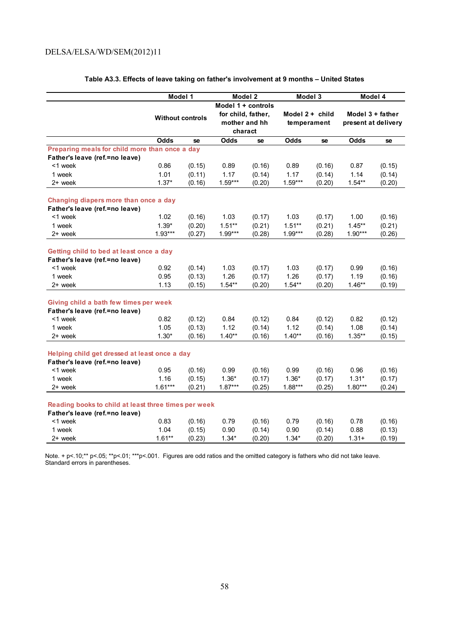|                                                                                        | Model 1   |                         |                    | Model 2            |             | Model 3         |           | Model 4             |
|----------------------------------------------------------------------------------------|-----------|-------------------------|--------------------|--------------------|-------------|-----------------|-----------|---------------------|
|                                                                                        |           |                         |                    | Model 1 + controls |             |                 |           |                     |
|                                                                                        |           |                         | for child, father, |                    |             | Model 2 + child |           | Model 3 + father    |
|                                                                                        |           | <b>Without controls</b> |                    | mother and hh      |             | temperament     |           | present at delivery |
|                                                                                        |           |                         |                    | charact            |             |                 |           |                     |
|                                                                                        | Odds      | se                      | Odds               | se                 | <b>Odds</b> | se              | Odds      | se                  |
| Preparing meals for child more than once a day                                         |           |                         |                    |                    |             |                 |           |                     |
| Father's leave (ref.=no leave)                                                         |           |                         |                    |                    |             |                 |           |                     |
| <1 week                                                                                | 0.86      | (0.15)                  | 0.89               | (0.16)             | 0.89        | (0.16)          | 0.87      | (0.15)              |
| 1 week                                                                                 | 1.01      | (0.11)                  | 1.17               | (0.14)             | 1.17        | (0.14)          | 1.14      | (0.14)              |
| 2+ week                                                                                | $1.37*$   | (0.16)                  | $1.59***$          | (0.20)             | $1.59***$   | (0.20)          | $1.54**$  | (0.20)              |
|                                                                                        |           |                         |                    |                    |             |                 |           |                     |
| Changing diapers more than once a day                                                  |           |                         |                    |                    |             |                 |           |                     |
| Father's leave (ref.=no leave)                                                         |           |                         |                    |                    |             |                 |           |                     |
| <1 week                                                                                | 1.02      | (0.16)                  | 1.03               | (0.17)             | 1.03        | (0.17)          | 1.00      | (0.16)              |
| 1 week                                                                                 | $1.39*$   | (0.20)                  | $1.51**$           | (0.21)             | $1.51**$    | (0.21)          | $1.45***$ | (0.21)              |
| 2+ week                                                                                | $1.93***$ | (0.27)                  | $1.99***$          | (0.28)             | $1.99***$   | (0.28)          | $1.90***$ | (0.26)              |
| Getting child to bed at least once a day                                               |           |                         |                    |                    |             |                 |           |                     |
| Father's leave (ref.=no leave)                                                         |           |                         |                    |                    |             |                 |           |                     |
| <1 week                                                                                | 0.92      | (0.14)                  | 1.03               | (0.17)             | 1.03        | (0.17)          | 0.99      | (0.16)              |
| 1 week                                                                                 | 0.95      | (0.13)                  | 1.26               | (0.17)             | 1.26        | (0.17)          | 1.19      | (0.16)              |
| 2+ week                                                                                | 1.13      | (0.15)                  | $1.54**$           | (0.20)             | $1.54**$    | (0.20)          | $1.46**$  | (0.19)              |
| Giving child a bath few times per week                                                 |           |                         |                    |                    |             |                 |           |                     |
| Father's leave (ref.=no leave)                                                         |           |                         |                    |                    |             |                 |           |                     |
| <1 week                                                                                | 0.82      | (0.12)                  | 0.84               | (0.12)             | 0.84        | (0.12)          | 0.82      | (0.12)              |
| 1 week                                                                                 | 1.05      | (0.13)                  | 1.12               | (0.14)             | 1.12        | (0.14)          | 1.08      | (0.14)              |
| 2+ week                                                                                | $1.30*$   | (0.16)                  | $1.40**$           | (0.16)             | $1.40**$    | (0.16)          | $1.35**$  | (0.15)              |
|                                                                                        |           |                         |                    |                    |             |                 |           |                     |
| Helping child get dressed at least once a day                                          |           |                         |                    |                    |             |                 |           |                     |
| Father's leave (ref.=no leave)                                                         |           |                         |                    |                    |             |                 |           |                     |
| <1 week                                                                                | 0.95      | (0.16)                  | 0.99               | (0.16)             | 0.99        | (0.16)          | 0.96      | (0.16)              |
| 1 week                                                                                 | 1.16      | (0.15)                  | $1.36*$            | (0.17)             | $1.36*$     | (0.17)          | $1.31*$   | (0.17)              |
| 2+ week                                                                                | $1.61***$ | (0.21)                  | $1.87***$          | (0.25)             | $1.88***$   | (0.25)          | $1.80***$ | (0.24)              |
|                                                                                        |           |                         |                    |                    |             |                 |           |                     |
| Reading books to child at least three times per week<br>Father's leave (ref.=no leave) |           |                         |                    |                    |             |                 |           |                     |
| <1 week                                                                                | 0.83      |                         | 0.79               |                    | 0.79        |                 | 0.78      |                     |
| 1 week                                                                                 | 1.04      | (0.16)                  | 0.90               | (0.16)             | 0.90        | (0.16)          | 0.88      | (0.16)              |
|                                                                                        | $1.61**$  | (0.15)                  |                    | (0.14)             |             | (0.14)          |           | (0.13)              |
| 2+ week                                                                                |           | (0.23)                  | $1.34*$            | (0.20)             | $1.34*$     | (0.20)          | $1.31 +$  | (0.19)              |

#### **Table A3.3. Effects of leave taking on father's involvement at 9 months – United States**

Note. + p<.10;\*\* p<.05; \*\*p<.01; \*\*\*p<.001. Figures are odd ratios and the omitted category is fathers who did not take leave. Standard errors in parentheses.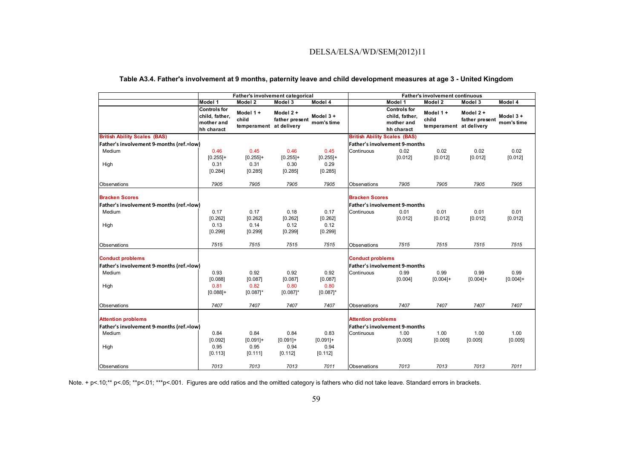|  |  | Table A3.4. Father's involvement at 9 months, paternity leave and child development measures at age 3 - United Kingdom |  |  |  |
|--|--|------------------------------------------------------------------------------------------------------------------------|--|--|--|
|--|--|------------------------------------------------------------------------------------------------------------------------|--|--|--|

|                                          |                                                                   | Father's involvement categorical             |                            |                           |                           |                                                                   | <b>Father's involvement continuous</b>       |                            |                        |
|------------------------------------------|-------------------------------------------------------------------|----------------------------------------------|----------------------------|---------------------------|---------------------------|-------------------------------------------------------------------|----------------------------------------------|----------------------------|------------------------|
|                                          | Model 1                                                           | Model 2                                      | Model 3                    | Model 4                   |                           | Model 1                                                           | Model 2                                      | Model 3                    | Model 4                |
|                                          | <b>Controls for</b><br>child, father,<br>mother and<br>hh charact | Model 1+<br>child<br>temperament at delivery | Model 2+<br>father present | Model $3 +$<br>mom's time |                           | <b>Controls for</b><br>child, father,<br>mother and<br>hh charact | Model 1+<br>child<br>temperament at delivery | Model 2+<br>father present | Model 3+<br>mom's time |
| <b>British Ability Scales (BAS)</b>      |                                                                   |                                              |                            |                           |                           | <b>British Ability Scales (BAS)</b>                               |                                              |                            |                        |
| Father's involvement 9-months (ref.=low) |                                                                   |                                              |                            |                           |                           | <b>Father's involvement 9-months</b>                              |                                              |                            |                        |
| Medium                                   | 0.46                                                              | 0.45                                         | 0.46                       | 0.45                      | Continuous                | 0.02                                                              | 0.02                                         | 0.02                       | 0.02                   |
|                                          | $[0.255]+$                                                        | $[0.255]+$                                   | $[0.255]+$                 | $[0.255]+$                |                           | [0.012]                                                           | [0.012]                                      | [0.012]                    | [0.012]                |
| High                                     | 0.31                                                              | 0.31                                         | 0.30                       | 0.29                      |                           |                                                                   |                                              |                            |                        |
|                                          | [0.284]                                                           | [0.285]                                      | [0.285]                    | [0.285]                   |                           |                                                                   |                                              |                            |                        |
| Observations                             | 7905                                                              | 7905                                         | 7905                       | 7905                      | Observations              | 7905                                                              | 7905                                         | 7905                       | 7905                   |
| <b>Bracken Scores</b>                    |                                                                   |                                              |                            |                           | <b>Bracken Scores</b>     |                                                                   |                                              |                            |                        |
| Father's involvement 9-months (ref.=low) |                                                                   |                                              |                            |                           |                           | <b>Father's involvement 9-months</b>                              |                                              |                            |                        |
| Medium                                   | 0.17                                                              | 0.17                                         | 0.18                       | 0.17                      | Continuous                | 0.01                                                              | 0.01                                         | 0.01                       | 0.01                   |
|                                          | [0.262]                                                           | [0.262]                                      | [0.262]                    | [0.262]                   |                           | [0.012]                                                           | [0.012]                                      | [0.012]                    | [0.012]                |
| High                                     | 0.13                                                              | 0.14                                         | 0.12                       | 0.12                      |                           |                                                                   |                                              |                            |                        |
|                                          | [0.299]                                                           | [0.299]                                      | [0.299]                    | [0.299]                   |                           |                                                                   |                                              |                            |                        |
| Observations                             | 7515                                                              | 7515                                         | 7515                       | 7515                      | Observations              | 7515                                                              | 7515                                         | 7515                       | 7515                   |
| <b>Conduct problems</b>                  |                                                                   |                                              |                            |                           | <b>Conduct problems</b>   |                                                                   |                                              |                            |                        |
| Father's involvement 9-months (ref.=low) |                                                                   |                                              |                            |                           |                           | <b>Father's involvement 9-months</b>                              |                                              |                            |                        |
| Medium                                   | 0.93                                                              | 0.92                                         | 0.92                       | 0.92                      | Continuous                | 0.99                                                              | 0.99                                         | 0.99                       | 0.99                   |
|                                          | [0.088]                                                           | [0.087]                                      | [0.087]                    | [0.087]                   |                           | [0.004]                                                           | $[0.004]+$                                   | $[0.004]+$                 | $[0.004]+$             |
| High                                     | 0.81                                                              | 0.82                                         | 0.80                       | 0.80                      |                           |                                                                   |                                              |                            |                        |
|                                          | $[0.088]+$                                                        | $[0.087]$ *                                  | $[0.087]$ *                | $[0.087]$ *               |                           |                                                                   |                                              |                            |                        |
| Observations                             | 7407                                                              | 7407                                         | 7407                       | 7407                      | Observations              | 7407                                                              | 7407                                         | 7407                       | 7407                   |
| <b>Attention problems</b>                |                                                                   |                                              |                            |                           | <b>Attention problems</b> |                                                                   |                                              |                            |                        |
| Father's involvement 9-months (ref.=low) |                                                                   |                                              |                            |                           |                           | <b>Father's involvement 9-months</b>                              |                                              |                            |                        |
| Medium                                   | 0.84                                                              | 0.84                                         | 0.84                       | 0.83                      | Continuous                | 1.00                                                              | 1.00                                         | 1.00                       | 1.00                   |
|                                          | [0.092]                                                           | $[0.091]+$                                   | $[0.091]+$                 | $[0.091]+$                |                           | [0.005]                                                           | [0.005]                                      | [0.005]                    | [0.005]                |
| High                                     | 0.95                                                              | 0.95                                         | 0.94                       | 0.94                      |                           |                                                                   |                                              |                            |                        |
|                                          | [0.113]                                                           | [0.111]                                      | [0.112]                    | [0.112]                   |                           |                                                                   |                                              |                            |                        |
| Observations                             | 7013                                                              | 7013                                         | 7013                       | 7011                      | Observations              | 7013                                                              | 7013                                         | 7013                       | 7011                   |

Note. + p<.10;\*\* p<.05; \*\*p<.01; \*\*\*p<.001. Figures are odd ratios and the omitted category is fathers who did not take leave. Standard errors in brackets.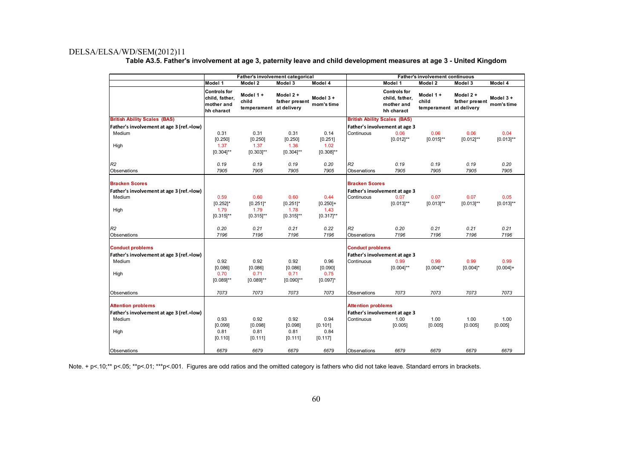|                                          |                                                                   | Father's involvement categorical             |                               |                        |                           |                                                                   | <b>Father's involvement continuous</b>       |                            |                        |
|------------------------------------------|-------------------------------------------------------------------|----------------------------------------------|-------------------------------|------------------------|---------------------------|-------------------------------------------------------------------|----------------------------------------------|----------------------------|------------------------|
|                                          | Model 1                                                           | Model 2                                      | Model 3                       | Model 4                |                           | Model 1                                                           | Model 2                                      | Model 3                    | Model 4                |
|                                          | <b>Controls for</b><br>child, father,<br>mother and<br>hh charact | Model 1+<br>child<br>temperament at delivery | Model $2 +$<br>father present | Model 3+<br>mom's time |                           | <b>Controls for</b><br>child, father,<br>mother and<br>hh charact | Model 1+<br>child<br>temperament at delivery | Model 2+<br>father present | Model 3+<br>mom's time |
| <b>British Ability Scales (BAS)</b>      |                                                                   |                                              |                               |                        |                           | <b>British Ability Scales (BAS)</b>                               |                                              |                            |                        |
| Father's involvement at age 3 (ref.=low) |                                                                   |                                              |                               |                        |                           | Father's involvement at age 3                                     |                                              |                            |                        |
| Medium                                   | 0.31                                                              | 0.31                                         | 0.31                          | 0.14                   | Continuous                | 0.06                                                              | 0.06                                         | 0.06                       | 0.04                   |
|                                          | [0.250]                                                           | [0.250]                                      | [0.250]                       | [0.251]                |                           | $[0.012]^{**}$                                                    | $[0.015]^{**}$                               | $[0.012]^{**}$             | $[0.013]^{**}$         |
| High                                     | 1.37                                                              | 1.37                                         | 1.36                          | 1.02                   |                           |                                                                   |                                              |                            |                        |
|                                          | $[0.304]$ **                                                      | $[0.303]^{**}$                               | $[0.304]$ **                  | $[0.308]^{**}$         |                           |                                                                   |                                              |                            |                        |
| R <sub>2</sub>                           | 0.19                                                              | 0.19                                         | 0.19                          | 0.20                   | R <sub>2</sub>            | 0.19                                                              | 0.19                                         | 0.19                       | 0.20                   |
| Observations                             | 7905                                                              | 7905                                         | 7905                          | 7905                   | Observations              | 7905                                                              | 7905                                         | 7905                       | 7905                   |
|                                          |                                                                   |                                              |                               |                        |                           |                                                                   |                                              |                            |                        |
| <b>Bracken Scores</b>                    |                                                                   |                                              |                               |                        | <b>Bracken Scores</b>     |                                                                   |                                              |                            |                        |
| Father's involvement at age 3 (ref.=low) |                                                                   |                                              |                               |                        |                           | Father's involvement at age 3                                     |                                              |                            |                        |
| Medium                                   | 0.59                                                              | 0.60                                         | 0.60                          | 0.44                   | Continuous                | 0.07                                                              | 0.07                                         | 0.07                       | 0.05                   |
|                                          | $[0.252]$ *                                                       | $[0.251]$ *                                  | $[0.251]$ *                   | $[0.250]+$             |                           | $[0.013]^{**}$                                                    | $[0.013]^{**}$                               | $[0.013]^{**}$             | $[0.013]^{**}$         |
| High                                     | 1.79                                                              | 1.79                                         | 1.78                          | 1.43                   |                           |                                                                   |                                              |                            |                        |
|                                          | $[0.315]$ **                                                      | $[0.315]$ **                                 | $[0.315]$ **                  | $[0.317]^{**}$         |                           |                                                                   |                                              |                            |                        |
| R <sub>2</sub>                           | 0.20                                                              | 0.21                                         | 0.21                          | 0.22                   | R <sub>2</sub>            | 0.20                                                              | 0.21                                         | 0.21                       | 0.21                   |
| Observations                             | 7196                                                              | 7196                                         | 7196                          | 7196                   | Observations              | 7196                                                              | 7196                                         | 7196                       | 7196                   |
|                                          |                                                                   |                                              |                               |                        |                           |                                                                   |                                              |                            |                        |
| <b>Conduct problems</b>                  |                                                                   |                                              |                               |                        | <b>Conduct problems</b>   |                                                                   |                                              |                            |                        |
| Father's involvement at age 3 (ref.=low) |                                                                   |                                              |                               |                        |                           | Father's involvement at age 3                                     |                                              |                            |                        |
| Medium                                   | 0.92                                                              | 0.92                                         | 0.92                          | 0.96                   | Continuous                | 0.99                                                              | 0.99                                         | 0.99                       | 0.99                   |
|                                          | [0.086]                                                           | [0.086]                                      | [0.086]                       | [0.090]                |                           | $[0.004]^{**}$                                                    | $[0.004]^{**}$                               | $[0.004]$ *                | $[0.004]+$             |
| High                                     | 0.70                                                              | 0.71                                         | 0.71                          | 0.75                   |                           |                                                                   |                                              |                            |                        |
|                                          | $[0.089]$ **                                                      | $[0.089]^{**}$                               | $[0.090]^{**}$                | $[0.097]$ *            |                           |                                                                   |                                              |                            |                        |
| Observations                             | 7073                                                              | 7073                                         | 7073                          | 7073                   | Observations              | 7073                                                              | 7073                                         | 7073                       | 7073                   |
| <b>Attention problems</b>                |                                                                   |                                              |                               |                        | <b>Attention problems</b> |                                                                   |                                              |                            |                        |
| Father's involvement at age 3 (ref.=low) |                                                                   |                                              |                               |                        |                           | Father's involvement at age 3                                     |                                              |                            |                        |
| Medium                                   | 0.93                                                              | 0.92                                         | 0.92                          | 0.94                   | Continuous                | 1.00                                                              | 1.00                                         | 1.00                       | 1.00                   |
|                                          | [0.099]                                                           | [0.098]                                      | [0.098]                       | [0.101]                |                           | [0.005]                                                           | [0.005]                                      | [0.005]                    | [0.005]                |
| High                                     | 0.81                                                              | 0.81                                         | 0.81                          | 0.84                   |                           |                                                                   |                                              |                            |                        |
|                                          | [0.110]                                                           | [0.111]                                      | [0.111]                       | [0.117]                |                           |                                                                   |                                              |                            |                        |
| Observations                             | 6679                                                              | 6679                                         | 6679                          | 6679                   | Observations              | 6679                                                              | 6679                                         | 6679                       | 6679                   |

**Table A3.5. Father's involvement at age 3, paternity leave and child development measures at age 3 - United Kingdom** 

Note. + p<.10;\*\* p<.05; \*\*p<.01; \*\*\*p<.001. Figures are odd ratios and the omitted category is fathers who did not take leave. Standard errors in brackets.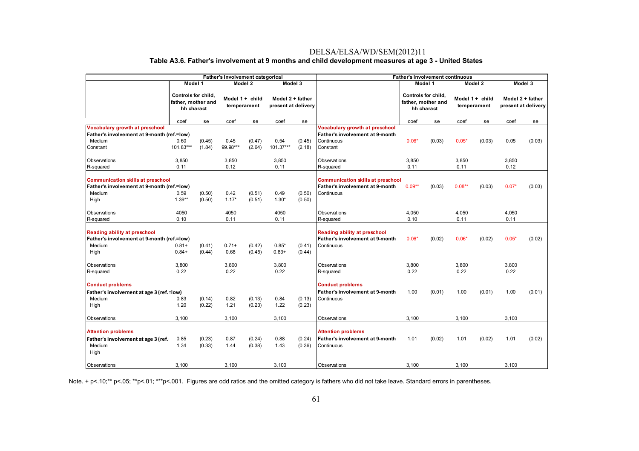#### DELSA/ELSA/WD/SEM(2012)11 **Table A3.6. Father's involvement at 9 months and child development measures at age 3 - United States**

|                                                                                                          |                                                         |                  | Father's involvement categorical |                  |                                         |                  |                                                                                                  |               | <b>Father's involvement continuous</b>                  |                 |             |               |                                         |
|----------------------------------------------------------------------------------------------------------|---------------------------------------------------------|------------------|----------------------------------|------------------|-----------------------------------------|------------------|--------------------------------------------------------------------------------------------------|---------------|---------------------------------------------------------|-----------------|-------------|---------------|-----------------------------------------|
|                                                                                                          | Model 1                                                 |                  |                                  | Model 2          | Model 3                                 |                  |                                                                                                  |               | Model 1                                                 |                 | Model 2     |               | Model 3                                 |
|                                                                                                          | Controls for child.<br>father, mother and<br>hh charact |                  | temperament                      | Model 1 + child  | Model 2 + father<br>present at delivery |                  |                                                                                                  |               | Controls for child.<br>father, mother and<br>hh charact | Model 1 + child | temperament |               | Model 2 + father<br>present at delivery |
|                                                                                                          | coef                                                    | se               | coef                             | se               | coef                                    | se               |                                                                                                  | coef          | se                                                      | coef            | se          | coef          | se                                      |
| Vocabulary growth at preschool<br>Father's involvement at 9-month (ref.=low)                             |                                                         |                  |                                  |                  |                                         |                  | <b>Vocabulary growth at preschool</b><br>Father's involvement at 9-month                         |               |                                                         |                 |             |               |                                         |
| Medium<br>Constant                                                                                       | 0.60<br>101.83***                                       | (0.45)<br>(1.84) | 0.45<br>99.98***                 | (0.47)<br>(2.64) | 0.54<br>101.37***                       | (0.45)<br>(2.18) | Continuous<br>Constant                                                                           | $0.06*$       | (0.03)                                                  | $0.05*$         | (0.03)      | 0.05          | (0.03)                                  |
| Observations<br>R-squared                                                                                | 3,850<br>0.11                                           |                  | 3,850<br>0.12                    |                  | 3,850<br>0.11                           |                  | Observations<br>R-squared                                                                        | 3,850<br>0.11 |                                                         | 3,850<br>0.11   |             | 3.850<br>0.12 |                                         |
| <b>Communication skills at preschool</b><br>Father's involvement at 9-month (ref.=low)<br>Medium<br>High | 0.59<br>$1.39**$                                        | (0.50)<br>(0.50) | 0.42<br>$1.17*$                  | (0.51)<br>(0.51) | 0.49<br>$1.30*$                         | (0.50)<br>(0.50) | <b>Communication skills at preschool</b><br><b>Father's involvement at 9-month</b><br>Continuous | $0.09**$      | (0.03)                                                  | $0.08***$       | (0.03)      | $0.07*$       | (0.03)                                  |
| Observations<br>R-squared                                                                                | 4050<br>0.10                                            |                  | 4050<br>0.11                     |                  | 4050<br>0.11                            |                  | Observations<br>R-squared                                                                        | 4,050<br>0.10 |                                                         | 4,050<br>0.11   |             | 4,050<br>0.11 |                                         |
| <b>Reading ability at preschool</b><br>Father's involvement at 9-month (ref.=low)<br>Medium<br>High      | $0.81 +$<br>$0.84+$                                     | (0.41)<br>(0.44) | $0.71+$<br>0.68                  | (0.42)<br>(0.45) | $0.85*$<br>$0.83+$                      | (0.41)<br>(0.44) | <b>Reading ability at preschool</b><br>Father's involvement at 9-month<br>Continuous             | $0.06*$       | (0.02)                                                  | $0.06*$         | (0.02)      | $0.05*$       | (0.02)                                  |
| Observations<br>R-squared                                                                                | 3,800<br>0.22                                           |                  | 3,800<br>0.22                    |                  | 3,800<br>0.22                           |                  | Observations<br>R-squared                                                                        | 3,800<br>0.22 |                                                         | 3,800<br>0.22   |             | 3,800<br>0.22 |                                         |
| <b>Conduct problems</b><br>Father's involvement at age 3 (ref.=low)<br>Medium<br>High                    | 0.83<br>1.20                                            | (0.14)<br>(0.22) | 0.82<br>1.21                     | (0.13)<br>(0.23) | 0.84<br>1.22                            | (0.13)<br>(0.23) | <b>Conduct problems</b><br><b>Father's involvement at 9-month</b><br>Continuous                  | 1.00          | (0.01)                                                  | 1.00            | (0.01)      | 1.00          | (0.01)                                  |
| Observations                                                                                             | 3,100                                                   |                  | 3,100                            |                  | 3,100                                   |                  | Observations                                                                                     | 3,100         |                                                         | 3,100           |             | 3,100         |                                         |
| <b>Attention problems</b><br>Father's involvement at age 3 (ref.<br>Medium<br>High                       | 0.85<br>1.34                                            | (0.23)<br>(0.33) | 0.87<br>1.44                     | (0.24)<br>(0.38) | 0.88<br>1.43                            | (0.24)<br>(0.36) | <b>Attention problems</b><br><b>Father's involvement at 9-month</b><br>Continuous                | 1.01          | (0.02)                                                  | 1.01            | (0.02)      | 1.01          | (0.02)                                  |
| Observations                                                                                             | 3.100                                                   |                  | 3,100                            |                  | 3.100                                   |                  | Observations                                                                                     | 3.100         |                                                         | 3,100           |             | 3.100         |                                         |

Note. + p<.10;\*\* p<.05; \*\*p<.01; \*\*\*p<.001. Figures are odd ratios and the omitted category is fathers who did not take leave. Standard errors in parentheses.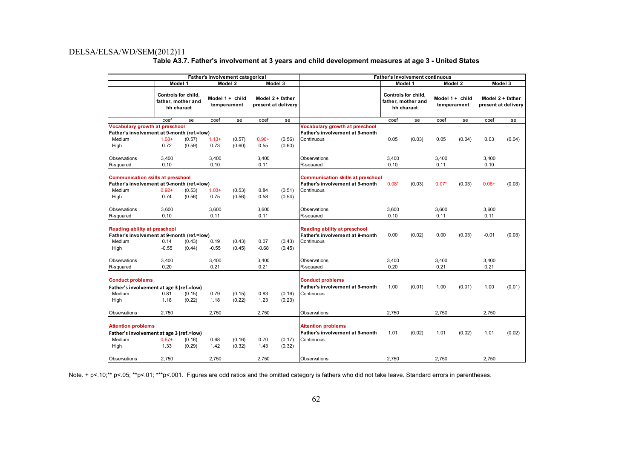| Table A3.7. Father's involvement at 3 years and child development measures at age 3 - United States |
|-----------------------------------------------------------------------------------------------------|
|-----------------------------------------------------------------------------------------------------|

|                                                                                                                                                                                                                          |                  |                                                         | Father's involvement categorical |                                  |                                                                                           |                                                                                             | <b>Father's involvement continuous</b>                                   |                                                         |         |                                  |         |                                         |         |
|--------------------------------------------------------------------------------------------------------------------------------------------------------------------------------------------------------------------------|------------------|---------------------------------------------------------|----------------------------------|----------------------------------|-------------------------------------------------------------------------------------------|---------------------------------------------------------------------------------------------|--------------------------------------------------------------------------|---------------------------------------------------------|---------|----------------------------------|---------|-----------------------------------------|---------|
|                                                                                                                                                                                                                          |                  | Model 1                                                 |                                  | Model 2                          |                                                                                           | Model 3                                                                                     |                                                                          |                                                         | Model 1 |                                  | Model 2 |                                         | Model 3 |
|                                                                                                                                                                                                                          |                  | Controls for child.<br>father, mother and<br>hh charact |                                  | Model $1 +$ child<br>temperament |                                                                                           | Model 2 + father<br>present at delivery                                                     |                                                                          | Controls for child.<br>father, mother and<br>hh charact |         | Model $1 +$ child<br>temperament |         | Model 2 + father<br>present at delivery |         |
|                                                                                                                                                                                                                          | coef             | se                                                      | coef                             | se                               | coef                                                                                      | se                                                                                          |                                                                          | coef                                                    | se      | coef                             | se      | coef                                    | se      |
| <b>Vocabulary growth at preschool</b><br>Father's involvement at 9-month (ref.=low)                                                                                                                                      |                  |                                                         |                                  |                                  |                                                                                           | Vocabulary growth at preschool<br><b>Father's involvement at 9-month</b>                    |                                                                          |                                                         |         |                                  |         |                                         |         |
| Medium<br>High                                                                                                                                                                                                           | $1.08 +$<br>0.72 | (0.57)<br>(0.59)                                        | $1.13+$<br>0.73                  | (0.57)<br>(0.60)                 | $0.96+$<br>0.55                                                                           | (0.56)<br>(0.60)                                                                            | Continuous                                                               | 0.05                                                    | (0.03)  | 0.05                             | (0.04)  | 0.03                                    | (0.04)  |
| Observations<br>R-squared                                                                                                                                                                                                | 3,400<br>0.10    |                                                         | 3,400<br>0.10                    |                                  | 3,400<br>0.11                                                                             |                                                                                             | Observations<br>R-squared                                                | 3,400<br>0.10                                           |         | 3,400<br>0.11                    |         | 3,400<br>0.10                           |         |
| <b>Communication skills at preschool</b><br>Father's involvement at 9-month (ref.=low)<br>Medium<br>$0.92 +$<br>$1.03+$<br>(0.53)<br>0.84<br>(0.53)<br>0.74<br>(0.56)<br>0.75<br>(0.56)<br>0.58<br>High                  |                  |                                                         |                                  | (0.51)<br>(0.54)                 | <b>Communication skills at preschool</b><br>Father's involvement at 9-month<br>Continuous | $0.08*$                                                                                     | (0.03)                                                                   | $0.07*$                                                 | (0.03)  | $0.06+$                          | (0.03)  |                                         |         |
| Observations<br>R-squared                                                                                                                                                                                                | 3,600<br>0.10    |                                                         | 3,600<br>0.11                    |                                  | 3,600<br>0.11                                                                             |                                                                                             | Observations<br>R-squared                                                | 3,600<br>0.10                                           |         | 3,600<br>0.11                    |         | 3,600<br>0.11                           |         |
| <b>Reading ability at preschool</b><br>Father's involvement at 9-month (ref.=low)<br>Medium<br>0.14<br>0.19<br>(0.43)<br>0.07<br>(0.43)<br>(0.43)<br>$-0.55$<br>$-0.55$<br>$-0.68$<br>High<br>(0.44)<br>(0.45)<br>(0.45) |                  |                                                         |                                  |                                  |                                                                                           | <b>Reading ability at preschool</b><br><b>Father's involvement at 9-month</b><br>Continuous | 0.00                                                                     | (0.02)                                                  | 0.00    | (0.03)                           | $-0.01$ | (0.03)                                  |         |
| Observations<br>R-squared                                                                                                                                                                                                | 3,400<br>0.20    |                                                         | 3,400<br>0.21                    |                                  | 3,400<br>0.21                                                                             |                                                                                             | Observations<br>R-squared                                                | 3,400<br>0.20                                           |         | 3,400<br>0.21                    |         | 3,400<br>0.21                           |         |
| <b>Conduct problems</b><br>Father's involvement at age 3 (ref.=low)<br>Medium<br>High                                                                                                                                    | 0.81<br>1.18     | (0.15)<br>(0.22)                                        | 0.79<br>1.18                     | (0.15)<br>(0.22)                 | 0.83<br>1.23                                                                              | (0.16)<br>(0.23)                                                                            | <b>Conduct problems</b><br>Father's involvement at 9-month<br>Continuous | 1.00                                                    | (0.01)  | 1.00                             | (0.01)  | 1.00                                    | (0.01)  |
| Observations                                                                                                                                                                                                             | 2.750            |                                                         | 2.750                            |                                  | 2,750                                                                                     |                                                                                             | Observations                                                             | 2.750                                                   |         | 2.750                            |         | 2.750                                   |         |
| <b>Attention problems</b><br>Father's involvement at age 3 (ref.=low)<br>Medium<br>$0.67+$<br>(0.16)<br>0.68<br>(0.16)<br>0.70<br>(0.17)<br>1.33<br>1.42<br>1.43<br>High<br>(0.29)<br>(0.32)<br>(0.32)                   |                  |                                                         |                                  |                                  |                                                                                           | <b>Attention problems</b><br>Father's involvement at 9-month<br>Continuous                  | 1.01                                                                     | (0.02)                                                  | 1.01    | (0.02)                           | 1.01    | (0.02)                                  |         |
| Observations                                                                                                                                                                                                             | 2,750            |                                                         | 2,750                            |                                  | 2,750                                                                                     |                                                                                             | Observations                                                             | 2,750                                                   |         | 2,750                            |         | 2,750                                   |         |

Note. + p<.10;\*\* p<.05; \*\*p<.01; \*\*\*p<.001. Figures are odd ratios and the omitted category is fathers who did not take leave. Standard errors in parentheses.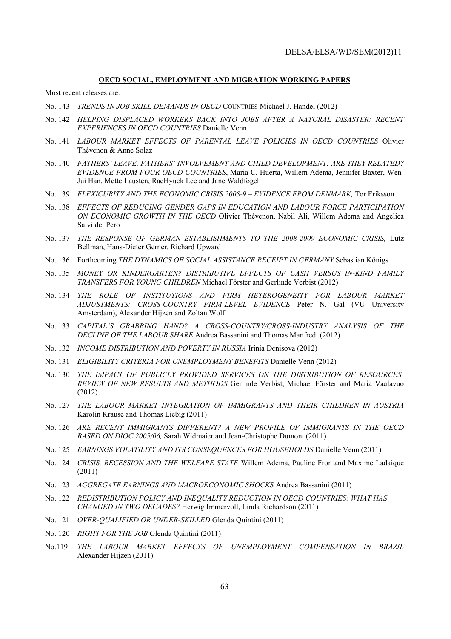#### **OECD SOCIAL, EMPLOYMENT AND MIGRATION WORKING PAPERS**

Most recent releases are:

- No. 143 *TRENDS IN JOB SKILL DEMANDS IN OECD* COUNTRIES Michael J. Handel (2012)
- No. 142 *HELPING DISPLACED WORKERS BACK INTO JOBS AFTER A NATURAL DISASTER: RECENT EXPERIENCES IN OECD COUNTRIES* Danielle Venn
- No. 141 *LABOUR MARKET EFFECTS OF PARENTAL LEAVE POLICIES IN OECD COUNTRIES* Olivier Thévenon & Anne Solaz
- No. 140 *FATHERS' LEAVE, FATHERS' INVOLVEMENT AND CHILD DEVELOPMENT: ARE THEY RELATED? EVIDENCE FROM FOUR OECD COUNTRIES*, Maria C. Huerta, Willem Adema, Jennifer Baxter, Wen-Jui Han, Mette Lausten, RaeHyuck Lee and Jane Waldfogel
- No. 139 *FLEXICURITY AND THE ECONOMIC CRISIS 2008-9 EVIDENCE FROM DENMARK,* Tor Eriksson
- No. 138 *EFFECTS OF REDUCING GENDER GAPS IN EDUCATION AND LABOUR FORCE PARTICIPATION ON ECONOMIC GROWTH IN THE OECD* Olivier Thévenon, Nabil Ali, Willem Adema and Angelica Salvi del Pero
- No. 137 *THE RESPONSE OF GERMAN ESTABLISHMENTS TO THE 2008-2009 ECONOMIC CRISIS,* Lutz Bellman, Hans-Dieter Gerner, Richard Upward
- No. 136 Forthcoming *THE DYNAMICS OF SOCIAL ASSISTANCE RECEIPT IN GERMANY* Sebastian Königs
- No. 135 *MONEY OR KINDERGARTEN? DISTRIBUTIVE EFFECTS OF CASH VERSUS IN-KIND FAMILY TRANSFERS FOR YOUNG CHILDREN* Michael Förster and Gerlinde Verbist (2012)
- No. 134 *THE ROLE OF INSTITUTIONS AND FIRM HETEROGENEITY FOR LABOUR MARKET ADJUSTMENTS: CROSS-COUNTRY FIRM-LEVEL EVIDENCE* Peter N. Gal (VU University Amsterdam), Alexander Hijzen and Zoltan Wolf
- No. 133 *CAPITAL'S GRABBING HAND? A CROSS-COUNTRY/CROSS-INDUSTRY ANALYSIS OF THE DECLINE OF THE LABOUR SHARE* Andrea Bassanini and Thomas Manfredi (2012)
- No. 132 *INCOME DISTRIBUTION AND POVERTY IN RUSSIA* Irinia Denisova (2012)
- No. 131 *ELIGIBILITY CRITERIA FOR UNEMPLOYMENT BENEFITS* Danielle Venn (2012)
- No. 130 *THE IMPACT OF PUBLICLY PROVIDED SERVICES ON THE DISTRIBUTION OF RESOURCES: REVIEW OF NEW RESULTS AND METHODS* Gerlinde Verbist, Michael Förster and Maria Vaalavuo (2012)
- No. 127 *THE LABOUR MARKET INTEGRATION OF IMMIGRANTS AND THEIR CHILDREN IN AUSTRIA* Karolin Krause and Thomas Liebig (2011)
- No. 126 *ARE RECENT IMMIGRANTS DIFFERENT? A NEW PROFILE OF IMMIGRANTS IN THE OECD BASED ON DIOC 2005/06,* Sarah Widmaier and Jean-Christophe Dumont (2011)
- No. 125 *EARNINGS VOLATILITY AND ITS CONSEQUENCES FOR HOUSEHOLDS* Danielle Venn (2011)
- No. 124 *CRISIS, RECESSION AND THE WELFARE STATE* Willem Adema, Pauline Fron and Maxime Ladaique (2011)
- No. 123 *AGGREGATE EARNINGS AND MACROECONOMIC SHOCKS* Andrea Bassanini (2011)
- No. 122 *REDISTRIBUTION POLICY AND INEQUALITY REDUCTION IN OECD COUNTRIES: WHAT HAS CHANGED IN TWO DECADES?* Herwig Immervoll, Linda Richardson (2011)
- No. 121 *OVER-QUALIFIED OR UNDER-SKILLED* Glenda Quintini (2011)
- No. 120 *RIGHT FOR THE JOB* Glenda Quintini (2011)
- No.119 *THE LABOUR MARKET EFFECTS OF UNEMPLOYMENT COMPENSATION IN BRAZIL* Alexander Hijzen (2011)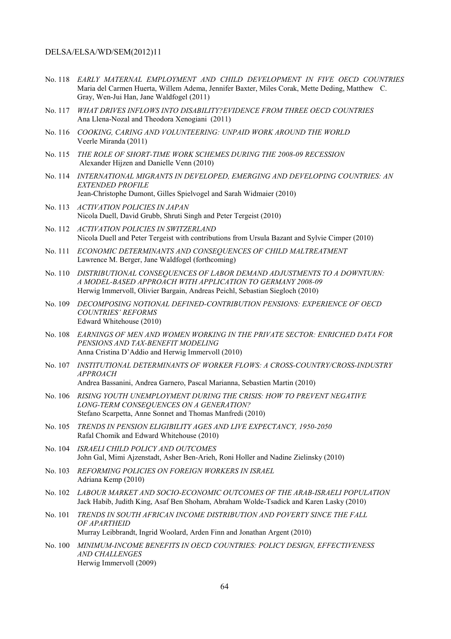- No. 118 *EARLY MATERNAL EMPLOYMENT AND CHILD DEVELOPMENT IN FIVE OECD COUNTRIES* Maria del Carmen Huerta, Willem Adema, Jennifer Baxter, Miles Corak, Mette Deding, Matthew C. Gray, Wen-Jui Han, Jane Waldfogel (2011)
- No. 117 *WHAT DRIVES INFLOWS INTO DISABILITY?EVIDENCE FROM THREE OECD COUNTRIES* Ana Llena-Nozal and Theodora Xenogiani (2011)
- No. 116 *COOKING, CARING AND VOLUNTEERING: UNPAID WORK AROUND THE WORLD* Veerle Miranda (2011)
- No. 115 *THE ROLE OF SHORT-TIME WORK SCHEMES DURING THE 2008-09 RECESSION*  Alexander Hijzen and Danielle Venn (2010)
- No. 114 *INTERNATIONAL MIGRANTS IN DEVELOPED, EMERGING AND DEVELOPING COUNTRIES: AN EXTENDED PROFILE*  Jean-Christophe Dumont, Gilles Spielvogel and Sarah Widmaier (2010)
- No. 113 *ACTIVATION POLICIES IN JAPAN* Nicola Duell, David Grubb, Shruti Singh and Peter Tergeist (2010)
- No. 112 *ACTIVATION POLICIES IN SWITZERLAND* Nicola Duell and Peter Tergeist with contributions from Ursula Bazant and Sylvie Cimper (2010)
- No. 111 *ECONOMIC DETERMINANTS AND CONSEQUENCES OF CHILD MALTREATMENT*  Lawrence M. Berger, Jane Waldfogel (forthcoming)
- No. 110 *DISTRIBUTIONAL CONSEQUENCES OF LABOR DEMAND ADJUSTMENTS TO A DOWNTURN: A MODEL-BASED APPROACH WITH APPLICATION TO GERMANY 2008-09* Herwig Immervoll, Olivier Bargain, Andreas Peichl, Sebastian Siegloch (2010)
- No. 109 *DECOMPOSING NOTIONAL DEFINED-CONTRIBUTION PENSIONS: EXPERIENCE OF OECD COUNTRIES' REFORMS* Edward Whitehouse (2010)
- No. 108 *EARNINGS OF MEN AND WOMEN WORKING IN THE PRIVATE SECTOR: ENRICHED DATA FOR PENSIONS AND TAX-BENEFIT MODELING*  Anna Cristina D'Addio and Herwig Immervoll (2010)
- No. 107 *INSTITUTIONAL DETERMINANTS OF WORKER FLOWS: A CROSS-COUNTRY/CROSS-INDUSTRY APPROACH* Andrea Bassanini, Andrea Garnero, Pascal Marianna, Sebastien Martin (2010)
- No. 106 *RISING YOUTH UNEMPLOYMENT DURING THE CRISIS: HOW TO PREVENT NEGATIVE LONG-TERM CONSEQUENCES ON A GENERATION?*  Stefano Scarpetta, Anne Sonnet and Thomas Manfredi (2010)
- No. 105 *TRENDS IN PENSION ELIGIBILITY AGES AND LIVE EXPECTANCY, 1950-2050*  Rafal Chomik and Edward Whitehouse (2010)
- No. 104 *ISRAELI CHILD POLICY AND OUTCOMES*  John Gal, Mimi Ajzenstadt, Asher Ben-Arieh, Roni Holler and Nadine Zielinsky (2010)
- No. 103 *REFORMING POLICIES ON FOREIGN WORKERS IN ISRAEL* Adriana Kemp (2010)
- No. 102 *LABOUR MARKET AND SOCIO-ECONOMIC OUTCOMES OF THE ARAB-ISRAELI POPULATION*  Jack Habib, Judith King, Asaf Ben Shoham, Abraham Wolde-Tsadick and Karen Lasky (2010)
- No. 101 *TRENDS IN SOUTH AFRICAN INCOME DISTRIBUTION AND POVERTY SINCE THE FALL OF APARTHEID*  Murray Leibbrandt, Ingrid Woolard, Arden Finn and Jonathan Argent (2010)
- No. 100 *MINIMUM-INCOME BENEFITS IN OECD COUNTRIES: POLICY DESIGN, EFFECTIVENESS AND CHALLENGES* Herwig Immervoll (2009)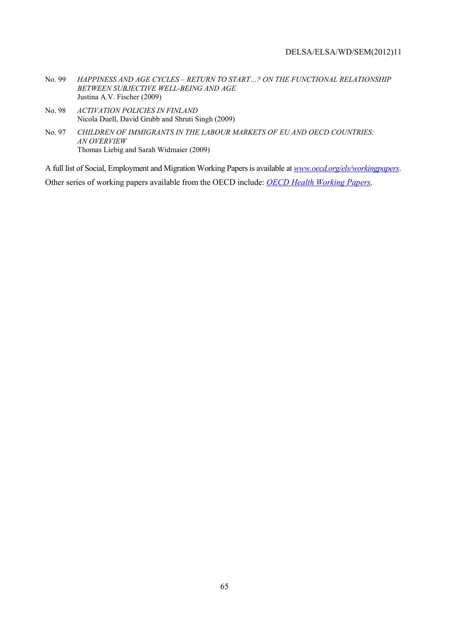- No. 99 *HAPPINESS AND AGE CYCLES RETURN TO START…? ON THE FUNCTIONAL RELATIONSHIP BETWEEN SUBJECTIVE WELL-BEING AND AGE* Justina A.V. Fischer (2009)
- No. 98 *ACTIVATION POLICIES IN FINLAND* Nicola Duell, David Grubb and Shruti Singh (2009)
- No. 97 *CHILDREN OF IMMIGRANTS IN THE LABOUR MARKETS OF EU AND OECD COUNTRIES: AN OVERVIEW* Thomas Liebig and Sarah Widmaier (2009)

A full list of Social, Employment and Migration Working Papers is available at *www.oecd.org/els/workingpapers*. Other series of working papers available from the OECD include: *OECD Health Working Papers*.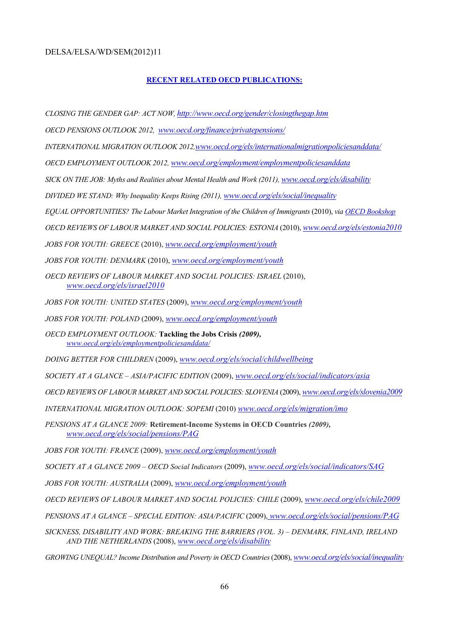#### **RECENT RELATED OECD PUBLICATIONS:**

*CLOSING THE GENDER GAP: ACT NOW, http://www.oecd.org/gender/closingthegap.htm*

*OECD PENSIONS OUTLOOK 2012, www.oecd.org/finance/privatepensions/*

*INTERNATIONAL MIGRATION OUTLOOK 2012,www.oecd.org/els/internationalmigrationpoliciesanddata/*

*OECD EMPLOYMENT OUTLOOK 2012, www.oecd.org/employment/employmentpoliciesanddata*

*SICK ON THE JOB: Myths and Realities about Mental Health and Work (2011), www.oecd.org/els/disability*

*DIVIDED WE STAND: Why Inequality Keeps Rising (2011), www.oecd.org/els/social/inequality*

*EQUAL OPPORTUNITIES? The Labour Market Integration of the Children of Immigrants* (2010), *via OECD Bookshop*

*OECD REVIEWS OF LABOUR MARKET AND SOCIAL POLICIES: ESTONIA* (2010), *www.oecd.org/els/estonia2010*

*JOBS FOR YOUTH: GREECE* (2010), *www.oecd.org/employment/youth*

*JOBS FOR YOUTH: DENMARK* (2010), *www.oecd.org/employment/youth*

*OECD REVIEWS OF LABOUR MARKET AND SOCIAL POLICIES: ISRAEL* (2010), *www.oecd.org/els/israel2010*

*JOBS FOR YOUTH: UNITED STATES* (2009), *www.oecd.org/employment/youth*

*JOBS FOR YOUTH: POLAND* (2009), *www.oecd.org/employment/youth*

*OECD EMPLOYMENT OUTLOOK:* **Tackling the Jobs Crisis** *(2009), www.oecd.org/els/employmentpoliciesanddata/*

*DOING BETTER FOR CHILDREN* (2009), *www.oecd.org/els/social/childwellbeing*

*SOCIETY AT A GLANCE – ASIA/PACIFIC EDITION* (2009), *www.oecd.org/els/social/indicators/asia*

*OECD REVIEWS OF LABOUR MARKET AND SOCIAL POLICIES: SLOVENIA* (2009), *www.oecd.org/els/slovenia2009*

*INTERNATIONAL MIGRATION OUTLOOK: SOPEMI* (2010) *www.oecd.org/els/migration/imo*

*PENSIONS AT A GLANCE 2009:* **Retirement-Income Systems in OECD Countries** *(2009), www.oecd.org/els/social/pensions/PAG*

*JOBS FOR YOUTH: FRANCE* (2009), *www.oecd.org/employment/youth*

*SOCIETY AT A GLANCE 2009 – OECD Social Indicators* (2009), *www.oecd.org/els/social/indicators/SAG*

*JOBS FOR YOUTH: AUSTRALIA* (2009), *www.oecd.org/employment/youth*

*OECD REVIEWS OF LABOUR MARKET AND SOCIAL POLICIES: CHILE* (2009), *www.oecd.org/els/chile2009*

*PENSIONS AT A GLANCE – SPECIAL EDITION: ASIA/PACIFIC* (2009), *www.oecd.org/els/social/pensions/PAG*

*SICKNESS, DISABILITY AND WORK: BREAKING THE BARRIERS (VOL. 3) – DENMARK, FINLAND, IRELAND AND THE NETHERLANDS* (2008), *www.oecd.org/els/disability*

*GROWING UNEQUAL? Income Distribution and Poverty in OECD Countries* (2008), *www.oecd.org/els/social/inequality*